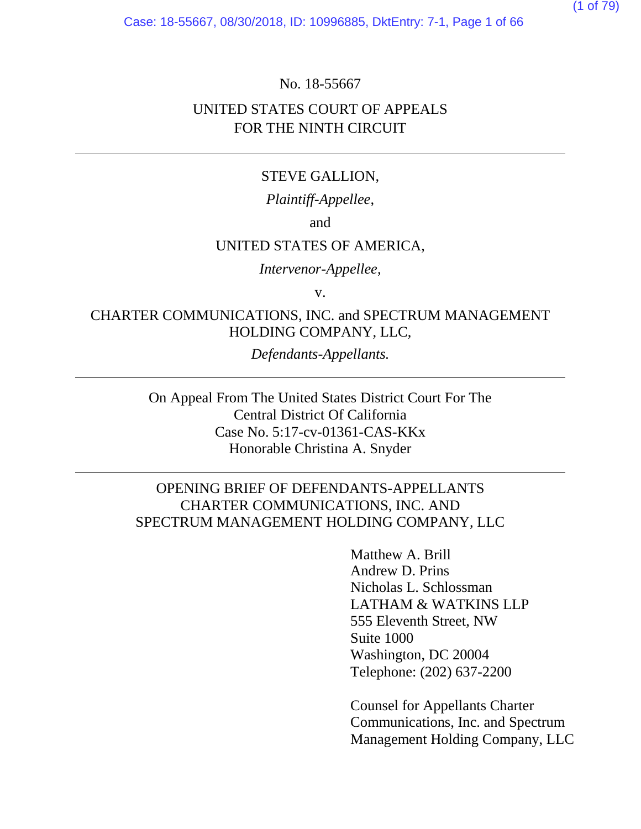#### No. 18-55667

## UNITED STATES COURT OF APPEALS FOR THE NINTH CIRCUIT

#### STEVE GALLION,

*Plaintiff-Appellee*,

and

### UNITED STATES OF AMERICA,

*Intervenor-Appellee*,

v.

### CHARTER COMMUNICATIONS, INC. and SPECTRUM MANAGEMENT HOLDING COMPANY, LLC,

*Defendants-Appellants.* 

On Appeal From The United States District Court For The Central District Of California Case No. 5:17-cv-01361-CAS-KKx Honorable Christina A. Snyder

## OPENING BRIEF OF DEFENDANTS-APPELLANTS CHARTER COMMUNICATIONS, INC. AND SPECTRUM MANAGEMENT HOLDING COMPANY, LLC

Matthew A. Brill Andrew D. Prins Nicholas L. Schlossman LATHAM & WATKINS LLP 555 Eleventh Street, NW Suite 1000 Washington, DC 20004 Telephone: (202) 637-2200

Counsel for Appellants Charter Communications, Inc. and Spectrum Management Holding Company, LLC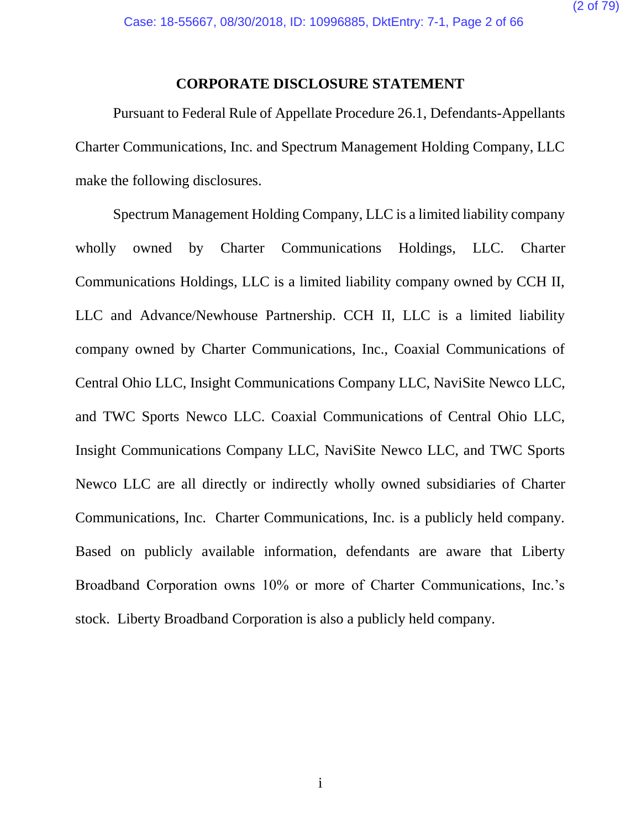#### **CORPORATE DISCLOSURE STATEMENT**

Pursuant to Federal Rule of Appellate Procedure 26.1, Defendants-Appellants Charter Communications, Inc. and Spectrum Management Holding Company, LLC make the following disclosures.

Spectrum Management Holding Company, LLC is a limited liability company wholly owned by Charter Communications Holdings, LLC. Charter Communications Holdings, LLC is a limited liability company owned by CCH II, LLC and Advance/Newhouse Partnership. CCH II, LLC is a limited liability company owned by Charter Communications, Inc., Coaxial Communications of Central Ohio LLC, Insight Communications Company LLC, NaviSite Newco LLC, and TWC Sports Newco LLC. Coaxial Communications of Central Ohio LLC, Insight Communications Company LLC, NaviSite Newco LLC, and TWC Sports Newco LLC are all directly or indirectly wholly owned subsidiaries of Charter Communications, Inc. Charter Communications, Inc. is a publicly held company. Based on publicly available information, defendants are aware that Liberty Broadband Corporation owns 10% or more of Charter Communications, Inc.'s stock. Liberty Broadband Corporation is also a publicly held company.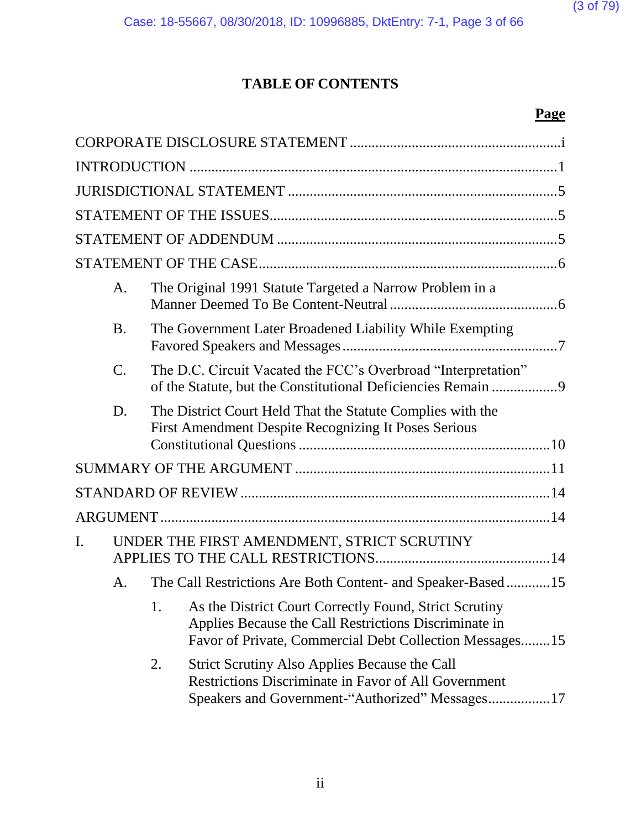# **TABLE OF CONTENTS**

# **Page**

|    | A.              |    | The Original 1991 Statute Targeted a Narrow Problem in a                                                                                                                    |
|----|-----------------|----|-----------------------------------------------------------------------------------------------------------------------------------------------------------------------------|
|    | <b>B.</b>       |    | The Government Later Broadened Liability While Exempting                                                                                                                    |
|    | $\mathcal{C}$ . |    | The D.C. Circuit Vacated the FCC's Overbroad "Interpretation"<br>of the Statute, but the Constitutional Deficiencies Remain 9                                               |
|    | D.              |    | The District Court Held That the Statute Complies with the<br><b>First Amendment Despite Recognizing It Poses Serious</b>                                                   |
|    |                 |    |                                                                                                                                                                             |
|    |                 |    |                                                                                                                                                                             |
|    |                 |    |                                                                                                                                                                             |
| I. |                 |    | UNDER THE FIRST AMENDMENT, STRICT SCRUTINY                                                                                                                                  |
|    | A.              |    | The Call Restrictions Are Both Content- and Speaker-Based15                                                                                                                 |
|    |                 | 1. | As the District Court Correctly Found, Strict Scrutiny<br>Applies Because the Call Restrictions Discriminate in<br>Favor of Private, Commercial Debt Collection Messages 15 |
|    |                 | 2. | <b>Strict Scrutiny Also Applies Because the Call</b><br><b>Restrictions Discriminate in Favor of All Government</b><br>Speakers and Government-"Authorized" Messages17      |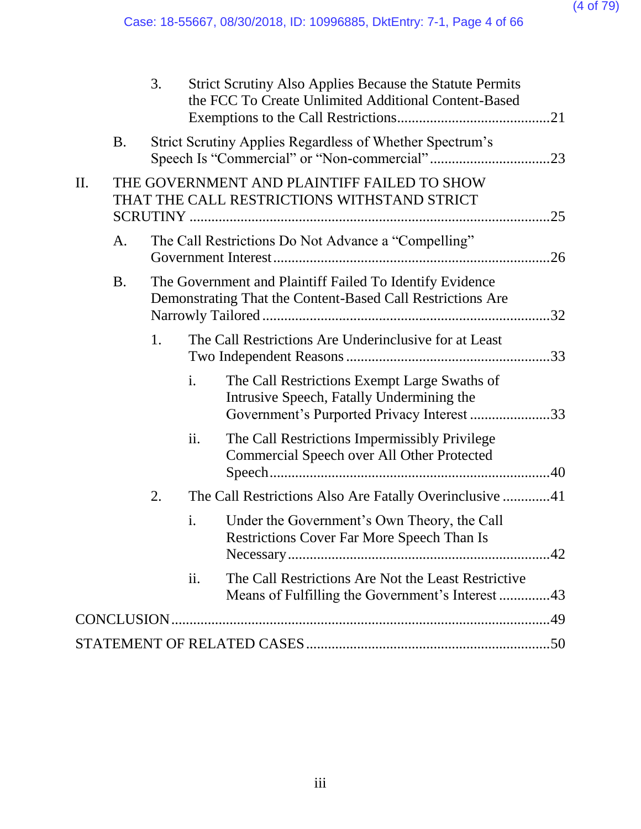|           |           | 3.                                                                                         |     | <b>Strict Scrutiny Also Applies Because the Statute Permits</b><br>the FCC To Create Unlimited Additional Content-Based                 |
|-----------|-----------|--------------------------------------------------------------------------------------------|-----|-----------------------------------------------------------------------------------------------------------------------------------------|
|           | <b>B.</b> |                                                                                            |     | Strict Scrutiny Applies Regardless of Whether Spectrum's                                                                                |
| $\prod$ . |           | THE GOVERNMENT AND PLAINTIFF FAILED TO SHOW<br>THAT THE CALL RESTRICTIONS WITHSTAND STRICT |     |                                                                                                                                         |
|           | A.        |                                                                                            |     | The Call Restrictions Do Not Advance a "Compelling"                                                                                     |
|           | <b>B.</b> |                                                                                            |     | The Government and Plaintiff Failed To Identify Evidence<br>Demonstrating That the Content-Based Call Restrictions Are                  |
|           |           | 1.                                                                                         |     | The Call Restrictions Are Underinclusive for at Least                                                                                   |
|           |           |                                                                                            | i.  | The Call Restrictions Exempt Large Swaths of<br>Intrusive Speech, Fatally Undermining the<br>Government's Purported Privacy Interest 33 |
|           |           |                                                                                            | ii. | The Call Restrictions Impermissibly Privilege<br><b>Commercial Speech over All Other Protected</b>                                      |
|           |           | 2.                                                                                         |     | The Call Restrictions Also Are Fatally Overinclusive 41                                                                                 |
|           |           |                                                                                            | i.  | Under the Government's Own Theory, the Call<br>Restrictions Cover Far More Speech Than Is                                               |
|           |           |                                                                                            | ii. | The Call Restrictions Are Not the Least Restrictive<br>Means of Fulfilling the Government's Interest 43                                 |
|           |           |                                                                                            |     |                                                                                                                                         |
|           |           |                                                                                            |     |                                                                                                                                         |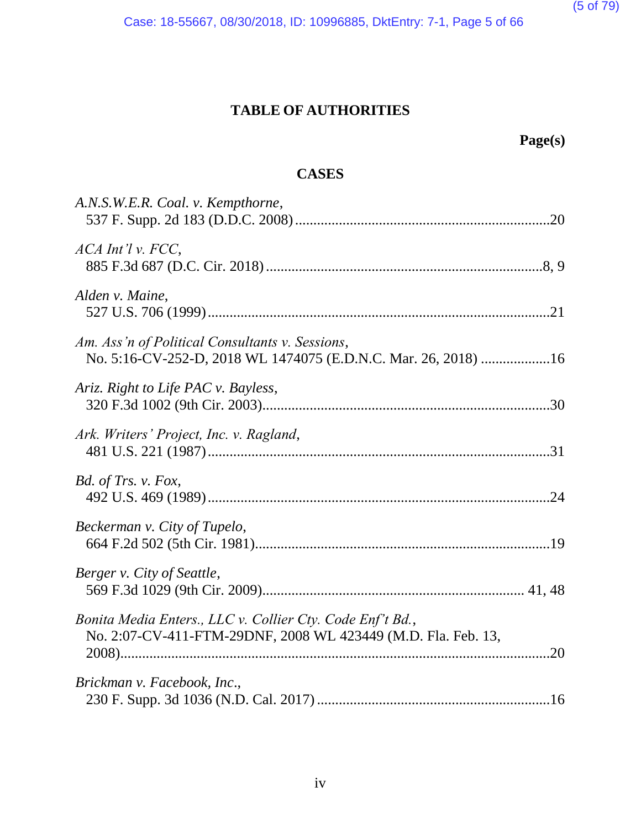Case: 18-55667, 08/30/2018, ID: 10996885, DktEntry: 7-1, Page 5 of 66

## **TABLE OF AUTHORITIES**

**Page(s)**

### **CASES**

| A.N.S.W.E.R. Coal. v. Kempthorne,                                                                                          |  |
|----------------------------------------------------------------------------------------------------------------------------|--|
| ACA Int'l v. FCC,                                                                                                          |  |
| Alden v. Maine,                                                                                                            |  |
| Am. Ass'n of Political Consultants v. Sessions,<br>No. 5:16-CV-252-D, 2018 WL 1474075 (E.D.N.C. Mar. 26, 2018) 16          |  |
| Ariz. Right to Life PAC v. Bayless,                                                                                        |  |
| Ark. Writers' Project, Inc. v. Ragland,                                                                                    |  |
| Bd. of Trs. v. Fox,                                                                                                        |  |
| Beckerman v. City of Tupelo,                                                                                               |  |
| Berger v. City of Seattle,                                                                                                 |  |
| Bonita Media Enters., LLC v. Collier Cty. Code Enf't Bd.,<br>No. 2:07-CV-411-FTM-29DNF, 2008 WL 423449 (M.D. Fla. Feb. 13, |  |
| Brickman v. Facebook, Inc.,                                                                                                |  |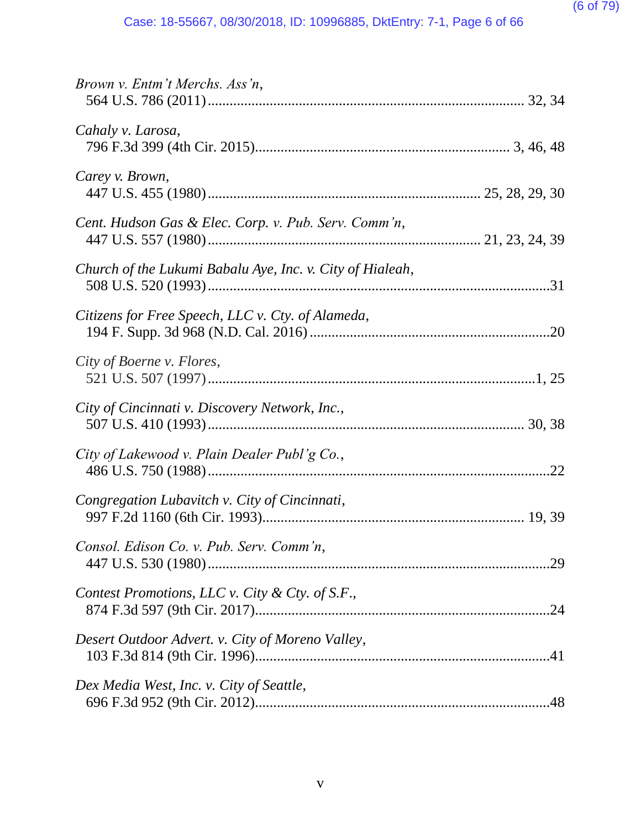| Brown v. Entm't Merchs. Ass'n,                            |
|-----------------------------------------------------------|
| Cahaly v. Larosa,                                         |
| Carey v. Brown,                                           |
| Cent. Hudson Gas & Elec. Corp. v. Pub. Serv. Comm'n,      |
| Church of the Lukumi Babalu Aye, Inc. v. City of Hialeah, |
| Citizens for Free Speech, LLC v. Cty. of Alameda,         |
| City of Boerne v. Flores,                                 |
| City of Cincinnati v. Discovery Network, Inc.,            |
| City of Lakewood v. Plain Dealer Publ'g Co.,              |
| Congregation Lubavitch v. City of Cincinnati,             |
| Consol. Edison Co. v. Pub. Serv. Comm'n,                  |
| Contest Promotions, LLC v. City & Cty. of S.F.,           |
| Desert Outdoor Advert. v. City of Moreno Valley,          |
| Dex Media West, Inc. v. City of Seattle,                  |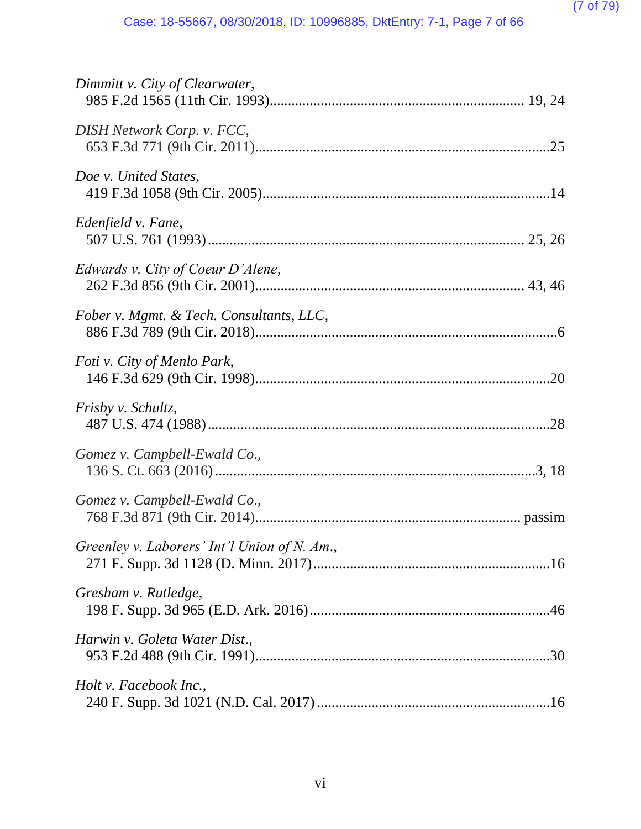| Dimmitt v. City of Clearwater,               |
|----------------------------------------------|
| DISH Network Corp. v. FCC,                   |
| Doe v. United States,                        |
| Edenfield v. Fane,                           |
| Edwards v. City of Coeur D'Alene,            |
| Fober v. Mgmt. & Tech. Consultants, LLC,     |
| <i>Foti v. City of Menlo Park,</i>           |
| <i>Frisby v. Schultz,</i>                    |
| Gomez v. Campbell-Ewald Co.,                 |
| Gomez v. Campbell-Ewald Co.,                 |
| Greenley v. Laborers' Int'l Union of N. Am., |
| Gresham v. Rutledge,                         |
| Harwin v. Goleta Water Dist.,                |
| Holt v. Facebook Inc.,                       |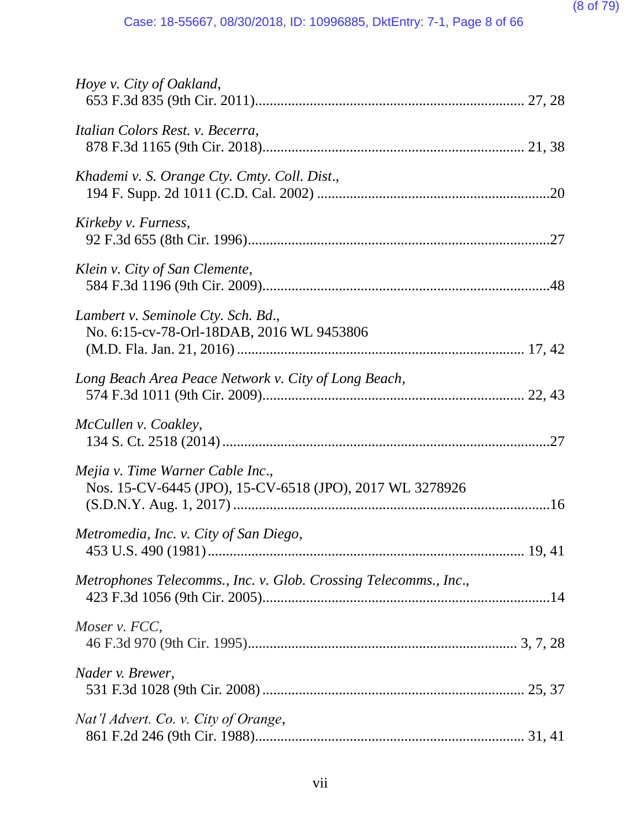| Hoye v. City of Oakland,                                                                     |
|----------------------------------------------------------------------------------------------|
| Italian Colors Rest. v. Becerra,                                                             |
| Khademi v. S. Orange Cty. Cmty. Coll. Dist.,                                                 |
| Kirkeby v. Furness,                                                                          |
| Klein v. City of San Clemente,                                                               |
| Lambert v. Seminole Cty. Sch. Bd.,<br>No. 6:15-cv-78-Orl-18DAB, 2016 WL 9453806              |
| Long Beach Area Peace Network v. City of Long Beach,                                         |
| McCullen v. Coakley,                                                                         |
| Mejia v. Time Warner Cable Inc.,<br>Nos. 15-CV-6445 (JPO), 15-CV-6518 (JPO), 2017 WL 3278926 |
| Metromedia, Inc. v. City of San Diego,                                                       |
| Metrophones Telecomms., Inc. v. Glob. Crossing Telecomms., Inc.,                             |
| Moser v. FCC,                                                                                |
| Nader v. Brewer,                                                                             |
| Nat'l Advert. Co. v. City of Orange,                                                         |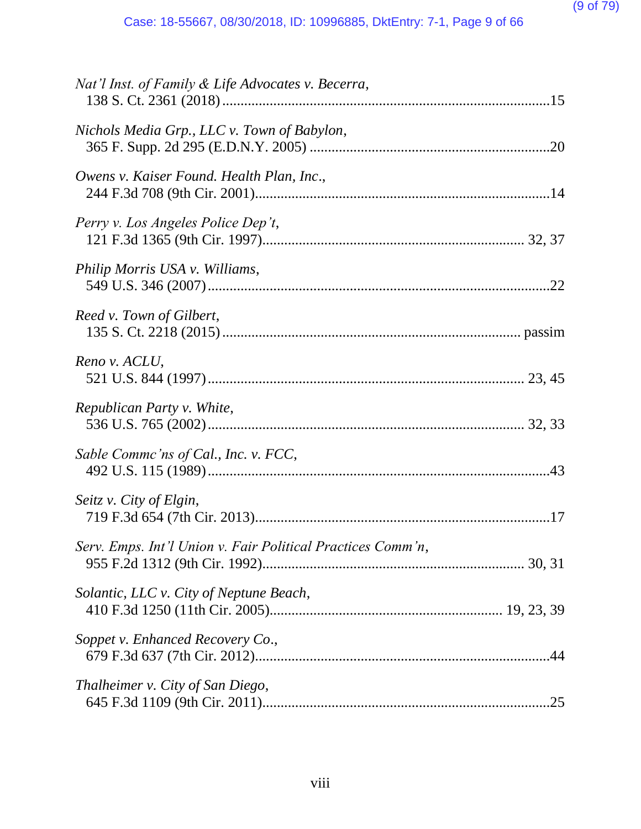| Nat'l Inst. of Family & Life Advocates v. Becerra,          |
|-------------------------------------------------------------|
| Nichols Media Grp., LLC v. Town of Babylon,                 |
| Owens v. Kaiser Found. Health Plan, Inc.,                   |
| Perry v. Los Angeles Police Dep't,                          |
| Philip Morris USA v. Williams,                              |
| Reed v. Town of Gilbert,                                    |
| Reno v. ACLU,                                               |
| Republican Party v. White,                                  |
| Sable Commc'ns of Cal., Inc. v. FCC,                        |
| Seitz v. City of Elgin,                                     |
| Serv. Emps. Int'l Union v. Fair Political Practices Comm'n, |
| Solantic, LLC v. City of Neptune Beach,                     |
| Soppet v. Enhanced Recovery Co.,                            |
| Thalheimer v. City of San Diego,                            |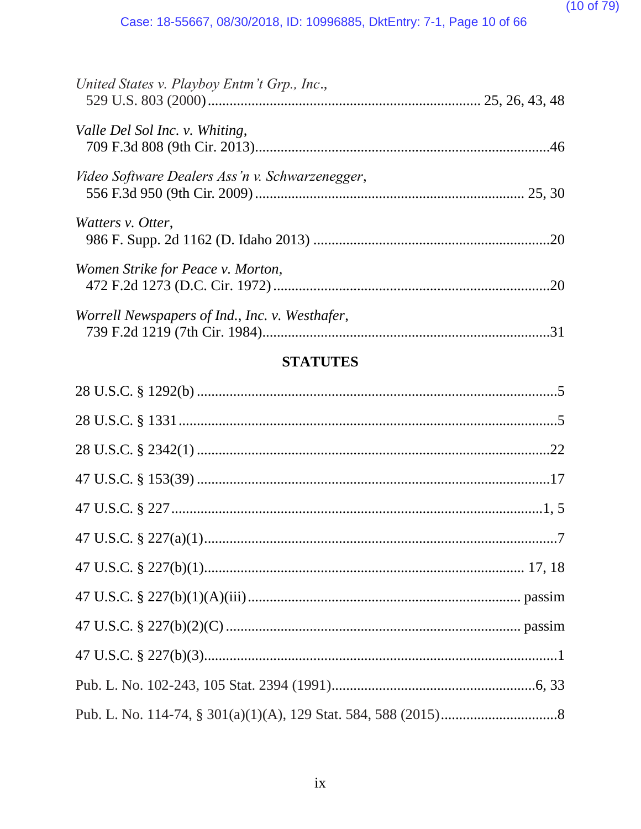#### $(10 of 79)$

## Case: 18-55667, 08/30/2018, ID: 10996885, DktEntry: 7-1, Page 10 of 66

| United States v. Playboy Entm't Grp., Inc.,     |     |
|-------------------------------------------------|-----|
| Valle Del Sol Inc. v. Whiting,                  |     |
| Video Software Dealers Ass'n v. Schwarzenegger, |     |
| Watters v. Otter,                               |     |
| Women Strike for Peace v. Morton,               | .20 |
| Worrell Newspapers of Ind., Inc. v. Westhafer,  | 31  |

## **STATUTES**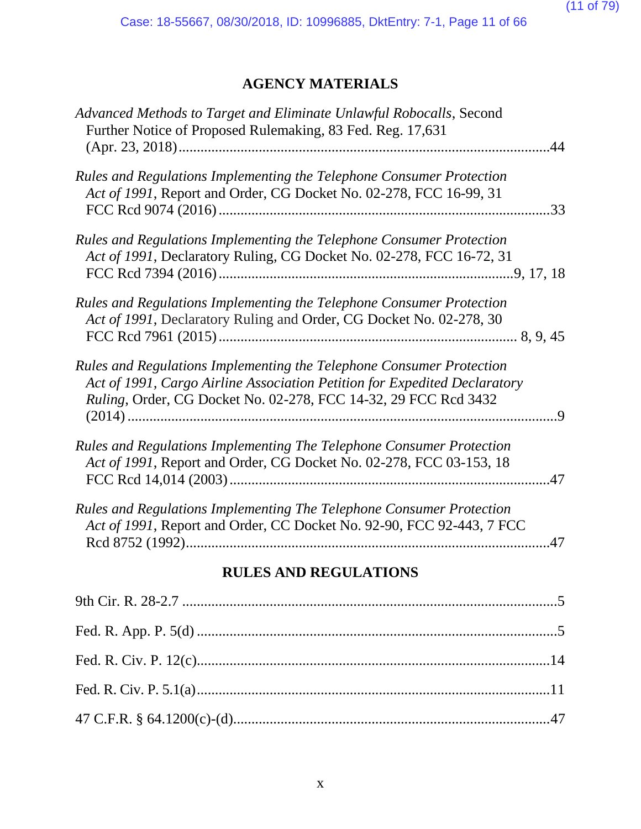(11 of 79)

# **AGENCY MATERIALS**

## **RULES AND REGULATIONS**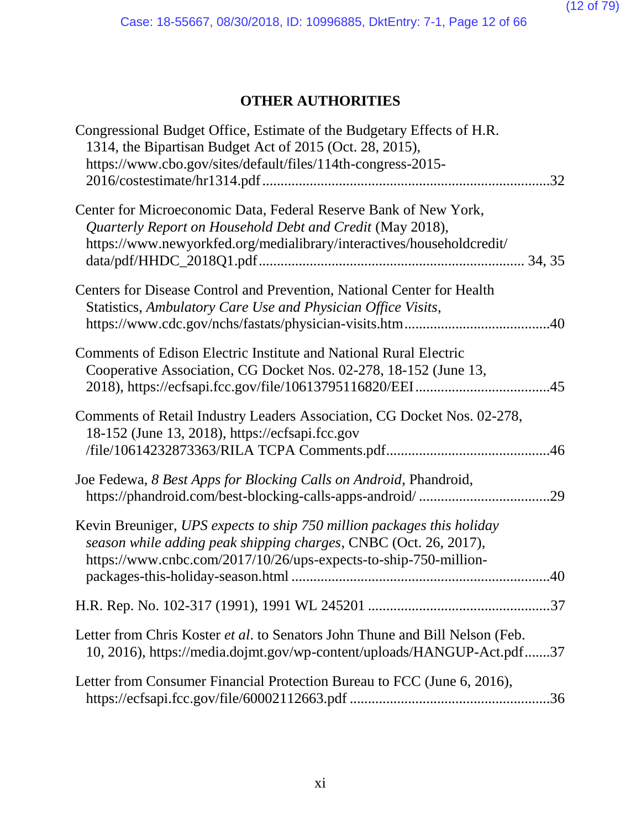# **OTHER AUTHORITIES**

| Congressional Budget Office, Estimate of the Budgetary Effects of H.R.<br>1314, the Bipartisan Budget Act of 2015 (Oct. 28, 2015),<br>https://www.cbo.gov/sites/default/files/114th-congress-2015-                    |
|-----------------------------------------------------------------------------------------------------------------------------------------------------------------------------------------------------------------------|
|                                                                                                                                                                                                                       |
| Center for Microeconomic Data, Federal Reserve Bank of New York,<br>Quarterly Report on Household Debt and Credit (May 2018),<br>https://www.newyorkfed.org/medialibrary/interactives/householdcredit/                |
| Centers for Disease Control and Prevention, National Center for Health<br>Statistics, Ambulatory Care Use and Physician Office Visits,                                                                                |
| Comments of Edison Electric Institute and National Rural Electric<br>Cooperative Association, CG Docket Nos. 02-278, 18-152 (June 13,                                                                                 |
| Comments of Retail Industry Leaders Association, CG Docket Nos. 02-278,<br>18-152 (June 13, 2018), https://ecfsapi.fcc.gov<br>.46                                                                                     |
| Joe Fedewa, 8 Best Apps for Blocking Calls on Android, Phandroid,<br>.29                                                                                                                                              |
| Kevin Breuniger, UPS expects to ship 750 million packages this holiday<br>season while adding peak shipping charges, CNBC (Oct. 26, 2017),<br>https://www.cnbc.com/2017/10/26/ups-expects-to-ship-750-million-<br>.40 |
|                                                                                                                                                                                                                       |
| Letter from Chris Koster et al. to Senators John Thune and Bill Nelson (Feb.<br>10, 2016), https://media.dojmt.gov/wp-content/uploads/HANGUP-Act.pdf37                                                                |
| Letter from Consumer Financial Protection Bureau to FCC (June 6, 2016),<br>.36                                                                                                                                        |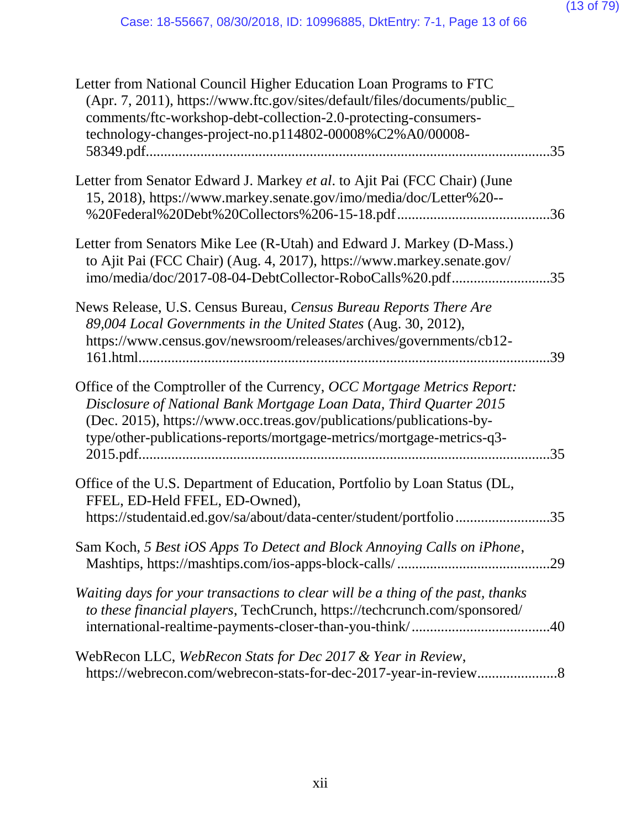| Letter from National Council Higher Education Loan Programs to FTC<br>(Apr. 7, 2011), https://www.ftc.gov/sites/default/files/documents/public_<br>comments/ftc-workshop-debt-collection-2.0-protecting-consumers-<br>technology-changes-project-no.p114802-00008%C2%A0/00008-<br>35                 |
|------------------------------------------------------------------------------------------------------------------------------------------------------------------------------------------------------------------------------------------------------------------------------------------------------|
| Letter from Senator Edward J. Markey et al. to Ajit Pai (FCC Chair) (June<br>15, 2018), https://www.markey.senate.gov/imo/media/doc/Letter%20--<br>%20Federal%20Debt%20Collectors%206-15-18.pdf.<br>.36                                                                                              |
| Letter from Senators Mike Lee (R-Utah) and Edward J. Markey (D-Mass.)<br>to Ajit Pai (FCC Chair) (Aug. 4, 2017), https://www.markey.senate.gov/<br>imo/media/doc/2017-08-04-DebtCollector-RoboCalls%20.pdf<br>.35                                                                                    |
| News Release, U.S. Census Bureau, Census Bureau Reports There Are<br>89,004 Local Governments in the United States (Aug. 30, 2012),<br>https://www.census.gov/newsroom/releases/archives/governments/cb12-<br>39                                                                                     |
| Office of the Comptroller of the Currency, OCC Mortgage Metrics Report:<br>Disclosure of National Bank Mortgage Loan Data, Third Quarter 2015<br>(Dec. 2015), https://www.occ.treas.gov/publications/publications-by-<br>type/other-publications-reports/mortgage-metrics/mortgage-metrics-q3-<br>35 |
| Office of the U.S. Department of Education, Portfolio by Loan Status (DL,<br>FFEL, ED-Held FFEL, ED-Owned),<br>https://studentaid.ed.gov/sa/about/data-center/student/portfolio35                                                                                                                    |
| Sam Koch, 5 Best iOS Apps To Detect and Block Annoying Calls on iPhone,                                                                                                                                                                                                                              |
| Waiting days for your transactions to clear will be a thing of the past, thanks<br>to these financial players, TechCrunch, https://techcrunch.com/sponsored/                                                                                                                                         |
| WebRecon LLC, WebRecon Stats for Dec 2017 & Year in Review,<br>https://webrecon.com/webrecon-stats-for-dec-2017-year-in-review8                                                                                                                                                                      |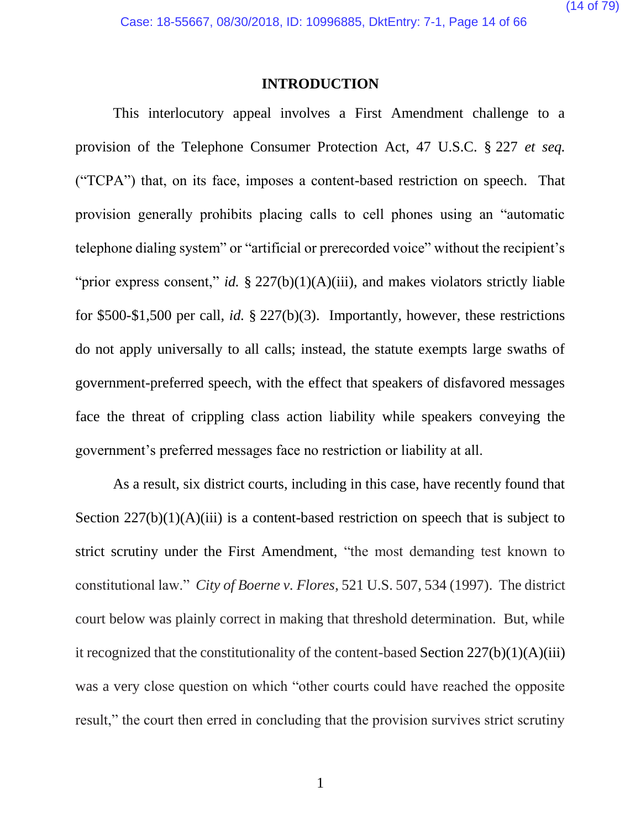#### **INTRODUCTION**

This interlocutory appeal involves a First Amendment challenge to a provision of the Telephone Consumer Protection Act, 47 U.S.C. § 227 *et seq.* ("TCPA") that, on its face, imposes a content-based restriction on speech. That provision generally prohibits placing calls to cell phones using an "automatic telephone dialing system" or "artificial or prerecorded voice" without the recipient's "prior express consent," *id.* § 227(b)(1)(A)(iii), and makes violators strictly liable for \$500-\$1,500 per call, *id.* § 227(b)(3). Importantly, however, these restrictions do not apply universally to all calls; instead, the statute exempts large swaths of government-preferred speech, with the effect that speakers of disfavored messages face the threat of crippling class action liability while speakers conveying the government's preferred messages face no restriction or liability at all.

As a result, six district courts, including in this case, have recently found that Section  $227(b)(1)(A)(iii)$  is a content-based restriction on speech that is subject to strict scrutiny under the First Amendment, "the most demanding test known to constitutional law." *City of Boerne v. Flores*, 521 U.S. 507, 534 (1997). The district court below was plainly correct in making that threshold determination. But, while it recognized that the constitutionality of the content-based Section  $227(b)(1)(A)(iii)$ was a very close question on which "other courts could have reached the opposite result," the court then erred in concluding that the provision survives strict scrutiny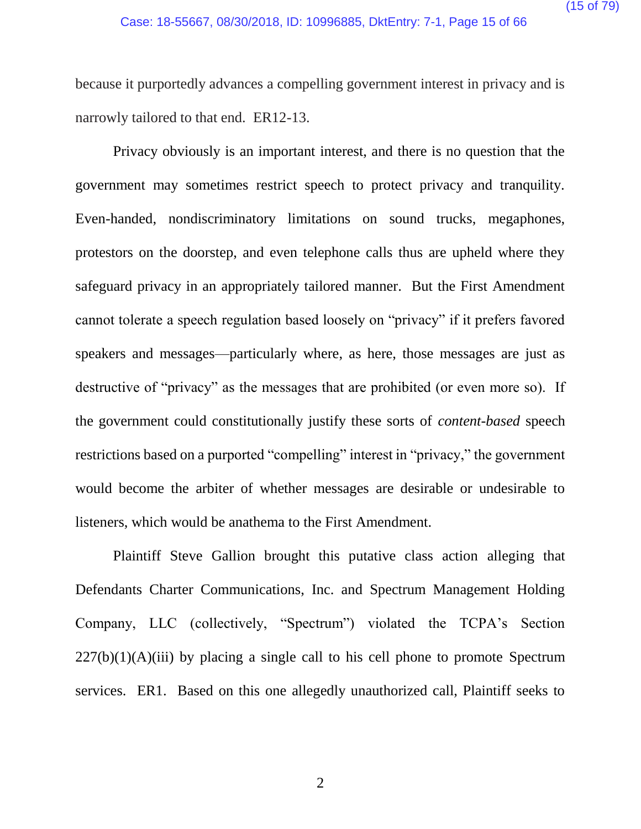because it purportedly advances a compelling government interest in privacy and is narrowly tailored to that end. ER12-13.

Privacy obviously is an important interest, and there is no question that the government may sometimes restrict speech to protect privacy and tranquility. Even-handed, nondiscriminatory limitations on sound trucks, megaphones, protestors on the doorstep, and even telephone calls thus are upheld where they safeguard privacy in an appropriately tailored manner. But the First Amendment cannot tolerate a speech regulation based loosely on "privacy" if it prefers favored speakers and messages—particularly where, as here, those messages are just as destructive of "privacy" as the messages that are prohibited (or even more so). If the government could constitutionally justify these sorts of *content-based* speech restrictions based on a purported "compelling" interest in "privacy," the government would become the arbiter of whether messages are desirable or undesirable to listeners, which would be anathema to the First Amendment.

Plaintiff Steve Gallion brought this putative class action alleging that Defendants Charter Communications, Inc. and Spectrum Management Holding Company, LLC (collectively, "Spectrum") violated the TCPA's Section  $227(b)(1)(A)(iii)$  by placing a single call to his cell phone to promote Spectrum services. ER1. Based on this one allegedly unauthorized call, Plaintiff seeks to

2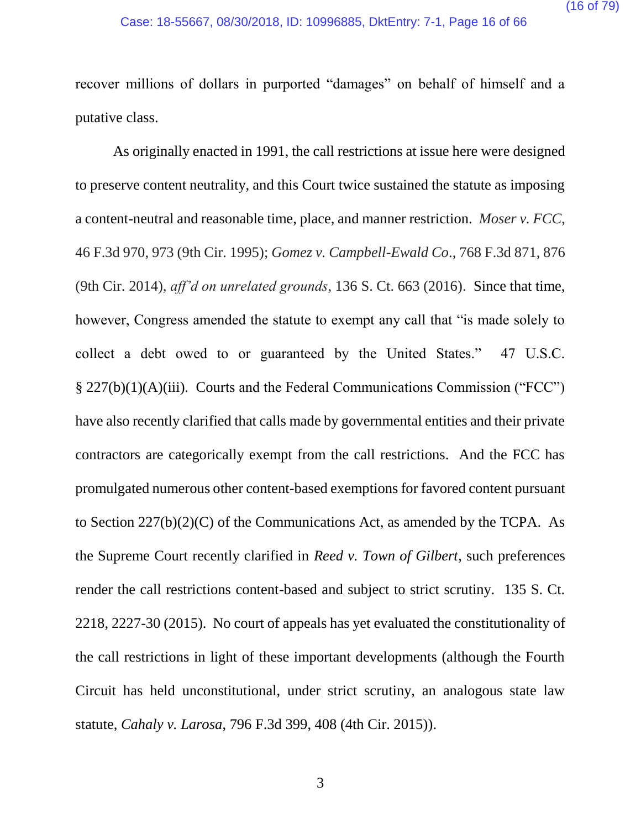recover millions of dollars in purported "damages" on behalf of himself and a putative class.

As originally enacted in 1991, the call restrictions at issue here were designed to preserve content neutrality, and this Court twice sustained the statute as imposing a content-neutral and reasonable time, place, and manner restriction. *Moser v. FCC*, 46 F.3d 970, 973 (9th Cir. 1995); *Gomez v. Campbell-Ewald Co*., 768 F.3d 871, 876 (9th Cir. 2014), *aff'd on unrelated grounds*, 136 S. Ct. 663 (2016). Since that time, however, Congress amended the statute to exempt any call that "is made solely to collect a debt owed to or guaranteed by the United States." 47 U.S.C. § 227(b)(1)(A)(iii)*.* Courts and the Federal Communications Commission ("FCC") have also recently clarified that calls made by governmental entities and their private contractors are categorically exempt from the call restrictions. And the FCC has promulgated numerous other content-based exemptions for favored content pursuant to Section 227(b)(2)(C) of the Communications Act, as amended by the TCPA. As the Supreme Court recently clarified in *Reed v. Town of Gilbert*, such preferences render the call restrictions content-based and subject to strict scrutiny. 135 S. Ct. 2218, 2227-30 (2015). No court of appeals has yet evaluated the constitutionality of the call restrictions in light of these important developments (although the Fourth Circuit has held unconstitutional, under strict scrutiny, an analogous state law statute, *Cahaly v. Larosa*, 796 F.3d 399, 408 (4th Cir. 2015)).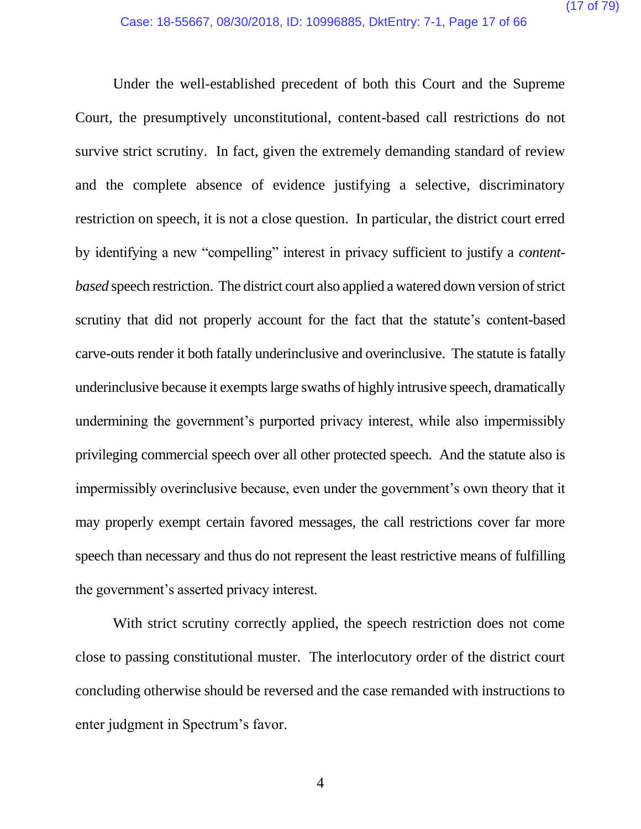Under the well-established precedent of both this Court and the Supreme Court, the presumptively unconstitutional, content-based call restrictions do not survive strict scrutiny. In fact, given the extremely demanding standard of review and the complete absence of evidence justifying a selective, discriminatory restriction on speech, it is not a close question. In particular, the district court erred by identifying a new "compelling" interest in privacy sufficient to justify a *contentbased* speech restriction. The district court also applied a watered down version of strict scrutiny that did not properly account for the fact that the statute's content-based carve-outs render it both fatally underinclusive and overinclusive. The statute is fatally underinclusive because it exempts large swaths of highly intrusive speech, dramatically undermining the government's purported privacy interest, while also impermissibly privileging commercial speech over all other protected speech. And the statute also is impermissibly overinclusive because, even under the government's own theory that it may properly exempt certain favored messages, the call restrictions cover far more speech than necessary and thus do not represent the least restrictive means of fulfilling the government's asserted privacy interest.

With strict scrutiny correctly applied, the speech restriction does not come close to passing constitutional muster. The interlocutory order of the district court concluding otherwise should be reversed and the case remanded with instructions to enter judgment in Spectrum's favor.

4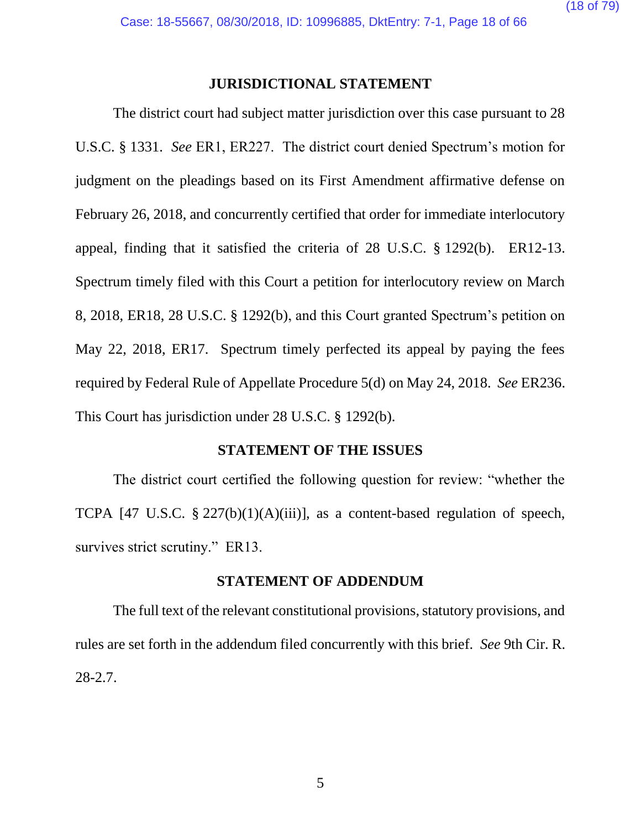#### **JURISDICTIONAL STATEMENT**

The district court had subject matter jurisdiction over this case pursuant to 28 U.S.C. § 1331. *See* ER1, ER227. The district court denied Spectrum's motion for judgment on the pleadings based on its First Amendment affirmative defense on February 26, 2018, and concurrently certified that order for immediate interlocutory appeal, finding that it satisfied the criteria of 28 U.S.C. § 1292(b). ER12-13. Spectrum timely filed with this Court a petition for interlocutory review on March 8, 2018, ER18, 28 U.S.C. § 1292(b), and this Court granted Spectrum's petition on May 22, 2018, ER17. Spectrum timely perfected its appeal by paying the fees required by Federal Rule of Appellate Procedure 5(d) on May 24, 2018. *See* ER236. This Court has jurisdiction under 28 U.S.C. § 1292(b).

#### **STATEMENT OF THE ISSUES**

The district court certified the following question for review: "whether the TCPA [47 U.S.C. § 227(b)(1)(A)(iii)], as a content-based regulation of speech, survives strict scrutiny." ER13.

#### **STATEMENT OF ADDENDUM**

The full text of the relevant constitutional provisions, statutory provisions, and rules are set forth in the addendum filed concurrently with this brief. *See* 9th Cir. R. 28-2.7.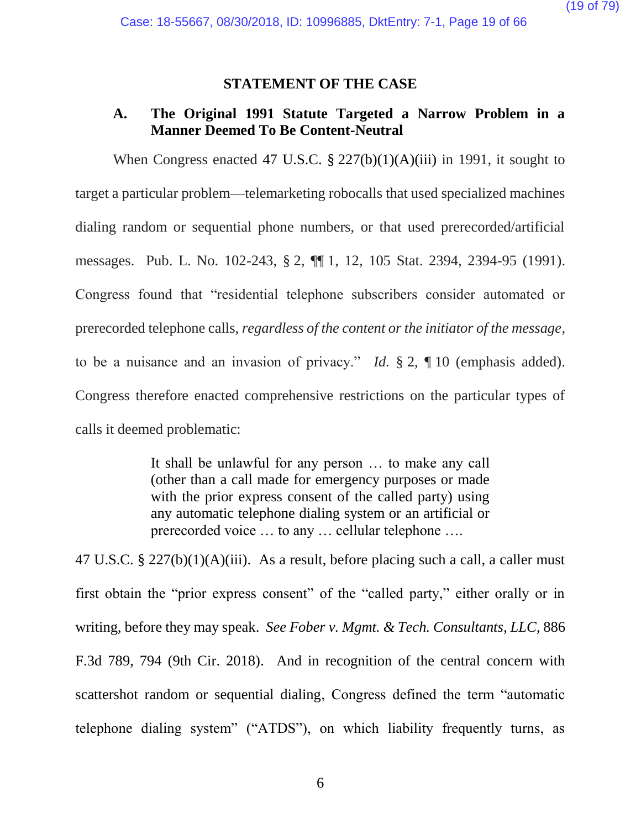### **STATEMENT OF THE CASE**

## **A. The Original 1991 Statute Targeted a Narrow Problem in a Manner Deemed To Be Content-Neutral**

When Congress enacted 47 U.S.C.  $\S 227(b)(1)(A)(iii)$  in 1991, it sought to target a particular problem—telemarketing robocalls that used specialized machines dialing random or sequential phone numbers, or that used prerecorded/artificial messages. Pub. L. No. 102-243, § 2, ¶¶ 1, 12, 105 Stat. 2394, 2394-95 (1991). Congress found that "residential telephone subscribers consider automated or prerecorded telephone calls, *regardless of the content or the initiator of the message*, to be a nuisance and an invasion of privacy." *Id.* § 2, ¶ 10 (emphasis added). Congress therefore enacted comprehensive restrictions on the particular types of calls it deemed problematic:

> It shall be unlawful for any person … to make any call (other than a call made for emergency purposes or made with the prior express consent of the called party) using any automatic telephone dialing system or an artificial or prerecorded voice … to any … cellular telephone ….

47 U.S.C. § 227(b)(1)(A)(iii). As a result, before placing such a call, a caller must first obtain the "prior express consent" of the "called party," either orally or in writing, before they may speak. *See Fober v. Mgmt. & Tech. Consultants, LLC*, 886 F.3d 789, 794 (9th Cir. 2018). And in recognition of the central concern with scattershot random or sequential dialing, Congress defined the term "automatic telephone dialing system" ("ATDS"), on which liability frequently turns, as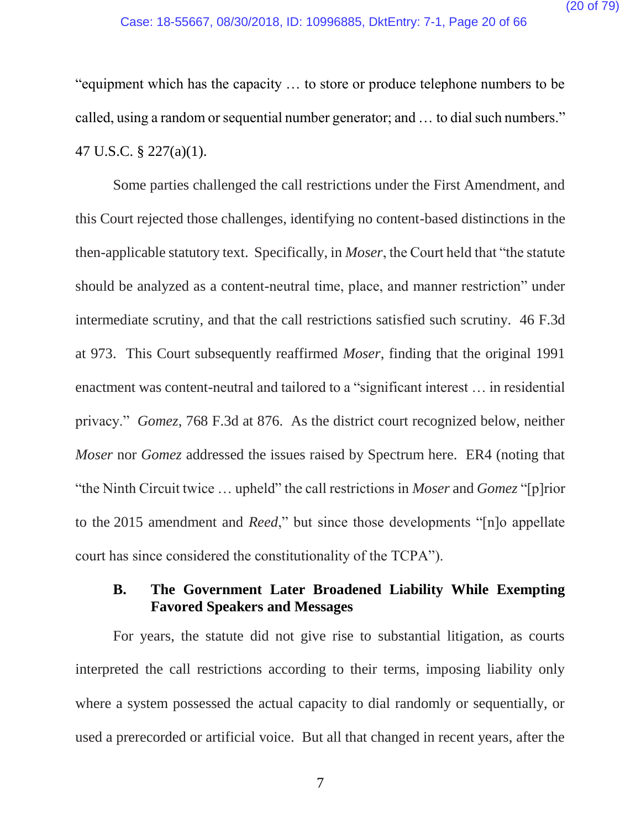"equipment which has the capacity … to store or produce telephone numbers to be called, using a random or sequential number generator; and … to dial such numbers." 47 U.S.C. § 227(a)(1).

Some parties challenged the call restrictions under the First Amendment, and this Court rejected those challenges, identifying no content-based distinctions in the then-applicable statutory text. Specifically, in *Moser*, the Court held that "the statute should be analyzed as a content-neutral time, place, and manner restriction" under intermediate scrutiny, and that the call restrictions satisfied such scrutiny. 46 F.3d at 973. This Court subsequently reaffirmed *Moser*, finding that the original 1991 enactment was content-neutral and tailored to a "significant interest … in residential privacy." *Gomez*, 768 F.3d at 876. As the district court recognized below, neither *Moser* nor *Gomez* addressed the issues raised by Spectrum here. ER4 (noting that "the Ninth Circuit twice … upheld" the call restrictions in *Moser* and *Gomez* "[p]rior to the 2015 amendment and *Reed*," but since those developments "[n]o appellate court has since considered the constitutionality of the TCPA").

## **B. The Government Later Broadened Liability While Exempting Favored Speakers and Messages**

For years, the statute did not give rise to substantial litigation, as courts interpreted the call restrictions according to their terms, imposing liability only where a system possessed the actual capacity to dial randomly or sequentially, or used a prerecorded or artificial voice. But all that changed in recent years, after the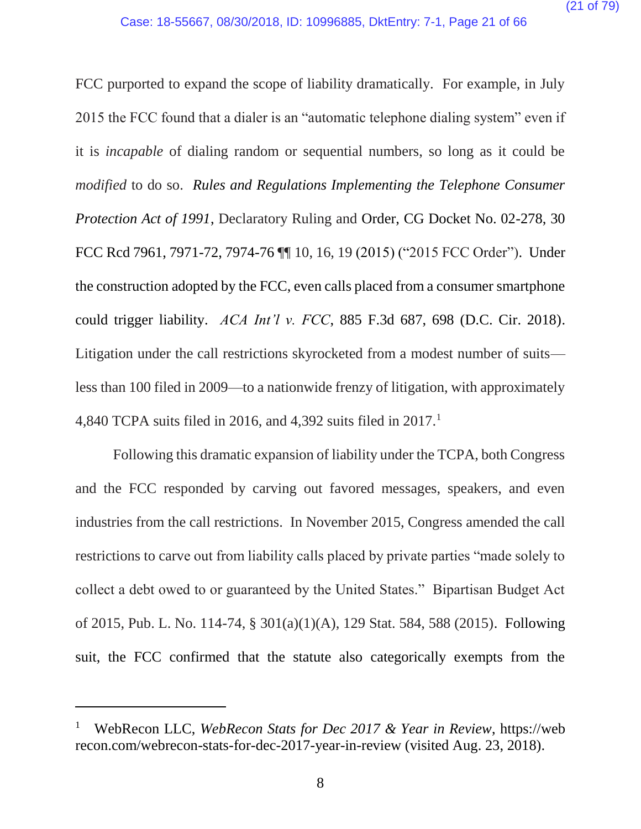FCC purported to expand the scope of liability dramatically. For example, in July 2015 the FCC found that a dialer is an "automatic telephone dialing system" even if it is *incapable* of dialing random or sequential numbers, so long as it could be *modified* to do so. *Rules and Regulations Implementing the Telephone Consumer Protection Act of 1991*, Declaratory Ruling and Order, CG Docket No. 02-278, 30 FCC Rcd 7961, 7971-72, 7974-76 ¶¶ 10, 16, 19 (2015) ("2015 FCC Order"). Under the construction adopted by the FCC, even calls placed from a consumer smartphone could trigger liability. *ACA Int'l v. FCC*, 885 F.3d 687, 698 (D.C. Cir. 2018). Litigation under the call restrictions skyrocketed from a modest number of suits less than 100 filed in 2009—to a nationwide frenzy of litigation, with approximately 4,840 TCPA suits filed in 2016, and 4,392 suits filed in  $2017$ .<sup>1</sup>

Following this dramatic expansion of liability under the TCPA, both Congress and the FCC responded by carving out favored messages, speakers, and even industries from the call restrictions. In November 2015, Congress amended the call restrictions to carve out from liability calls placed by private parties "made solely to collect a debt owed to or guaranteed by the United States." Bipartisan Budget Act of 2015, Pub. L. No. 114-74, § 301(a)(1)(A), 129 Stat. 584, 588 (2015). Following suit, the FCC confirmed that the statute also categorically exempts from the

<sup>1</sup> WebRecon LLC, *WebRecon Stats for Dec 2017 & Year in Review*, https://web recon.com/webrecon-stats-for-dec-2017-year-in-review (visited Aug. 23, 2018).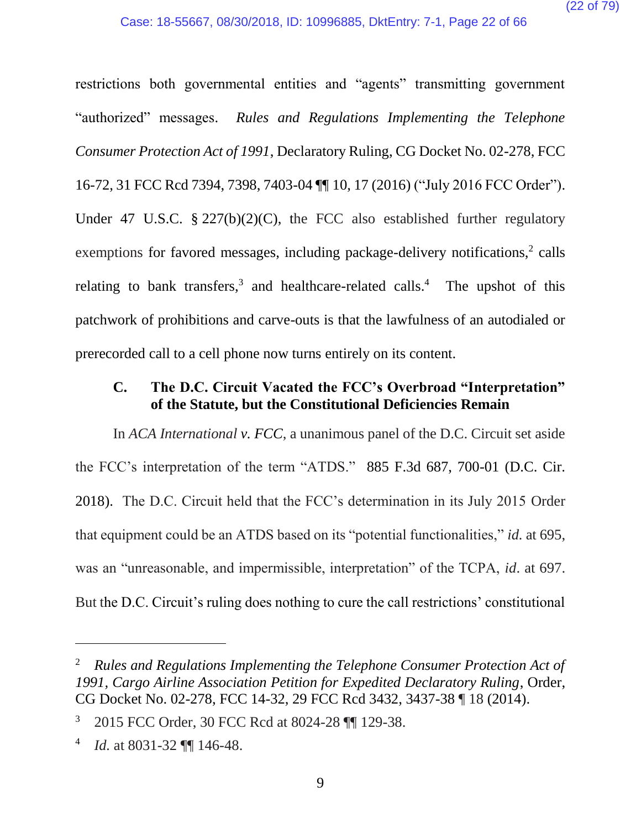restrictions both governmental entities and "agents" transmitting government "authorized" messages. *Rules and Regulations Implementing the Telephone Consumer Protection Act of 1991*, Declaratory Ruling, CG Docket No. 02-278, FCC 16-72, 31 FCC Rcd 7394, 7398, 7403-04 ¶¶ 10, 17 (2016) ("July 2016 FCC Order"). Under 47 U.S.C. § 227(b)(2)(C), the FCC also established further regulatory exemptions for favored messages, including package-delivery notifications,<sup>2</sup> calls relating to bank transfers,<sup>3</sup> and healthcare-related calls.<sup>4</sup> The upshot of this patchwork of prohibitions and carve-outs is that the lawfulness of an autodialed or prerecorded call to a cell phone now turns entirely on its content.

## **C. The D.C. Circuit Vacated the FCC's Overbroad "Interpretation" of the Statute, but the Constitutional Deficiencies Remain**

In *ACA International v. FCC*, a unanimous panel of the D.C. Circuit set aside the FCC's interpretation of the term "ATDS." 885 F.3d 687, 700-01 (D.C. Cir. 2018). The D.C. Circuit held that the FCC's determination in its July 2015 Order that equipment could be an ATDS based on its "potential functionalities," *id.* at 695, was an "unreasonable, and impermissible, interpretation" of the TCPA, *id*. at 697. But the D.C. Circuit's ruling does nothing to cure the call restrictions' constitutional

<sup>2</sup> *Rules and Regulations Implementing the Telephone Consumer Protection Act of 1991, Cargo Airline Association Petition for Expedited Declaratory Ruling*, Order, CG Docket No. 02-278, FCC 14-32, 29 FCC Rcd 3432, 3437-38 ¶ 18 (2014).

<sup>3</sup> 2015 FCC Order, 30 FCC Rcd at 8024-28 ¶¶ 129-38.

<sup>4</sup> *Id.* at 8031-32 **[1]** 146-48.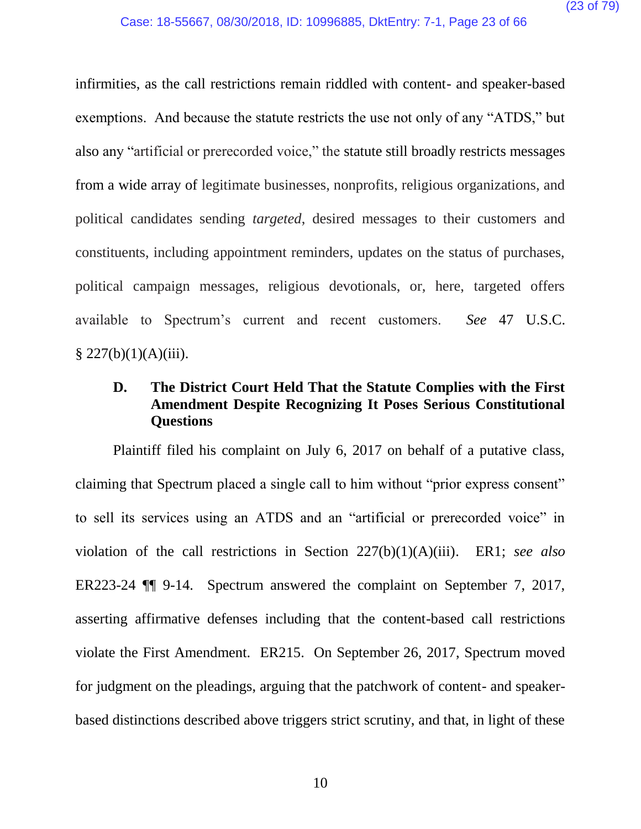infirmities, as the call restrictions remain riddled with content- and speaker-based exemptions. And because the statute restricts the use not only of any "ATDS," but also any "artificial or prerecorded voice," the statute still broadly restricts messages from a wide array of legitimate businesses, nonprofits, religious organizations, and political candidates sending *targeted*, desired messages to their customers and constituents, including appointment reminders, updates on the status of purchases, political campaign messages, religious devotionals, or, here, targeted offers available to Spectrum's current and recent customers. *See* 47 U.S.C.  $$ 227(b)(1)(A)(iii).$ 

## **D. The District Court Held That the Statute Complies with the First Amendment Despite Recognizing It Poses Serious Constitutional Questions**

Plaintiff filed his complaint on July 6, 2017 on behalf of a putative class, claiming that Spectrum placed a single call to him without "prior express consent" to sell its services using an ATDS and an "artificial or prerecorded voice" in violation of the call restrictions in Section 227(b)(1)(A)(iii). ER1; *see also*  ER223-24 ¶¶ 9-14. Spectrum answered the complaint on September 7, 2017, asserting affirmative defenses including that the content-based call restrictions violate the First Amendment. ER215. On September 26, 2017, Spectrum moved for judgment on the pleadings, arguing that the patchwork of content- and speakerbased distinctions described above triggers strict scrutiny, and that, in light of these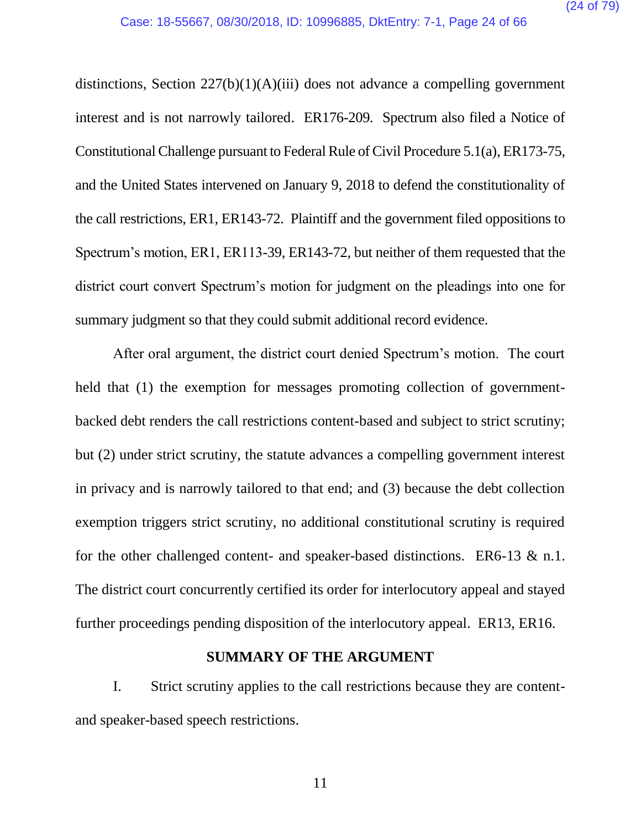distinctions, Section 227(b)(1)(A)(iii) does not advance a compelling government interest and is not narrowly tailored. ER176-209. Spectrum also filed a Notice of Constitutional Challenge pursuant to Federal Rule of Civil Procedure 5.1(a), ER173-75, and the United States intervened on January 9, 2018 to defend the constitutionality of the call restrictions, ER1, ER143-72. Plaintiff and the government filed oppositions to Spectrum's motion, ER1, ER113-39, ER143-72, but neither of them requested that the district court convert Spectrum's motion for judgment on the pleadings into one for summary judgment so that they could submit additional record evidence.

After oral argument, the district court denied Spectrum's motion. The court held that (1) the exemption for messages promoting collection of governmentbacked debt renders the call restrictions content-based and subject to strict scrutiny; but (2) under strict scrutiny, the statute advances a compelling government interest in privacy and is narrowly tailored to that end; and (3) because the debt collection exemption triggers strict scrutiny, no additional constitutional scrutiny is required for the other challenged content- and speaker-based distinctions. ER6-13 & n.1. The district court concurrently certified its order for interlocutory appeal and stayed further proceedings pending disposition of the interlocutory appeal. ER13, ER16.

#### **SUMMARY OF THE ARGUMENT**

I. Strict scrutiny applies to the call restrictions because they are contentand speaker-based speech restrictions.

11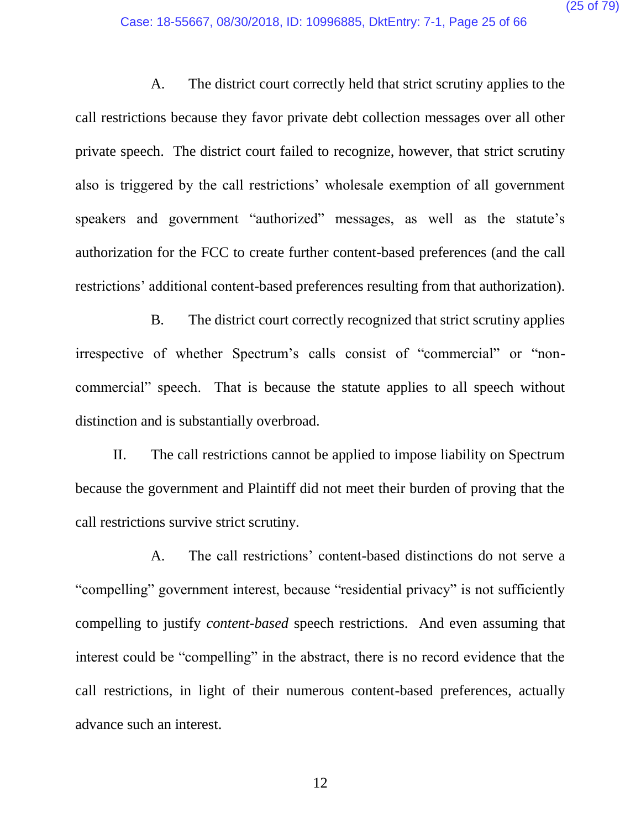A. The district court correctly held that strict scrutiny applies to the call restrictions because they favor private debt collection messages over all other private speech. The district court failed to recognize, however, that strict scrutiny also is triggered by the call restrictions' wholesale exemption of all government speakers and government "authorized" messages, as well as the statute's authorization for the FCC to create further content-based preferences (and the call restrictions' additional content-based preferences resulting from that authorization).

B. The district court correctly recognized that strict scrutiny applies irrespective of whether Spectrum's calls consist of "commercial" or "noncommercial" speech. That is because the statute applies to all speech without distinction and is substantially overbroad.

II. The call restrictions cannot be applied to impose liability on Spectrum because the government and Plaintiff did not meet their burden of proving that the call restrictions survive strict scrutiny.

A. The call restrictions' content-based distinctions do not serve a "compelling" government interest, because "residential privacy" is not sufficiently compelling to justify *content-based* speech restrictions. And even assuming that interest could be "compelling" in the abstract, there is no record evidence that the call restrictions, in light of their numerous content-based preferences, actually advance such an interest.

12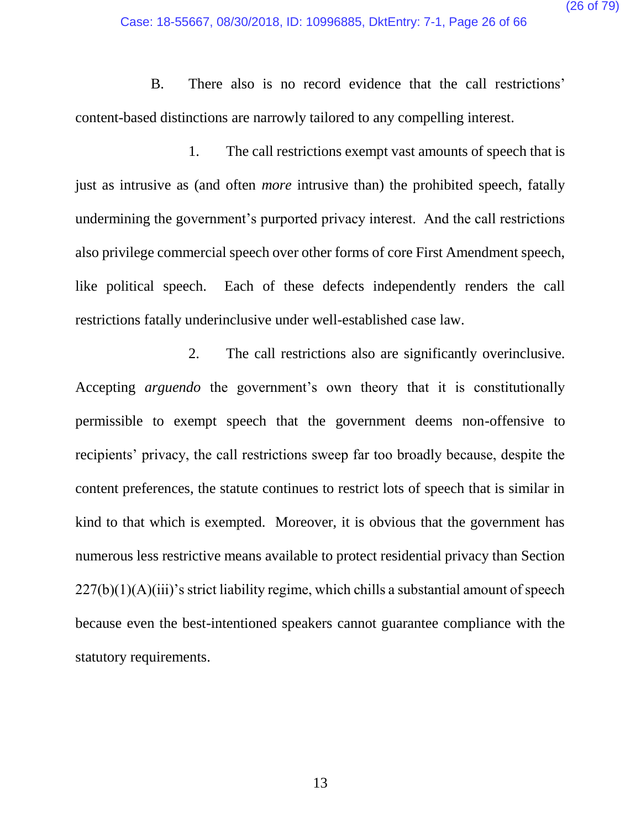B. There also is no record evidence that the call restrictions' content-based distinctions are narrowly tailored to any compelling interest.

1. The call restrictions exempt vast amounts of speech that is just as intrusive as (and often *more* intrusive than) the prohibited speech, fatally undermining the government's purported privacy interest. And the call restrictions also privilege commercial speech over other forms of core First Amendment speech, like political speech. Each of these defects independently renders the call restrictions fatally underinclusive under well-established case law.

2. The call restrictions also are significantly overinclusive. Accepting *arguendo* the government's own theory that it is constitutionally permissible to exempt speech that the government deems non-offensive to recipients' privacy, the call restrictions sweep far too broadly because, despite the content preferences, the statute continues to restrict lots of speech that is similar in kind to that which is exempted. Moreover, it is obvious that the government has numerous less restrictive means available to protect residential privacy than Section  $227(b)(1)(A)(iii)$ 's strict liability regime, which chills a substantial amount of speech because even the best-intentioned speakers cannot guarantee compliance with the statutory requirements.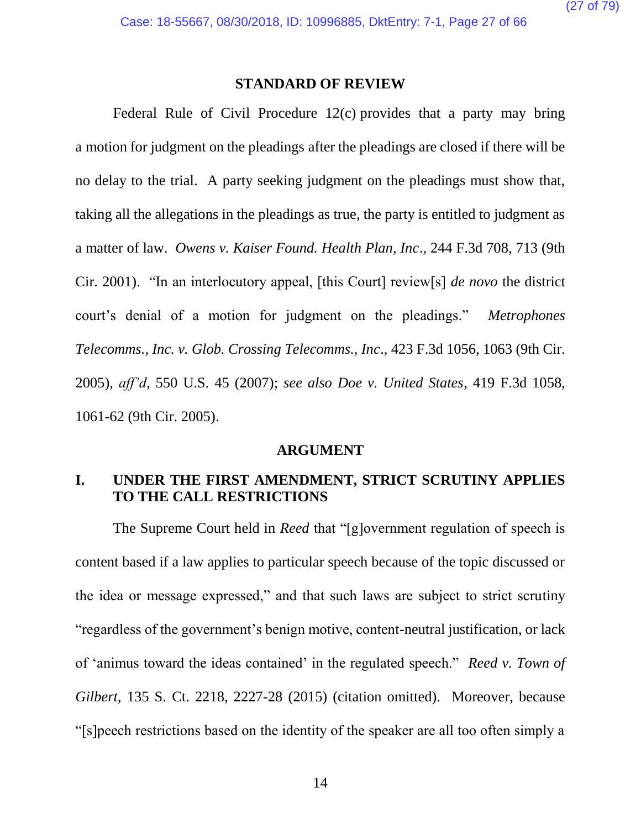#### **STANDARD OF REVIEW**

Federal Rule of Civil Procedure 12(c) provides that a party may bring a motion for judgment on the pleadings after the pleadings are closed if there will be no delay to the trial. A party seeking judgment on the pleadings must show that, taking all the allegations in the pleadings as true, the party is entitled to judgment as a matter of law. *Owens v. Kaiser Found. Health Plan, Inc*., 244 F.3d 708, 713 (9th Cir. 2001). "In an interlocutory appeal, [this Court] review[s] *de novo* the district court's denial of a motion for judgment on the pleadings." *Metrophones Telecomms., Inc. v. Glob. Crossing Telecomms., Inc*., 423 F.3d 1056, 1063 (9th Cir. 2005), *aff'd*, 550 U.S. 45 (2007); *see also Doe v. United States*, 419 F.3d 1058, 1061-62 (9th Cir. 2005).

#### **ARGUMENT**

## **I. UNDER THE FIRST AMENDMENT, STRICT SCRUTINY APPLIES TO THE CALL RESTRICTIONS**

The Supreme Court held in *Reed* that "[g]overnment regulation of speech is content based if a law applies to particular speech because of the topic discussed or the idea or message expressed," and that such laws are subject to strict scrutiny "regardless of the government's benign motive, content-neutral justification, or lack of 'animus toward the ideas contained' in the regulated speech." *Reed v. Town of Gilbert*, 135 S. Ct. 2218, 2227-28 (2015) (citation omitted). Moreover, because "[s]peech restrictions based on the identity of the speaker are all too often simply a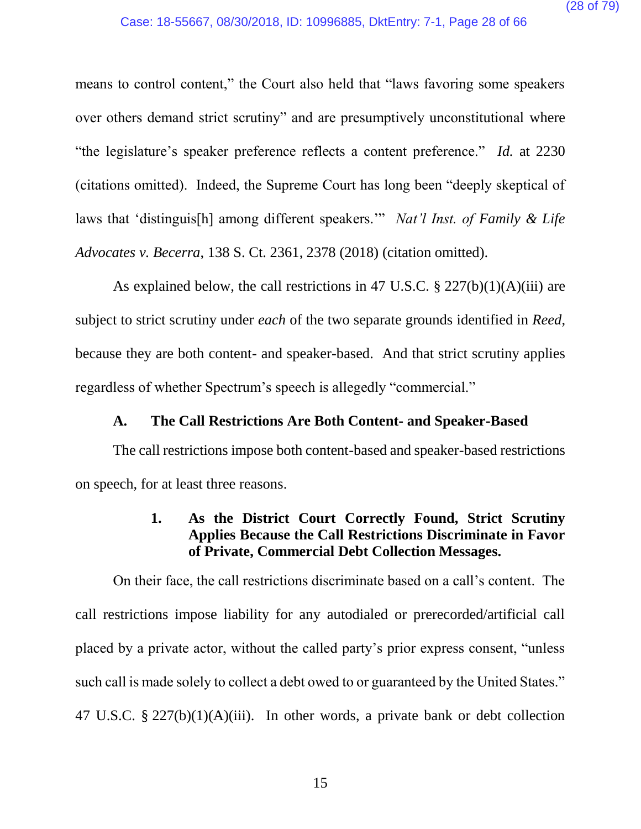means to control content," the Court also held that "laws favoring some speakers over others demand strict scrutiny" and are presumptively unconstitutional where "the legislature's speaker preference reflects a content preference." *Id.* at 2230 (citations omitted). Indeed, the Supreme Court has long been "deeply skeptical of laws that 'distinguis[h] among different speakers.'" *Nat'l Inst. of Family & Life Advocates v. Becerra*, 138 S. Ct. 2361, 2378 (2018) (citation omitted).

As explained below, the call restrictions in 47 U.S.C.  $\S 227(b)(1)(A)(iii)$  are subject to strict scrutiny under *each* of the two separate grounds identified in *Reed*, because they are both content- and speaker-based. And that strict scrutiny applies regardless of whether Spectrum's speech is allegedly "commercial."

### **A. The Call Restrictions Are Both Content- and Speaker-Based**

The call restrictions impose both content-based and speaker-based restrictions on speech, for at least three reasons.

## **1. As the District Court Correctly Found, Strict Scrutiny Applies Because the Call Restrictions Discriminate in Favor of Private, Commercial Debt Collection Messages.**

On their face, the call restrictions discriminate based on a call's content. The call restrictions impose liability for any autodialed or prerecorded/artificial call placed by a private actor, without the called party's prior express consent, "unless such call is made solely to collect a debt owed to or guaranteed by the United States." 47 U.S.C. § 227(b)(1)(A)(iii). In other words, a private bank or debt collection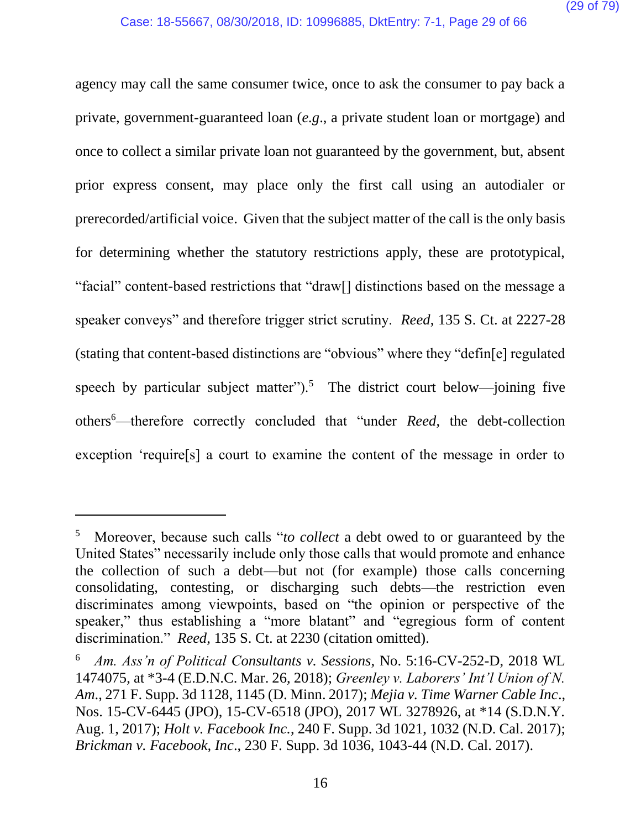agency may call the same consumer twice, once to ask the consumer to pay back a private, government-guaranteed loan (*e.g*., a private student loan or mortgage) and once to collect a similar private loan not guaranteed by the government, but, absent prior express consent, may place only the first call using an autodialer or prerecorded/artificial voice. Given that the subject matter of the call is the only basis for determining whether the statutory restrictions apply, these are prototypical, "facial" content-based restrictions that "draw[] distinctions based on the message a speaker conveys" and therefore trigger strict scrutiny. *Reed*, 135 S. Ct. at 2227-28 (stating that content-based distinctions are "obvious" where they "defin[e] regulated speech by particular subject matter").<sup>5</sup> The district court below—joining five others<sup>6</sup>—therefore correctly concluded that "under *Reed*, the debt-collection exception 'require[s] a court to examine the content of the message in order to

<sup>5</sup> Moreover, because such calls "*to collect* a debt owed to or guaranteed by the United States" necessarily include only those calls that would promote and enhance the collection of such a debt—but not (for example) those calls concerning consolidating, contesting, or discharging such debts—the restriction even discriminates among viewpoints, based on "the opinion or perspective of the speaker," thus establishing a "more blatant" and "egregious form of content discrimination." *Reed*, 135 S. Ct. at 2230 (citation omitted).

<sup>6</sup> *Am. Ass'n of Political Consultants v. Sessions*, No. 5:16-CV-252-D, 2018 WL 1474075, at \*3-4 (E.D.N.C. Mar. 26, 2018); *Greenley v. Laborers' Int'l Union of N. Am*., 271 F. Supp. 3d 1128, 1145 (D. Minn. 2017); *Mejia v. Time Warner Cable Inc*., Nos. 15-CV-6445 (JPO), 15-CV-6518 (JPO), 2017 WL 3278926, at \*14 (S.D.N.Y. Aug. 1, 2017); *Holt v. Facebook Inc.*, 240 F. Supp. 3d 1021, 1032 (N.D. Cal. 2017); *Brickman v. Facebook, Inc*., 230 F. Supp. 3d 1036, 1043-44 (N.D. Cal. 2017).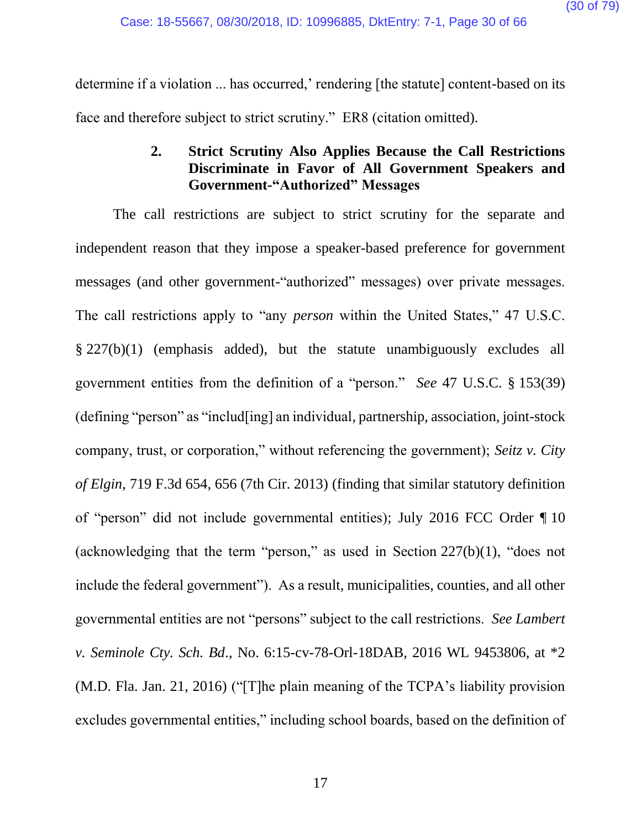determine if a violation ... has occurred,' rendering [the statute] content-based on its face and therefore subject to strict scrutiny." ER8 (citation omitted).

## **2. Strict Scrutiny Also Applies Because the Call Restrictions Discriminate in Favor of All Government Speakers and Government-"Authorized" Messages**

The call restrictions are subject to strict scrutiny for the separate and independent reason that they impose a speaker-based preference for government messages (and other government-"authorized" messages) over private messages. The call restrictions apply to "any *person* within the United States," 47 U.S.C. § 227(b)(1) (emphasis added), but the statute unambiguously excludes all government entities from the definition of a "person." *See* 47 U.S.C. § 153(39) (defining "person" as "includ[ing] an individual, partnership, association, joint-stock company, trust, or corporation," without referencing the government); *Seitz v. City of Elgin*, 719 F.3d 654, 656 (7th Cir. 2013) (finding that similar statutory definition of "person" did not include governmental entities); July 2016 FCC Order ¶ 10 (acknowledging that the term "person," as used in Section 227(b)(1), "does not include the federal government"). As a result, municipalities, counties, and all other governmental entities are not "persons" subject to the call restrictions. *See Lambert v. Seminole Cty. Sch. Bd*., No. 6:15-cv-78-Orl-18DAB, 2016 WL 9453806, at \*2 (M.D. Fla. Jan. 21, 2016) ("[T]he plain meaning of the TCPA's liability provision excludes governmental entities," including school boards, based on the definition of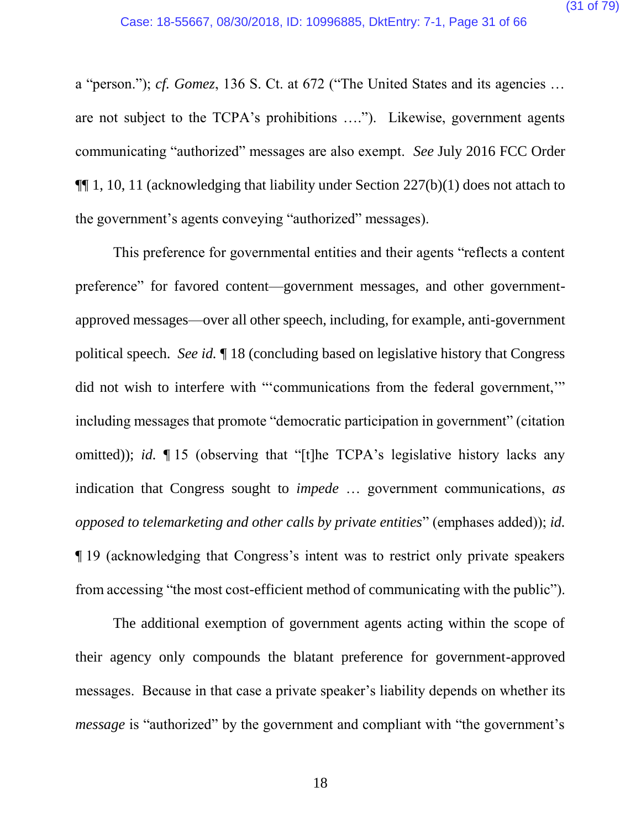a "person."); *cf. Gomez*, 136 S. Ct. at 672 ("The United States and its agencies … are not subject to the TCPA's prohibitions …."). Likewise, government agents communicating "authorized" messages are also exempt. *See* July 2016 FCC Order ¶¶ 1, 10, 11 (acknowledging that liability under Section 227(b)(1) does not attach to the government's agents conveying "authorized" messages).

This preference for governmental entities and their agents "reflects a content preference" for favored content—government messages, and other governmentapproved messages—over all other speech, including, for example, anti-government political speech. *See id.* ¶ 18 (concluding based on legislative history that Congress did not wish to interfere with "'communications from the federal government,'" including messages that promote "democratic participation in government" (citation omitted)); *id.* ¶ 15 (observing that "[t]he TCPA's legislative history lacks any indication that Congress sought to *impede* … government communications, *as opposed to telemarketing and other calls by private entities*" (emphases added)); *id.* ¶ 19 (acknowledging that Congress's intent was to restrict only private speakers from accessing "the most cost-efficient method of communicating with the public").

The additional exemption of government agents acting within the scope of their agency only compounds the blatant preference for government-approved messages. Because in that case a private speaker's liability depends on whether its *message* is "authorized" by the government and compliant with "the government's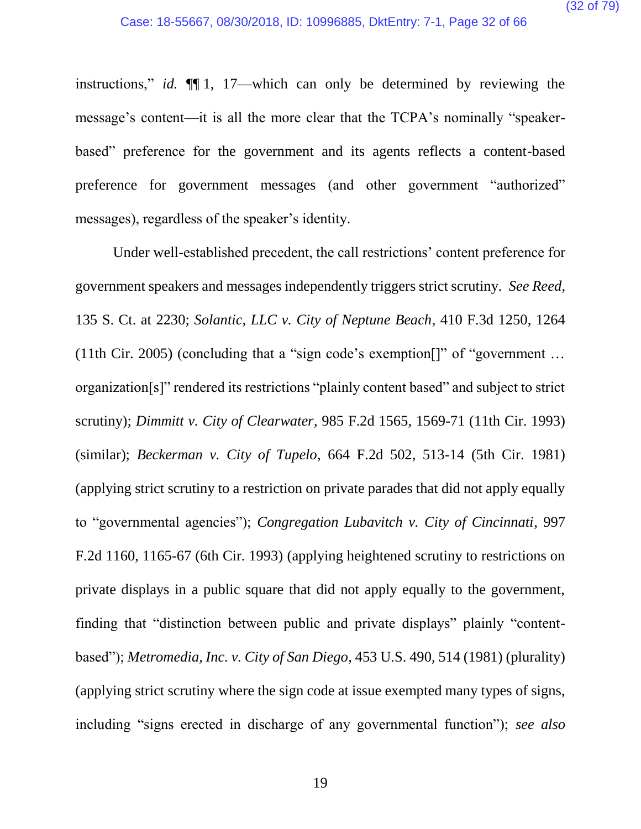instructions," *id.* ¶¶ 1, 17—which can only be determined by reviewing the message's content—it is all the more clear that the TCPA's nominally "speakerbased" preference for the government and its agents reflects a content-based preference for government messages (and other government "authorized" messages), regardless of the speaker's identity.

Under well-established precedent, the call restrictions' content preference for government speakers and messages independently triggers strict scrutiny. *See Reed*, 135 S. Ct. at 2230; *Solantic, LLC v. City of Neptune Beach*, 410 F.3d 1250, 1264 (11th Cir. 2005) (concluding that a "sign code's exemption[]" of "government … organization[s]" rendered its restrictions "plainly content based" and subject to strict scrutiny); *Dimmitt v. City of Clearwater*, 985 F.2d 1565, 1569-71 (11th Cir. 1993) (similar); *Beckerman v. City of Tupelo*, 664 F.2d 502, 513-14 (5th Cir. 1981) (applying strict scrutiny to a restriction on private parades that did not apply equally to "governmental agencies"); *Congregation Lubavitch v. City of Cincinnati*, 997 F.2d 1160, 1165-67 (6th Cir. 1993) (applying heightened scrutiny to restrictions on private displays in a public square that did not apply equally to the government, finding that "distinction between public and private displays" plainly "contentbased"); *Metromedia, Inc. v. City of San Diego*, 453 U.S. 490, 514 (1981) (plurality) (applying strict scrutiny where the sign code at issue exempted many types of signs, including "signs erected in discharge of any governmental function"); *see also*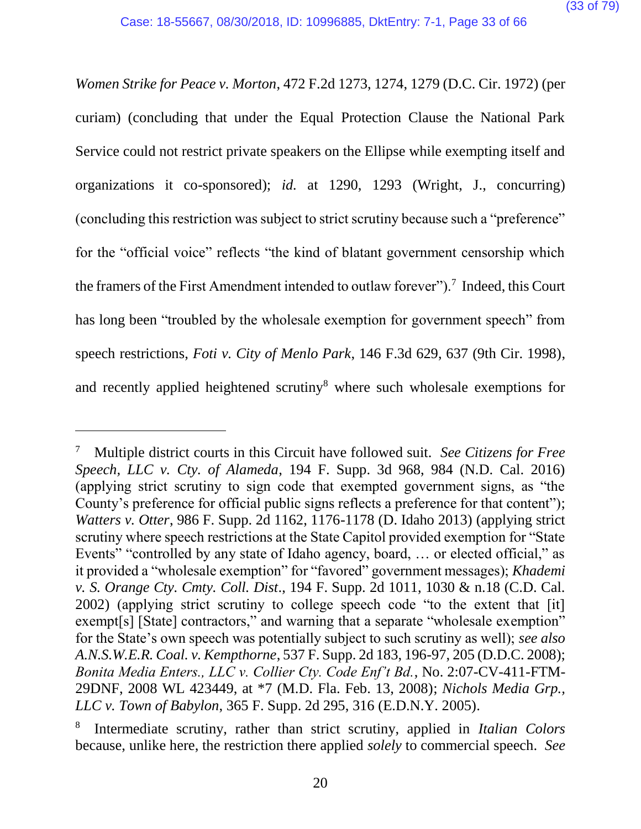*Women Strike for Peace v. Morton*, 472 F.2d 1273, 1274, 1279 (D.C. Cir. 1972) (per curiam) (concluding that under the Equal Protection Clause the National Park Service could not restrict private speakers on the Ellipse while exempting itself and organizations it co-sponsored); *id.* at 1290, 1293 (Wright, J., concurring) (concluding this restriction was subject to strict scrutiny because such a "preference" for the "official voice" reflects "the kind of blatant government censorship which the framers of the First Amendment intended to outlaw forever").<sup>7</sup> Indeed, this Court has long been "troubled by the wholesale exemption for government speech" from speech restrictions, *Foti v. City of Menlo Park*, 146 F.3d 629, 637 (9th Cir. 1998), and recently applied heightened scrutiny<sup>8</sup> where such wholesale exemptions for

<sup>7</sup> Multiple district courts in this Circuit have followed suit. *See Citizens for Free Speech, LLC v. Cty. of Alameda*, 194 F. Supp. 3d 968, 984 (N.D. Cal. 2016) (applying strict scrutiny to sign code that exempted government signs, as "the County's preference for official public signs reflects a preference for that content"); *Watters v. Otter*, 986 F. Supp. 2d 1162, 1176-1178 (D. Idaho 2013) (applying strict scrutiny where speech restrictions at the State Capitol provided exemption for "State Events" "controlled by any state of Idaho agency, board, … or elected official," as it provided a "wholesale exemption" for "favored" government messages); *Khademi v. S. Orange Cty. Cmty. Coll. Dist*., 194 F. Supp. 2d 1011, 1030 & n.18 (C.D. Cal. 2002) (applying strict scrutiny to college speech code "to the extent that [it] exempt<sup>[s]</sup> [State] contractors," and warning that a separate "wholesale exemption" for the State's own speech was potentially subject to such scrutiny as well); *see also A.N.S.W.E.R. Coal. v. Kempthorne*, 537 F. Supp. 2d 183, 196-97, 205 (D.D.C. 2008); *Bonita Media Enters., LLC v. Collier Cty. Code Enf't Bd.*, No. 2:07-CV-411-FTM-29DNF, 2008 WL 423449, at \*7 (M.D. Fla. Feb. 13, 2008); *Nichols Media Grp., LLC v. Town of Babylon*, 365 F. Supp. 2d 295, 316 (E.D.N.Y. 2005).

<sup>8</sup> Intermediate scrutiny, rather than strict scrutiny, applied in *Italian Colors* because, unlike here, the restriction there applied *solely* to commercial speech. *See*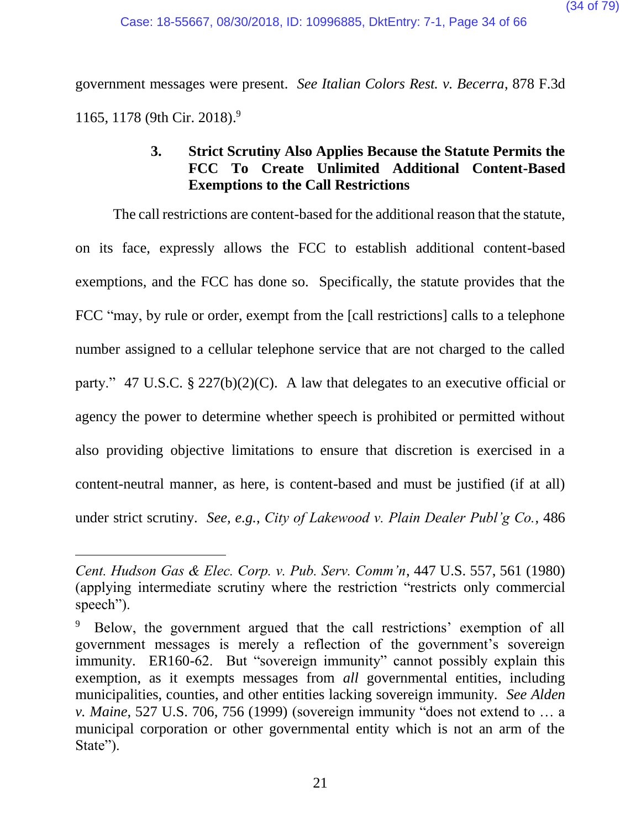government messages were present. *See Italian Colors Rest. v. Becerra*, 878 F.3d 1165, 1178 (9th Cir. 2018). 9

## **3. Strict Scrutiny Also Applies Because the Statute Permits the FCC To Create Unlimited Additional Content-Based Exemptions to the Call Restrictions**

The call restrictions are content-based for the additional reason that the statute, on its face, expressly allows the FCC to establish additional content-based exemptions, and the FCC has done so. Specifically, the statute provides that the FCC "may, by rule or order, exempt from the [call restrictions] calls to a telephone number assigned to a cellular telephone service that are not charged to the called party." 47 U.S.C. § 227(b)(2)(C). A law that delegates to an executive official or agency the power to determine whether speech is prohibited or permitted without also providing objective limitations to ensure that discretion is exercised in a content-neutral manner, as here, is content-based and must be justified (if at all) under strict scrutiny. *See, e.g.*, *City of Lakewood v. Plain Dealer Publ'g Co.*, 486

l

*Cent. Hudson Gas & Elec. Corp. v. Pub. Serv. Comm'n*, 447 U.S. 557, 561 (1980) (applying intermediate scrutiny where the restriction "restricts only commercial speech").

<sup>9</sup> Below, the government argued that the call restrictions' exemption of all government messages is merely a reflection of the government's sovereign immunity. ER160-62. But "sovereign immunity" cannot possibly explain this exemption, as it exempts messages from *all* governmental entities, including municipalities, counties, and other entities lacking sovereign immunity. *See Alden v. Maine*, 527 U.S. 706, 756 (1999) (sovereign immunity "does not extend to … a municipal corporation or other governmental entity which is not an arm of the State").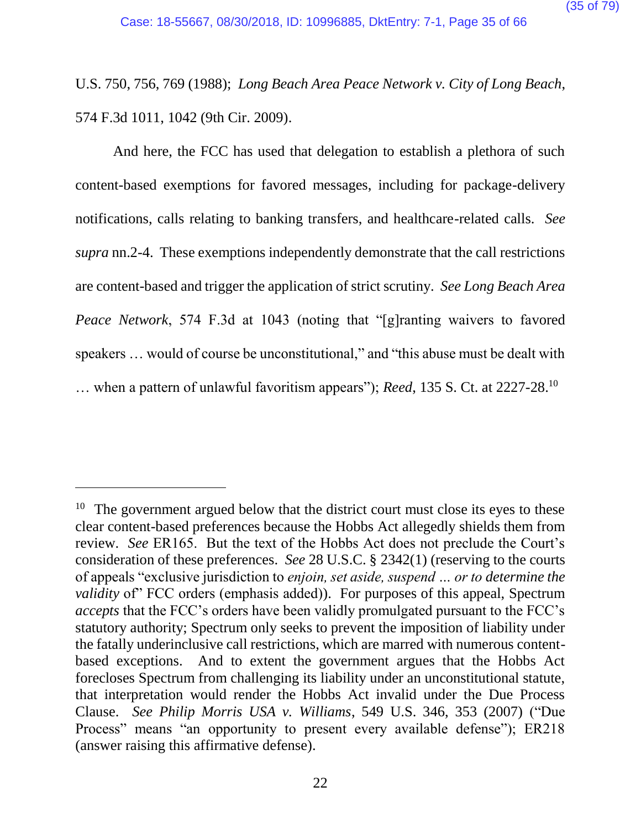U.S. 750, 756, 769 (1988); *Long Beach Area Peace Network v. City of Long Beach*, 574 F.3d 1011, 1042 (9th Cir. 2009).

And here, the FCC has used that delegation to establish a plethora of such content-based exemptions for favored messages, including for package-delivery notifications, calls relating to banking transfers, and healthcare-related calls. *See supra* nn.2-4. These exemptions independently demonstrate that the call restrictions are content-based and trigger the application of strict scrutiny. *See Long Beach Area Peace Network*, 574 F.3d at 1043 (noting that "[g]ranting waivers to favored speakers … would of course be unconstitutional," and "this abuse must be dealt with … when a pattern of unlawful favoritism appears"); *Reed*, 135 S. Ct. at 2227-28.<sup>10</sup>

<sup>&</sup>lt;sup>10</sup> The government argued below that the district court must close its eyes to these clear content-based preferences because the Hobbs Act allegedly shields them from review. *See* ER165. But the text of the Hobbs Act does not preclude the Court's consideration of these preferences. *See* 28 U.S.C. § 2342(1) (reserving to the courts of appeals "exclusive jurisdiction to *enjoin, set aside, suspend … or to determine the validity* of FCC orders (emphasis added)). For purposes of this appeal, Spectrum *accepts* that the FCC's orders have been validly promulgated pursuant to the FCC's statutory authority; Spectrum only seeks to prevent the imposition of liability under the fatally underinclusive call restrictions, which are marred with numerous contentbased exceptions. And to extent the government argues that the Hobbs Act forecloses Spectrum from challenging its liability under an unconstitutional statute, that interpretation would render the Hobbs Act invalid under the Due Process Clause. *See Philip Morris USA v. Williams*, 549 U.S. 346, 353 (2007) ("Due Process" means "an opportunity to present every available defense"); ER218 (answer raising this affirmative defense).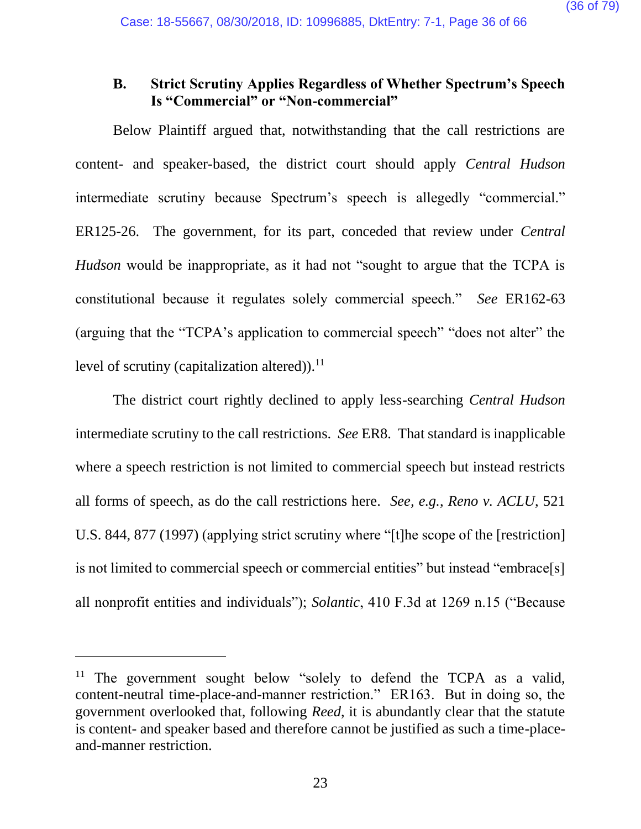## **B. Strict Scrutiny Applies Regardless of Whether Spectrum's Speech Is "Commercial" or "Non-commercial"**

Below Plaintiff argued that, notwithstanding that the call restrictions are content- and speaker-based, the district court should apply *Central Hudson* intermediate scrutiny because Spectrum's speech is allegedly "commercial." ER125-26. The government, for its part, conceded that review under *Central Hudson* would be inappropriate, as it had not "sought to argue that the TCPA is constitutional because it regulates solely commercial speech." *See* ER162-63 (arguing that the "TCPA's application to commercial speech" "does not alter" the level of scrutiny (capitalization altered)). $^{11}$ 

The district court rightly declined to apply less-searching *Central Hudson* intermediate scrutiny to the call restrictions. *See* ER8. That standard is inapplicable where a speech restriction is not limited to commercial speech but instead restricts all forms of speech, as do the call restrictions here. *See, e.g.*, *Reno v. ACLU*, 521 U.S. 844, 877 (1997) (applying strict scrutiny where "[t]he scope of the [restriction] is not limited to commercial speech or commercial entities" but instead "embrace[s] all nonprofit entities and individuals"); *Solantic*, 410 F.3d at 1269 n.15 ("Because

<sup>&</sup>lt;sup>11</sup> The government sought below "solely to defend the TCPA as a valid, content-neutral time-place-and-manner restriction." ER163. But in doing so, the government overlooked that, following *Reed*, it is abundantly clear that the statute is content- and speaker based and therefore cannot be justified as such a time-placeand-manner restriction.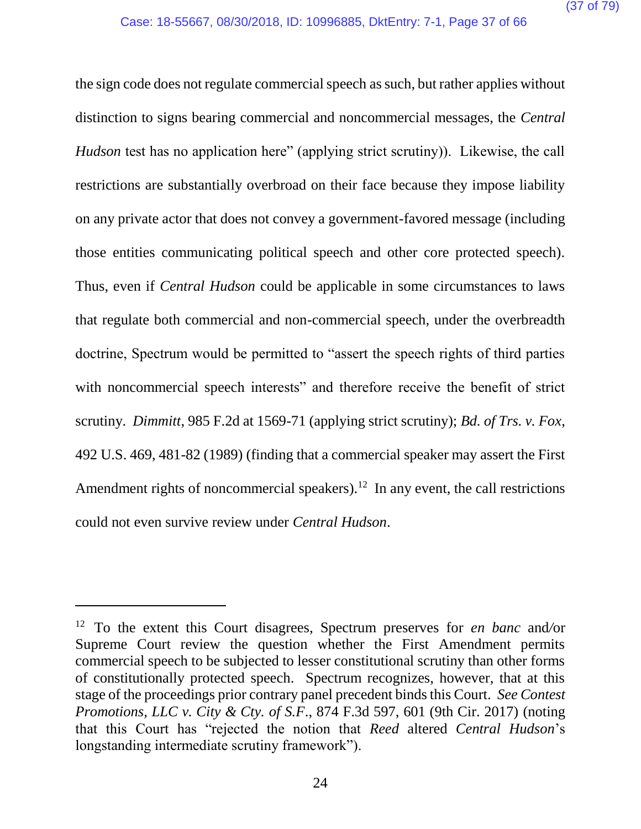the sign code does not regulate commercial speech as such, but rather applies without distinction to signs bearing commercial and noncommercial messages, the *Central Hudson* test has no application here" (applying strict scrutiny)). Likewise, the call restrictions are substantially overbroad on their face because they impose liability on any private actor that does not convey a government-favored message (including those entities communicating political speech and other core protected speech). Thus, even if *Central Hudson* could be applicable in some circumstances to laws that regulate both commercial and non-commercial speech, under the overbreadth doctrine, Spectrum would be permitted to "assert the speech rights of third parties with noncommercial speech interests" and therefore receive the benefit of strict scrutiny. *Dimmitt*, 985 F.2d at 1569-71 (applying strict scrutiny); *Bd. of Trs. v. Fox*, 492 U.S. 469, 481-82 (1989) (finding that a commercial speaker may assert the First Amendment rights of noncommercial speakers).<sup>12</sup> In any event, the call restrictions could not even survive review under *Central Hudson*.

<sup>12</sup> To the extent this Court disagrees, Spectrum preserves for *en banc* and*/*or Supreme Court review the question whether the First Amendment permits commercial speech to be subjected to lesser constitutional scrutiny than other forms of constitutionally protected speech. Spectrum recognizes, however, that at this stage of the proceedings prior contrary panel precedent binds this Court. *See Contest Promotions, LLC v. City & Cty. of S.F*., 874 F.3d 597, 601 (9th Cir. 2017) (noting that this Court has "rejected the notion that *Reed* altered *Central Hudson*'s longstanding intermediate scrutiny framework").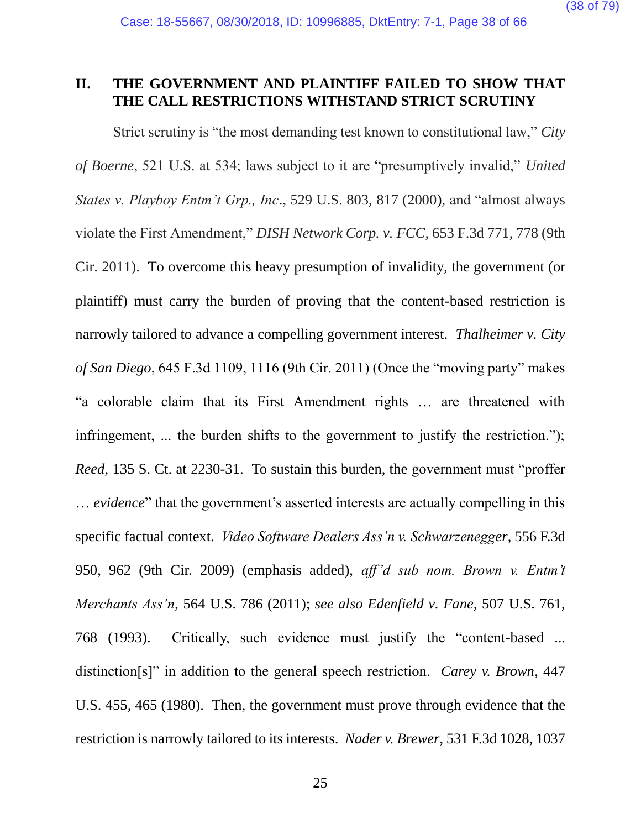# **II. THE GOVERNMENT AND PLAINTIFF FAILED TO SHOW THAT THE CALL RESTRICTIONS WITHSTAND STRICT SCRUTINY**

Strict scrutiny is "the most demanding test known to constitutional law," *City of Boerne*, 521 U.S. at 534; laws subject to it are "presumptively invalid," *United States v. Playboy Entm't Grp., Inc*., 529 U.S. 803, 817 (2000), and "almost always violate the First Amendment," *DISH Network Corp. v. FCC*, 653 F.3d 771, 778 (9th Cir. 2011). To overcome this heavy presumption of invalidity, the government (or plaintiff) must carry the burden of proving that the content-based restriction is narrowly tailored to advance a compelling government interest. *Thalheimer v. City of San Diego*, 645 F.3d 1109, 1116 (9th Cir. 2011) (Once the "moving party" makes "a colorable claim that its First Amendment rights … are threatened with infringement, ... the burden shifts to the government to justify the restriction."); *Reed*, 135 S. Ct. at 2230-31. To sustain this burden, the government must "proffer … *evidence*" that the government's asserted interests are actually compelling in this specific factual context. *Video Software Dealers Ass'n v. Schwarzenegger*, 556 F.3d 950, 962 (9th Cir. 2009) (emphasis added), *aff'd sub nom. Brown v. Entm't Merchants Ass'n*, 564 U.S. 786 (2011); *see also Edenfield v. Fane*, 507 U.S. 761, 768 (1993). Critically, such evidence must justify the "content-based ... distinction[s]" in addition to the general speech restriction. *Carey v. Brown*, 447 U.S. 455, 465 (1980). Then, the government must prove through evidence that the restriction is narrowly tailored to its interests. *Nader v. Brewer*, 531 F.3d 1028, 1037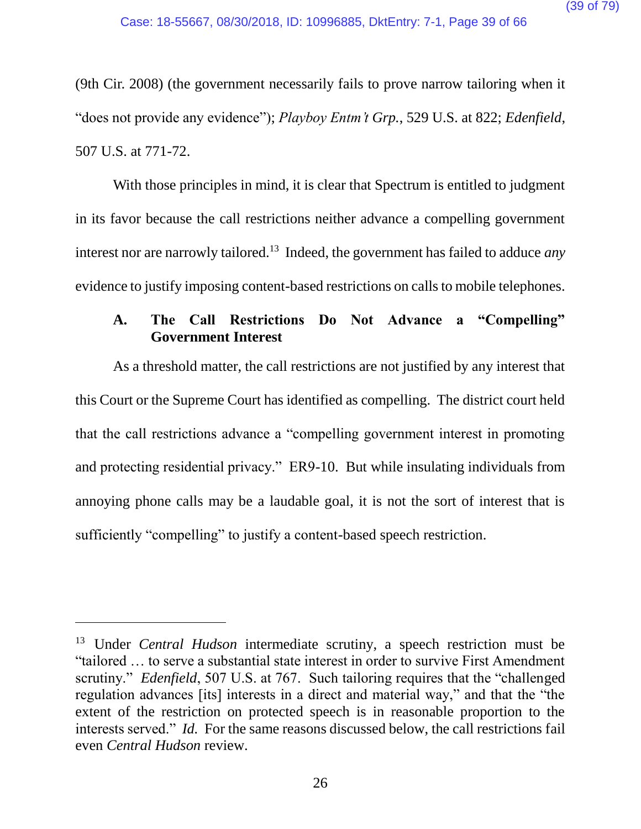(9th Cir. 2008) (the government necessarily fails to prove narrow tailoring when it "does not provide any evidence"); *Playboy Entm't Grp.*, 529 U.S. at 822; *Edenfield*, 507 U.S. at 771-72.

With those principles in mind, it is clear that Spectrum is entitled to judgment in its favor because the call restrictions neither advance a compelling government interest nor are narrowly tailored.<sup>13</sup> Indeed, the government has failed to adduce *any* evidence to justify imposing content-based restrictions on calls to mobile telephones.

# **A. The Call Restrictions Do Not Advance a "Compelling" Government Interest**

As a threshold matter, the call restrictions are not justified by any interest that this Court or the Supreme Court has identified as compelling. The district court held that the call restrictions advance a "compelling government interest in promoting and protecting residential privacy." ER9-10. But while insulating individuals from annoying phone calls may be a laudable goal, it is not the sort of interest that is sufficiently "compelling" to justify a content-based speech restriction.

<sup>13</sup> Under *Central Hudson* intermediate scrutiny, a speech restriction must be "tailored … to serve a substantial state interest in order to survive First Amendment scrutiny." *Edenfield*, 507 U.S. at 767. Such tailoring requires that the "challenged regulation advances [its] interests in a direct and material way," and that the "the extent of the restriction on protected speech is in reasonable proportion to the interests served." *Id.* For the same reasons discussed below, the call restrictions fail even *Central Hudson* review.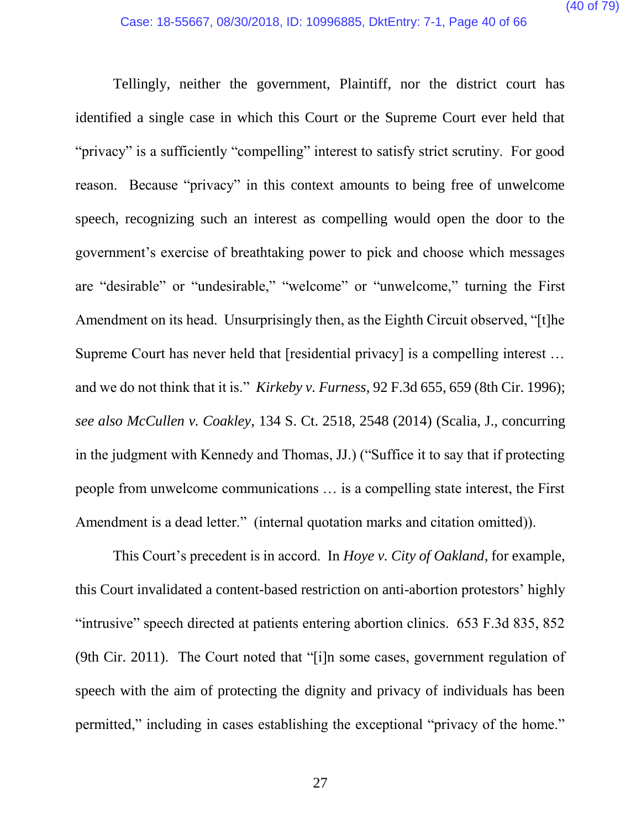Tellingly, neither the government, Plaintiff, nor the district court has identified a single case in which this Court or the Supreme Court ever held that "privacy" is a sufficiently "compelling" interest to satisfy strict scrutiny. For good reason. Because "privacy" in this context amounts to being free of unwelcome speech, recognizing such an interest as compelling would open the door to the government's exercise of breathtaking power to pick and choose which messages are "desirable" or "undesirable," "welcome" or "unwelcome," turning the First Amendment on its head. Unsurprisingly then, as the Eighth Circuit observed, "[t]he Supreme Court has never held that [residential privacy] is a compelling interest … and we do not think that it is." *Kirkeby v. Furness*, 92 F.3d 655, 659 (8th Cir. 1996); *see also McCullen v. Coakley*, 134 S. Ct. 2518, 2548 (2014) (Scalia, J., concurring in the judgment with Kennedy and Thomas, JJ.) ("Suffice it to say that if protecting people from unwelcome communications … is a compelling state interest, the First Amendment is a dead letter." (internal quotation marks and citation omitted)).

This Court's precedent is in accord. In *Hoye v. City of Oakland*, for example, this Court invalidated a content-based restriction on anti-abortion protestors' highly "intrusive" speech directed at patients entering abortion clinics. 653 F.3d 835, 852 (9th Cir. 2011). The Court noted that "[i]n some cases, government regulation of speech with the aim of protecting the dignity and privacy of individuals has been permitted," including in cases establishing the exceptional "privacy of the home."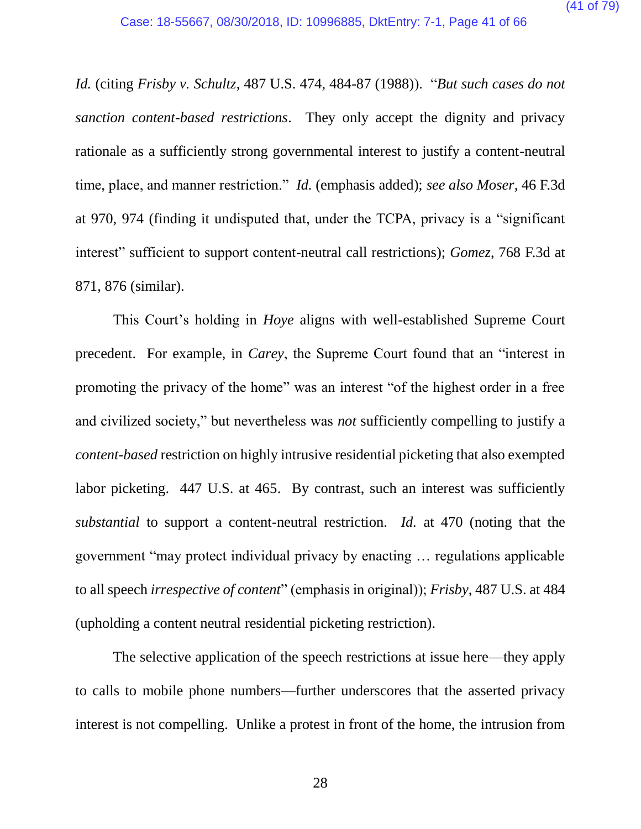*Id.* (citing *Frisby v. Schultz*, 487 U.S. 474, 484-87 (1988)). "*But such cases do not sanction content-based restrictions*. They only accept the dignity and privacy rationale as a sufficiently strong governmental interest to justify a content-neutral time, place, and manner restriction." *Id.* (emphasis added); *see also Moser*, 46 F.3d at 970, 974 (finding it undisputed that, under the TCPA, privacy is a "significant interest" sufficient to support content-neutral call restrictions); *Gomez*, 768 F.3d at 871, 876 (similar).

This Court's holding in *Hoye* aligns with well-established Supreme Court precedent. For example, in *Carey*, the Supreme Court found that an "interest in promoting the privacy of the home" was an interest "of the highest order in a free and civilized society," but nevertheless was *not* sufficiently compelling to justify a *content-based* restriction on highly intrusive residential picketing that also exempted labor picketing. 447 U.S. at 465. By contrast, such an interest was sufficiently *substantial* to support a content-neutral restriction. *Id.* at 470 (noting that the government "may protect individual privacy by enacting … regulations applicable to all speech *irrespective of content*" (emphasis in original)); *Frisby*, 487 U.S. at 484 (upholding a content neutral residential picketing restriction).

The selective application of the speech restrictions at issue here—they apply to calls to mobile phone numbers—further underscores that the asserted privacy interest is not compelling. Unlike a protest in front of the home, the intrusion from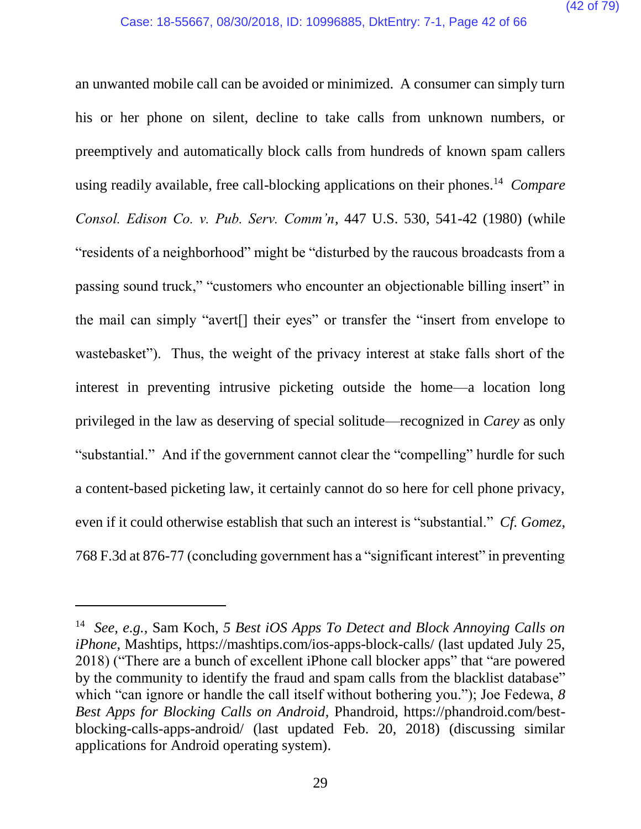an unwanted mobile call can be avoided or minimized. A consumer can simply turn his or her phone on silent, decline to take calls from unknown numbers, or preemptively and automatically block calls from hundreds of known spam callers using readily available, free call-blocking applications on their phones.<sup>14</sup> Compare *Consol. Edison Co. v. Pub. Serv. Comm'n*, 447 U.S. 530, 541-42 (1980) (while "residents of a neighborhood" might be "disturbed by the raucous broadcasts from a passing sound truck," "customers who encounter an objectionable billing insert" in the mail can simply "avert[] their eyes" or transfer the "insert from envelope to wastebasket"). Thus, the weight of the privacy interest at stake falls short of the interest in preventing intrusive picketing outside the home—a location long privileged in the law as deserving of special solitude—recognized in *Carey* as only "substantial." And if the government cannot clear the "compelling" hurdle for such a content-based picketing law, it certainly cannot do so here for cell phone privacy, even if it could otherwise establish that such an interest is "substantial." *Cf. Gomez*, 768 F.3d at 876-77 (concluding government has a "significant interest" in preventing

<sup>14</sup> *See, e.g.*, Sam Koch, *5 Best iOS Apps To Detect and Block Annoying Calls on iPhone*, Mashtips, https://mashtips.com/ios-apps-block-calls/ (last updated July 25, 2018) ("There are a bunch of excellent iPhone call blocker apps" that "are powered by the community to identify the fraud and spam calls from the blacklist database" which "can ignore or handle the call itself without bothering you."); Joe Fedewa, *8 Best Apps for Blocking Calls on Android*, Phandroid, https://phandroid.com/bestblocking-calls-apps-android/ (last updated Feb. 20, 2018) (discussing similar applications for Android operating system).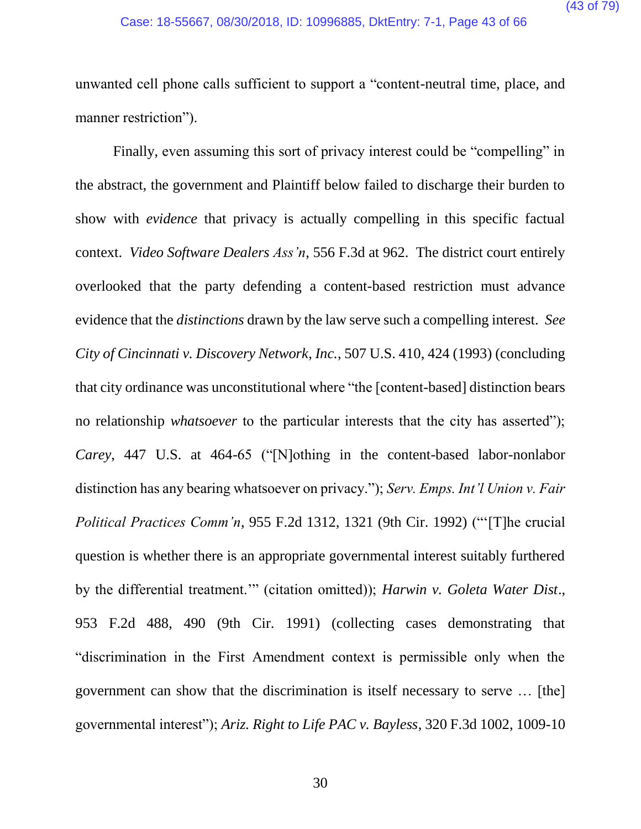unwanted cell phone calls sufficient to support a "content-neutral time, place, and manner restriction").

Finally, even assuming this sort of privacy interest could be "compelling" in the abstract, the government and Plaintiff below failed to discharge their burden to show with *evidence* that privacy is actually compelling in this specific factual context. *Video Software Dealers Ass'n*, 556 F.3d at 962. The district court entirely overlooked that the party defending a content-based restriction must advance evidence that the *distinctions* drawn by the law serve such a compelling interest. *See City of Cincinnati v. Discovery Network*, *Inc.*, 507 U.S. 410, 424 (1993) (concluding that city ordinance was unconstitutional where "the [content-based] distinction bears no relationship *whatsoever* to the particular interests that the city has asserted"); *Carey*, 447 U.S. at 464-65 ("[N]othing in the content-based labor-nonlabor distinction has any bearing whatsoever on privacy."); *Serv. Emps. Int'l Union v. Fair Political Practices Comm'n*, 955 F.2d 1312, 1321 (9th Cir. 1992) ("'[T]he crucial question is whether there is an appropriate governmental interest suitably furthered by the differential treatment.'" (citation omitted)); *Harwin v. Goleta Water Dist*., 953 F.2d 488, 490 (9th Cir. 1991) (collecting cases demonstrating that "discrimination in the First Amendment context is permissible only when the government can show that the discrimination is itself necessary to serve … [the] governmental interest"); *Ariz. Right to Life PAC v. Bayless*, 320 F.3d 1002, 1009-10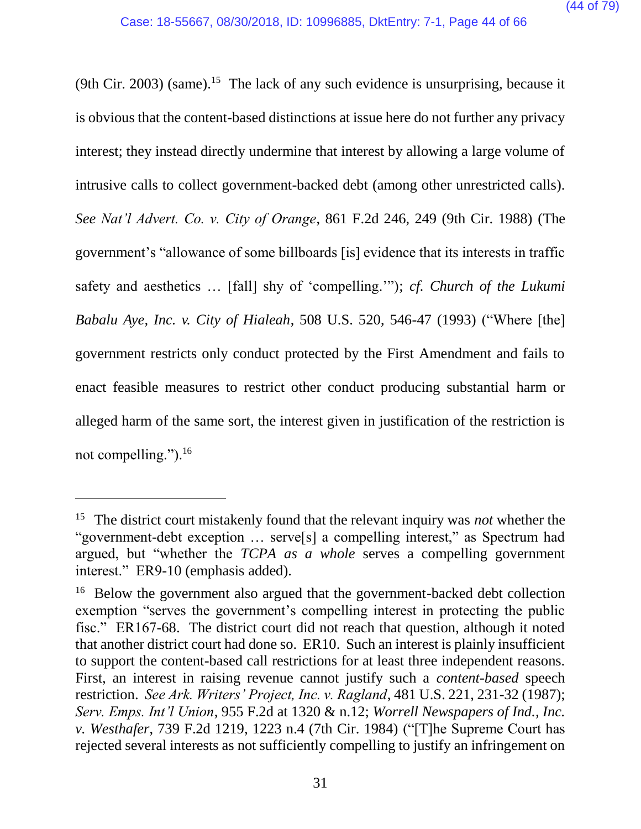(9th Cir. 2003) (same).<sup>15</sup> The lack of any such evidence is unsurprising, because it is obvious that the content-based distinctions at issue here do not further any privacy interest; they instead directly undermine that interest by allowing a large volume of intrusive calls to collect government-backed debt (among other unrestricted calls). *See Nat'l Advert. Co. v. City of Orange*, 861 F.2d 246, 249 (9th Cir. 1988) (The government's "allowance of some billboards [is] evidence that its interests in traffic safety and aesthetics … [fall] shy of 'compelling.'"); *cf. Church of the Lukumi Babalu Aye, Inc. v. City of Hialeah*, 508 U.S. 520, 546-47 (1993) ("Where [the] government restricts only conduct protected by the First Amendment and fails to enact feasible measures to restrict other conduct producing substantial harm or alleged harm of the same sort, the interest given in justification of the restriction is not compelling.").<sup>16</sup>

<sup>15</sup> The district court mistakenly found that the relevant inquiry was *not* whether the "government-debt exception … serve[s] a compelling interest," as Spectrum had argued, but "whether the *TCPA as a whole* serves a compelling government interest." ER9-10 (emphasis added).

<sup>&</sup>lt;sup>16</sup> Below the government also argued that the government-backed debt collection exemption "serves the government's compelling interest in protecting the public fisc." ER167-68. The district court did not reach that question, although it noted that another district court had done so. ER10. Such an interest is plainly insufficient to support the content-based call restrictions for at least three independent reasons. First, an interest in raising revenue cannot justify such a *content-based* speech restriction. *See Ark. Writers' Project, Inc. v. Ragland*, 481 U.S. 221, 231-32 (1987); *Serv. Emps. Int'l Union*, 955 F.2d at 1320 & n.12; *Worrell Newspapers of Ind., Inc. v. Westhafer*, 739 F.2d 1219, 1223 n.4 (7th Cir. 1984) ("[T]he Supreme Court has rejected several interests as not sufficiently compelling to justify an infringement on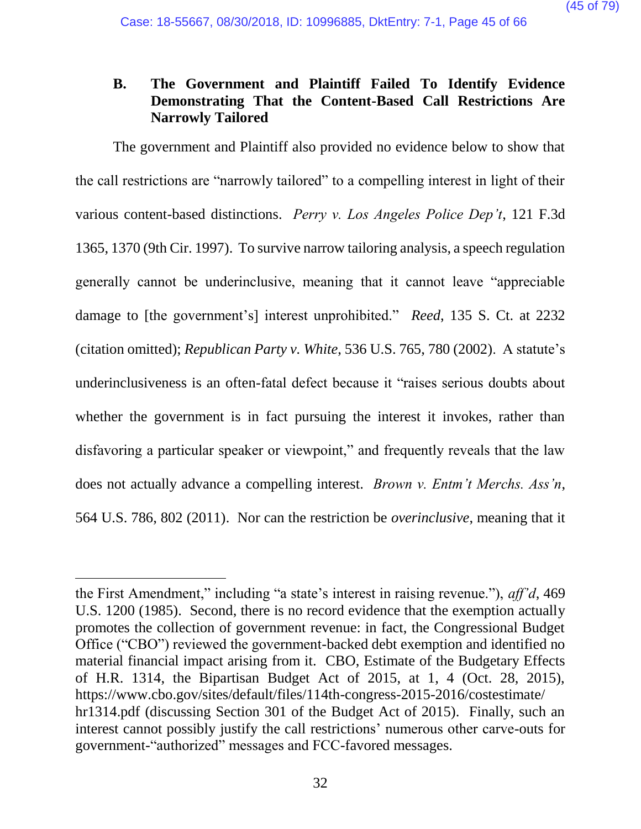# **B. The Government and Plaintiff Failed To Identify Evidence Demonstrating That the Content-Based Call Restrictions Are Narrowly Tailored**

The government and Plaintiff also provided no evidence below to show that the call restrictions are "narrowly tailored" to a compelling interest in light of their various content-based distinctions. *Perry v. Los Angeles Police Dep't*, 121 F.3d 1365, 1370 (9th Cir. 1997). To survive narrow tailoring analysis, a speech regulation generally cannot be underinclusive, meaning that it cannot leave "appreciable damage to [the government's] interest unprohibited." *Reed*, 135 S. Ct. at 2232 (citation omitted); *Republican Party v. White*, 536 U.S. 765, 780 (2002). A statute's underinclusiveness is an often-fatal defect because it "raises serious doubts about whether the government is in fact pursuing the interest it invokes, rather than disfavoring a particular speaker or viewpoint," and frequently reveals that the law does not actually advance a compelling interest. *Brown v. Entm't Merchs. Ass'n*, 564 U.S. 786, 802 (2011). Nor can the restriction be *overinclusive*, meaning that it

the First Amendment," including "a state's interest in raising revenue."), *aff'd*, 469 U.S. 1200 (1985). Second, there is no record evidence that the exemption actually promotes the collection of government revenue: in fact, the Congressional Budget Office ("CBO") reviewed the government-backed debt exemption and identified no material financial impact arising from it. CBO, Estimate of the Budgetary Effects of H.R. 1314, the Bipartisan Budget Act of 2015, at 1, 4 (Oct. 28, 2015), https://www.cbo.gov/sites/default/files/114th-congress-2015-2016/costestimate/ hr1314.pdf (discussing Section 301 of the Budget Act of 2015). Finally, such an interest cannot possibly justify the call restrictions' numerous other carve-outs for government-"authorized" messages and FCC-favored messages.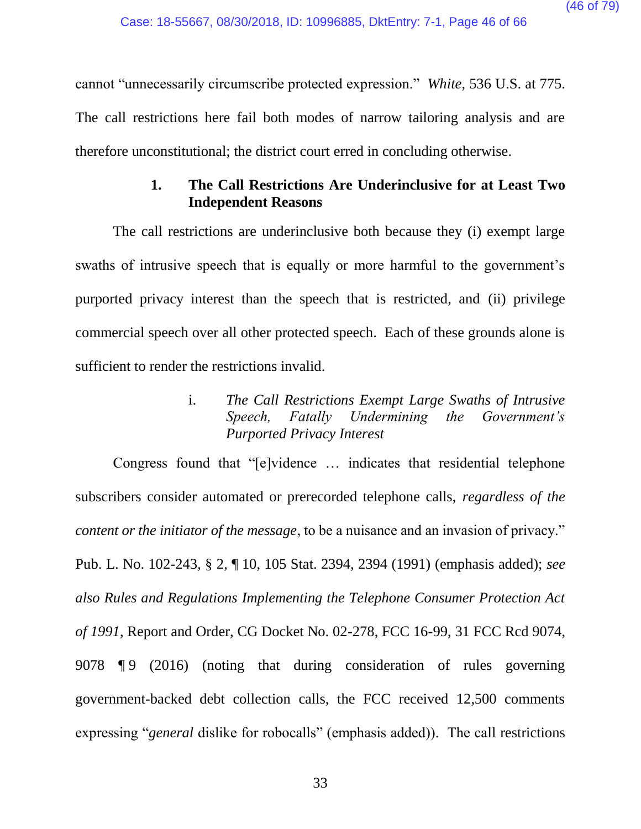cannot "unnecessarily circumscribe protected expression." *White*, 536 U.S. at 775. The call restrictions here fail both modes of narrow tailoring analysis and are therefore unconstitutional; the district court erred in concluding otherwise.

# **1. The Call Restrictions Are Underinclusive for at Least Two Independent Reasons**

The call restrictions are underinclusive both because they (i) exempt large swaths of intrusive speech that is equally or more harmful to the government's purported privacy interest than the speech that is restricted, and (ii) privilege commercial speech over all other protected speech. Each of these grounds alone is sufficient to render the restrictions invalid.

> i. *The Call Restrictions Exempt Large Swaths of Intrusive Speech, Fatally Undermining the Government's Purported Privacy Interest*

Congress found that "[e]vidence … indicates that residential telephone subscribers consider automated or prerecorded telephone calls, *regardless of the content or the initiator of the message*, to be a nuisance and an invasion of privacy." Pub. L. No. 102-243, § 2, ¶ 10, 105 Stat. 2394, 2394 (1991) (emphasis added); *see also Rules and Regulations Implementing the Telephone Consumer Protection Act of 1991*, Report and Order, CG Docket No. 02-278, FCC 16-99, 31 FCC Rcd 9074, 9078 ¶ 9 (2016) (noting that during consideration of rules governing government-backed debt collection calls, the FCC received 12,500 comments expressing "*general* dislike for robocalls" (emphasis added)). The call restrictions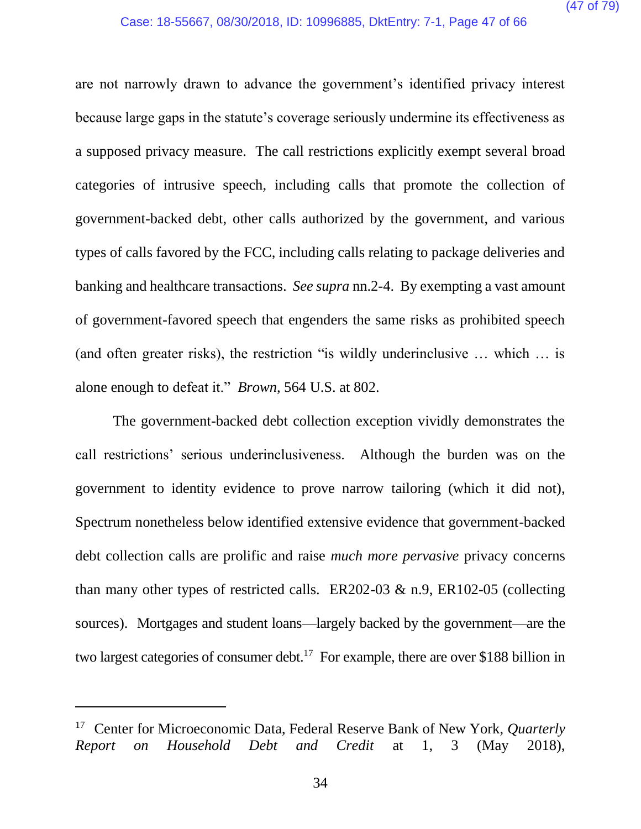are not narrowly drawn to advance the government's identified privacy interest because large gaps in the statute's coverage seriously undermine its effectiveness as a supposed privacy measure. The call restrictions explicitly exempt several broad categories of intrusive speech, including calls that promote the collection of government-backed debt, other calls authorized by the government, and various types of calls favored by the FCC, including calls relating to package deliveries and banking and healthcare transactions. *See supra* nn.2-4. By exempting a vast amount of government-favored speech that engenders the same risks as prohibited speech (and often greater risks), the restriction "is wildly underinclusive … which … is alone enough to defeat it." *Brown*, 564 U.S. at 802.

The government-backed debt collection exception vividly demonstrates the call restrictions' serious underinclusiveness. Although the burden was on the government to identity evidence to prove narrow tailoring (which it did not), Spectrum nonetheless below identified extensive evidence that government-backed debt collection calls are prolific and raise *much more pervasive* privacy concerns than many other types of restricted calls. ER202-03  $\&$  n.9, ER102-05 (collecting sources). Mortgages and student loans—largely backed by the government—are the two largest categories of consumer debt.<sup>17</sup> For example, there are over \$188 billion in

<sup>17</sup> Center for Microeconomic Data, Federal Reserve Bank of New York, *Quarterly Report on Household Debt and Credit* at 1, 3 (May 2018),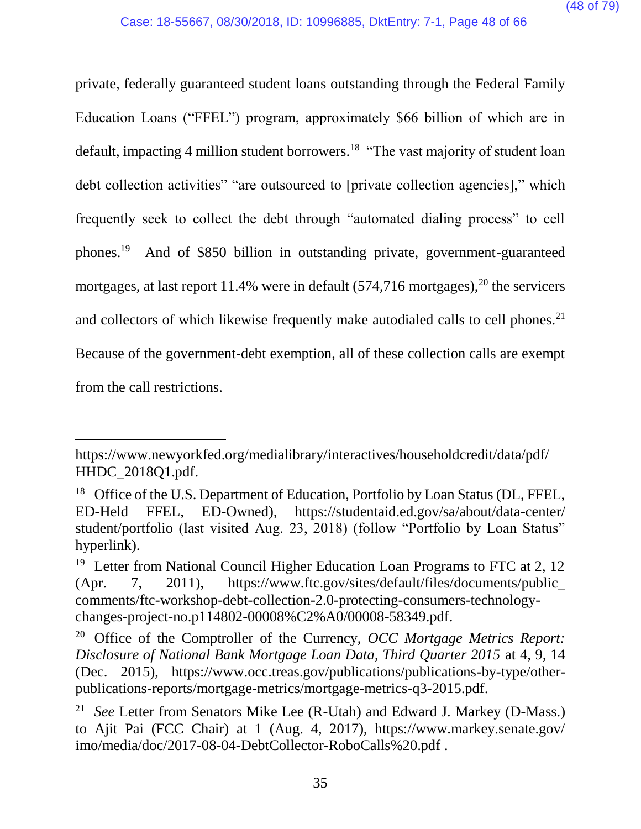private, federally guaranteed student loans outstanding through the Federal Family Education Loans ("FFEL") program, approximately \$66 billion of which are in default, impacting 4 million student borrowers.<sup>18</sup> "The vast majority of student loan debt collection activities" "are outsourced to [private collection agencies]," which frequently seek to collect the debt through "automated dialing process" to cell phones.<sup>19</sup> And of \$850 billion in outstanding private, government-guaranteed mortgages, at last report  $11.4\%$  were in default (574,716 mortgages),<sup>20</sup> the servicers and collectors of which likewise frequently make autodialed calls to cell phones.<sup>21</sup> Because of the government-debt exemption, all of these collection calls are exempt from the call restrictions.

https://www.newyorkfed.org/medialibrary/interactives/householdcredit/data/pdf/ HHDC\_2018Q1.pdf.

<sup>&</sup>lt;sup>18</sup> Office of the U.S. Department of Education, Portfolio by Loan Status (DL, FFEL, ED-Held FFEL, ED-Owned), https://studentaid.ed.gov/sa/about/data-center/ student/portfolio (last visited Aug. 23, 2018) (follow "Portfolio by Loan Status" hyperlink).

<sup>&</sup>lt;sup>19</sup> Letter from National Council Higher Education Loan Programs to FTC at 2, 12 (Apr. 7, 2011), https://www.ftc.gov/sites/default/files/documents/public\_ comments/ftc-workshop-debt-collection-2.0-protecting-consumers-technologychanges-project-no.p114802-00008%C2%A0/00008-58349.pdf.

<sup>20</sup> Office of the Comptroller of the Currency, *OCC Mortgage Metrics Report: Disclosure of National Bank Mortgage Loan Data, Third Quarter 2015* at 4, 9, 14 (Dec. 2015), https://www.occ.treas.gov/publications/publications-by-type/otherpublications-reports/mortgage-metrics/mortgage-metrics-q3-2015.pdf.

See Letter from Senators Mike Lee (R-Utah) and Edward J. Markey (D-Mass.) to Ajit Pai (FCC Chair) at 1 (Aug. 4, 2017), https://www.markey.senate.gov/ imo/media/doc/2017-08-04-DebtCollector-RoboCalls%20.pdf .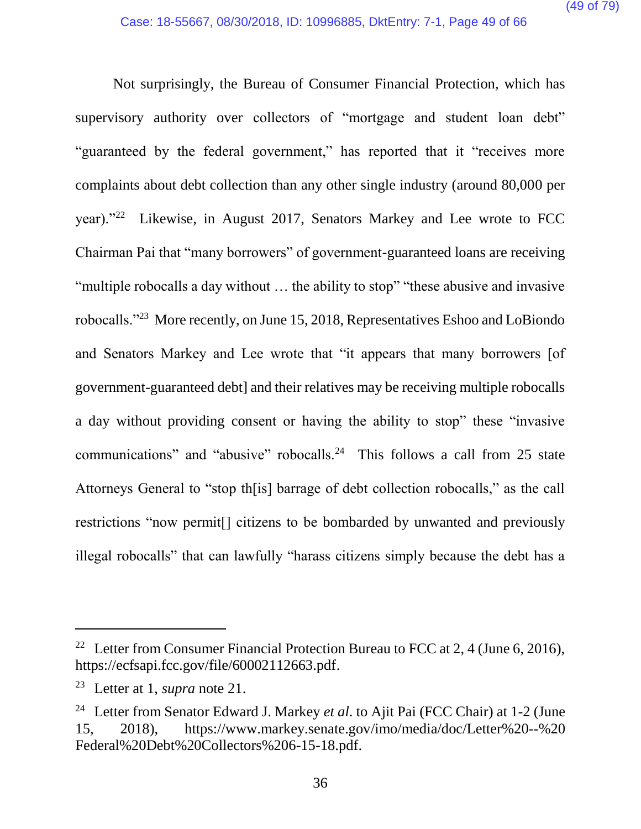Not surprisingly, the Bureau of Consumer Financial Protection, which has supervisory authority over collectors of "mortgage and student loan debt" "guaranteed by the federal government," has reported that it "receives more complaints about debt collection than any other single industry (around 80,000 per year)."<sup>22</sup> Likewise, in August 2017, Senators Markey and Lee wrote to FCC Chairman Pai that "many borrowers" of government-guaranteed loans are receiving "multiple robocalls a day without … the ability to stop" "these abusive and invasive robocalls."<sup>23</sup> More recently, on June 15, 2018, Representatives Eshoo and LoBiondo and Senators Markey and Lee wrote that "it appears that many borrowers [of government-guaranteed debt] and their relatives may be receiving multiple robocalls a day without providing consent or having the ability to stop" these "invasive communications" and "abusive" robocalls.<sup>24</sup> This follows a call from 25 state Attorneys General to "stop th[is] barrage of debt collection robocalls," as the call restrictions "now permit[] citizens to be bombarded by unwanted and previously illegal robocalls" that can lawfully "harass citizens simply because the debt has a

<sup>&</sup>lt;sup>22</sup> Letter from Consumer Financial Protection Bureau to FCC at 2, 4 (June 6, 2016), https://ecfsapi.fcc.gov/file/60002112663.pdf.

<sup>23</sup> Letter at 1, *supra* note 21.

<sup>24</sup> Letter from Senator Edward J. Markey *et al*. to Ajit Pai (FCC Chair) at 1-2 (June 15, 2018), https://www.markey.senate.gov/imo/media/doc/Letter%20--%20 Federal%20Debt%20Collectors%206-15-18.pdf.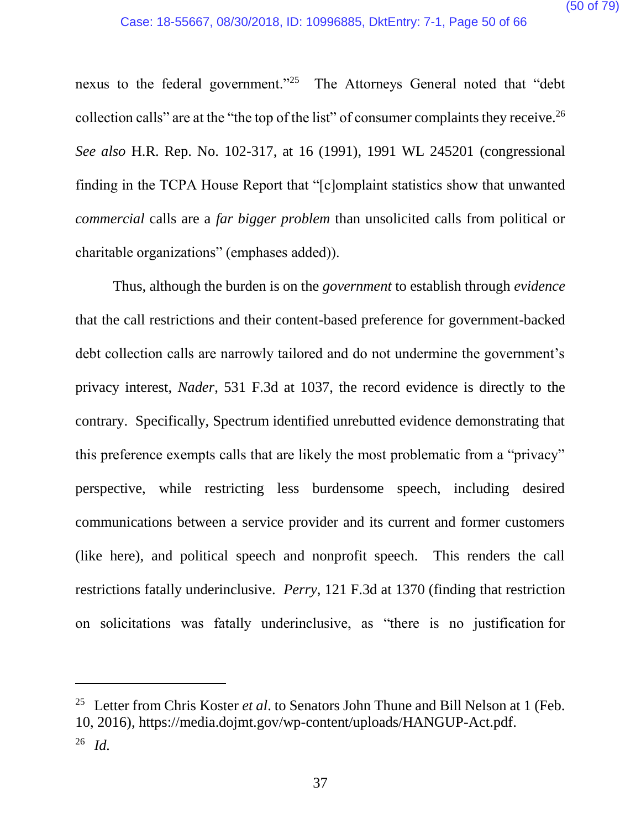nexus to the federal government."<sup>25</sup> The Attorneys General noted that "debt collection calls" are at the "the top of the list" of consumer complaints they receive.<sup>26</sup> *See also* H.R. Rep. No. 102-317, at 16 (1991), 1991 WL 245201 (congressional finding in the TCPA House Report that "[c]omplaint statistics show that unwanted *commercial* calls are a *far bigger problem* than unsolicited calls from political or charitable organizations" (emphases added)).

Thus, although the burden is on the *government* to establish through *evidence* that the call restrictions and their content-based preference for government-backed debt collection calls are narrowly tailored and do not undermine the government's privacy interest, *Nader*, 531 F.3d at 1037, the record evidence is directly to the contrary. Specifically, Spectrum identified unrebutted evidence demonstrating that this preference exempts calls that are likely the most problematic from a "privacy" perspective, while restricting less burdensome speech, including desired communications between a service provider and its current and former customers (like here), and political speech and nonprofit speech. This renders the call restrictions fatally underinclusive. *Perry*, 121 F.3d at 1370 (finding that restriction on solicitations was fatally underinclusive, as "there is no justification for

<sup>25</sup> Letter from Chris Koster *et al*. to Senators John Thune and Bill Nelson at 1 (Feb. 10, 2016), https://media.dojmt.gov/wp-content/uploads/HANGUP-Act.pdf. <sup>26</sup> *Id.*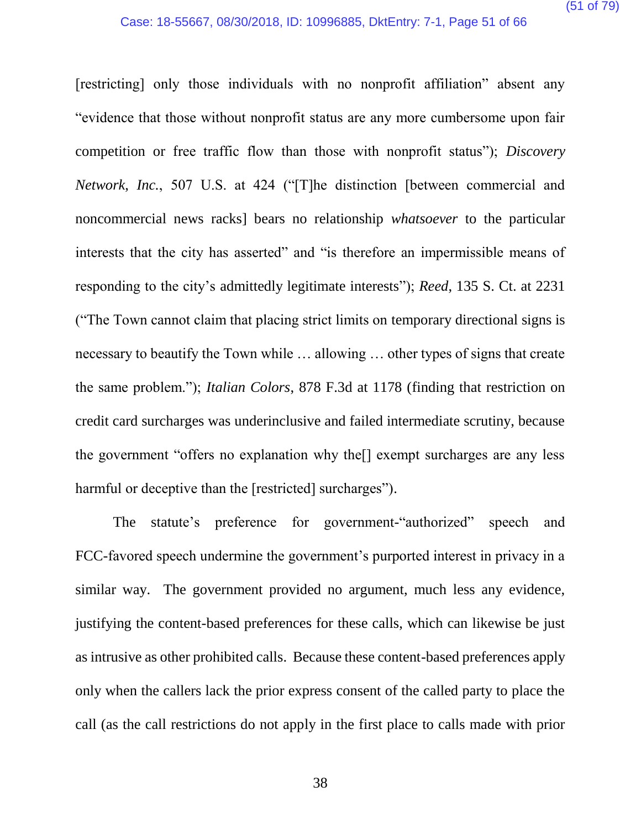[restricting] only those individuals with no nonprofit affiliation" absent any "evidence that those without nonprofit status are any more cumbersome upon fair competition or free traffic flow than those with nonprofit status"); *Discovery Network*, *Inc.*, 507 U.S. at 424 ("[T]he distinction [between commercial and noncommercial news racks] bears no relationship *whatsoever* to the particular interests that the city has asserted" and "is therefore an impermissible means of responding to the city's admittedly legitimate interests"); *Reed*, 135 S. Ct. at 2231 ("The Town cannot claim that placing strict limits on temporary directional signs is necessary to beautify the Town while … allowing … other types of signs that create the same problem."); *Italian Colors*, 878 F.3d at 1178 (finding that restriction on credit card surcharges was underinclusive and failed intermediate scrutiny, because the government "offers no explanation why the[] exempt surcharges are any less harmful or deceptive than the [restricted] surcharges").

The statute's preference for government-"authorized" speech and FCC-favored speech undermine the government's purported interest in privacy in a similar way. The government provided no argument, much less any evidence, justifying the content-based preferences for these calls, which can likewise be just as intrusive as other prohibited calls. Because these content-based preferences apply only when the callers lack the prior express consent of the called party to place the call (as the call restrictions do not apply in the first place to calls made with prior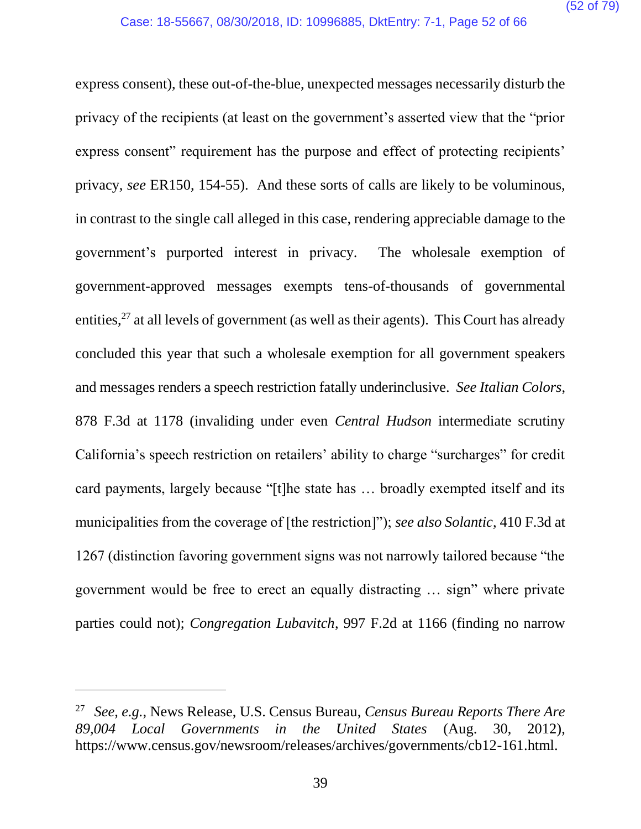express consent), these out-of-the-blue, unexpected messages necessarily disturb the privacy of the recipients (at least on the government's asserted view that the "prior express consent" requirement has the purpose and effect of protecting recipients' privacy, *see* ER150, 154-55). And these sorts of calls are likely to be voluminous, in contrast to the single call alleged in this case, rendering appreciable damage to the government's purported interest in privacy. The wholesale exemption of government-approved messages exempts tens-of-thousands of governmental entities,  $27$  at all levels of government (as well as their agents). This Court has already concluded this year that such a wholesale exemption for all government speakers and messages renders a speech restriction fatally underinclusive. *See Italian Colors*, 878 F.3d at 1178 (invaliding under even *Central Hudson* intermediate scrutiny California's speech restriction on retailers' ability to charge "surcharges" for credit card payments, largely because "[t]he state has … broadly exempted itself and its municipalities from the coverage of [the restriction]"); *see also Solantic*, 410 F.3d at 1267 (distinction favoring government signs was not narrowly tailored because "the government would be free to erect an equally distracting … sign" where private parties could not); *Congregation Lubavitch*, 997 F.2d at 1166 (finding no narrow

<sup>27</sup> *See, e.g.*, News Release, U.S. Census Bureau, *Census Bureau Reports There Are 89,004 Local Governments in the United States* (Aug. 30, 2012), https://www.census.gov/newsroom/releases/archives/governments/cb12-161.html.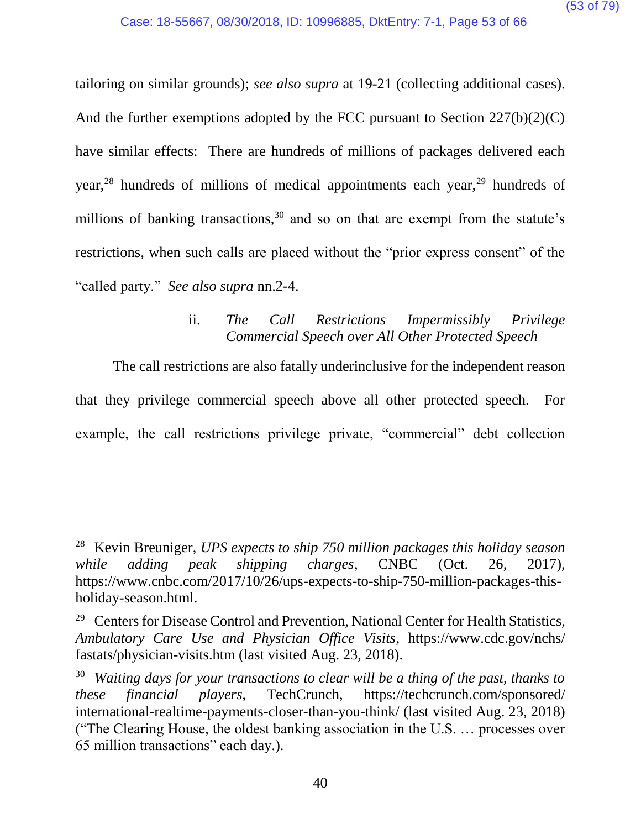tailoring on similar grounds); *see also supra* at 19-21 (collecting additional cases). And the further exemptions adopted by the FCC pursuant to Section 227(b)(2)(C) have similar effects: There are hundreds of millions of packages delivered each year,<sup>28</sup> hundreds of millions of medical appointments each year,<sup>29</sup> hundreds of millions of banking transactions,  $30$  and so on that are exempt from the statute's restrictions, when such calls are placed without the "prior express consent" of the "called party." *See also supra* nn.2-4.

# ii. *The Call Restrictions Impermissibly Privilege Commercial Speech over All Other Protected Speech*

The call restrictions are also fatally underinclusive for the independent reason that they privilege commercial speech above all other protected speech. For example, the call restrictions privilege private, "commercial" debt collection

<sup>28</sup> Kevin Breuniger, *UPS expects to ship 750 million packages this holiday season while adding peak shipping charges*, CNBC (Oct. 26, 2017), https://www.cnbc.com/2017/10/26/ups-expects-to-ship-750-million-packages-thisholiday-season.html.

<sup>&</sup>lt;sup>29</sup> Centers for Disease Control and Prevention, National Center for Health Statistics, *Ambulatory Care Use and Physician Office Visits*, https://www.cdc.gov/nchs/ fastats/physician-visits.htm (last visited Aug. 23, 2018).

<sup>30</sup> *Waiting days for your transactions to clear will be a thing of the past, thanks to these financial players*, TechCrunch, https://techcrunch.com/sponsored/ international-realtime-payments-closer-than-you-think/ (last visited Aug. 23, 2018) ("The Clearing House, the oldest banking association in the U.S. … processes over 65 million transactions" each day.).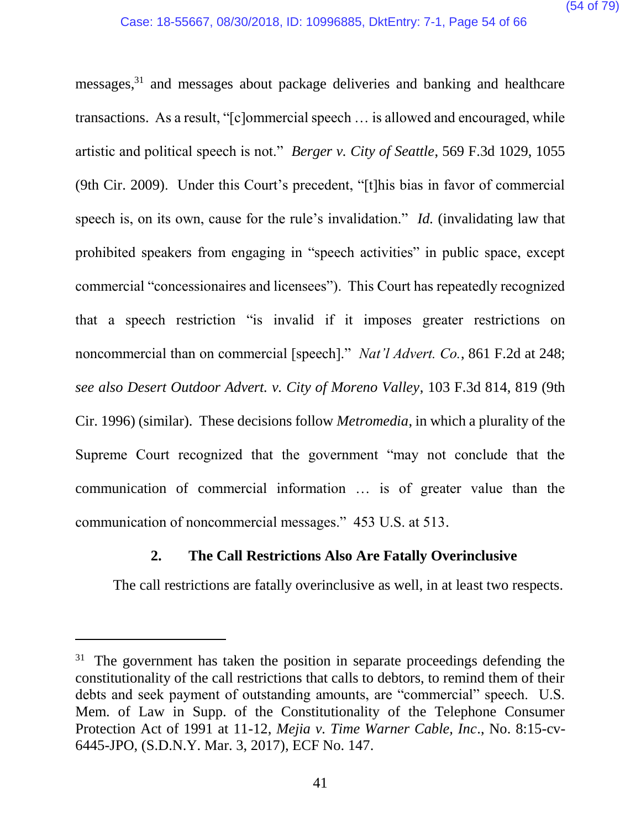messages,<sup>31</sup> and messages about package deliveries and banking and healthcare transactions. As a result, "[c]ommercial speech … is allowed and encouraged, while artistic and political speech is not." *Berger v. City of Seattle*, 569 F.3d 1029, 1055 (9th Cir. 2009). Under this Court's precedent, "[t]his bias in favor of commercial speech is, on its own, cause for the rule's invalidation." *Id.* (invalidating law that prohibited speakers from engaging in "speech activities" in public space, except commercial "concessionaires and licensees"). This Court has repeatedly recognized that a speech restriction "is invalid if it imposes greater restrictions on noncommercial than on commercial [speech]." *Nat'l Advert. Co.*, 861 F.2d at 248; *see also Desert Outdoor Advert. v. City of Moreno Valley*, 103 F.3d 814, 819 (9th Cir. 1996) (similar). These decisions follow *Metromedia*, in which a plurality of the Supreme Court recognized that the government "may not conclude that the communication of commercial information … is of greater value than the communication of noncommercial messages." 453 U.S. at 513.

## **2. The Call Restrictions Also Are Fatally Overinclusive**

The call restrictions are fatally overinclusive as well, in at least two respects.

 $31$  The government has taken the position in separate proceedings defending the constitutionality of the call restrictions that calls to debtors, to remind them of their debts and seek payment of outstanding amounts, are "commercial" speech. U.S. Mem. of Law in Supp. of the Constitutionality of the Telephone Consumer Protection Act of 1991 at 11-12, *Mejia v. Time Warner Cable, Inc*., No. 8:15-cv-6445-JPO, (S.D.N.Y. Mar. 3, 2017), ECF No. 147.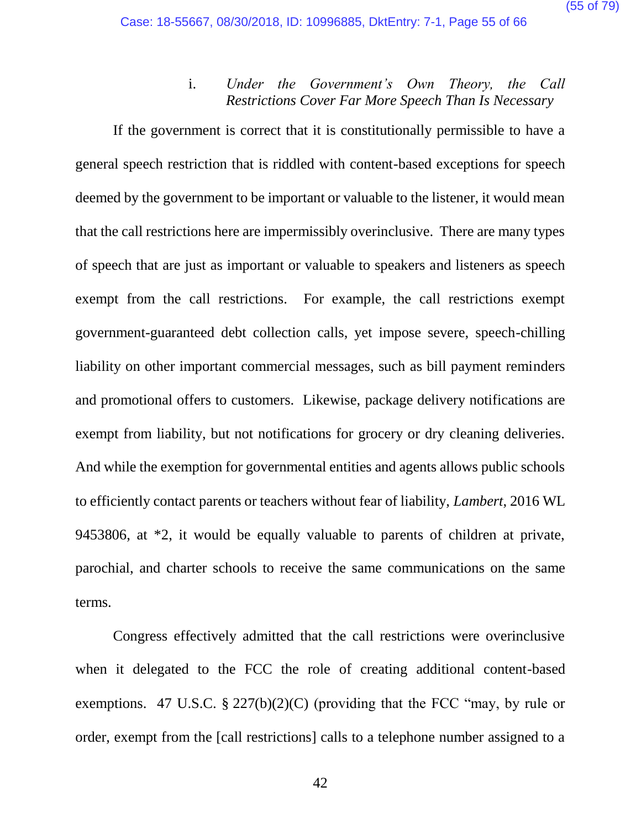## i. *Under the Government's Own Theory, the Call Restrictions Cover Far More Speech Than Is Necessary*

If the government is correct that it is constitutionally permissible to have a general speech restriction that is riddled with content-based exceptions for speech deemed by the government to be important or valuable to the listener, it would mean that the call restrictions here are impermissibly overinclusive. There are many types of speech that are just as important or valuable to speakers and listeners as speech exempt from the call restrictions. For example, the call restrictions exempt government-guaranteed debt collection calls, yet impose severe, speech-chilling liability on other important commercial messages, such as bill payment reminders and promotional offers to customers. Likewise, package delivery notifications are exempt from liability, but not notifications for grocery or dry cleaning deliveries. And while the exemption for governmental entities and agents allows public schools to efficiently contact parents or teachers without fear of liability, *Lambert*, 2016 WL 9453806, at \*2, it would be equally valuable to parents of children at private, parochial, and charter schools to receive the same communications on the same terms.

Congress effectively admitted that the call restrictions were overinclusive when it delegated to the FCC the role of creating additional content-based exemptions. 47 U.S.C.  $\S 227(b)(2)(C)$  (providing that the FCC "may, by rule or order, exempt from the [call restrictions] calls to a telephone number assigned to a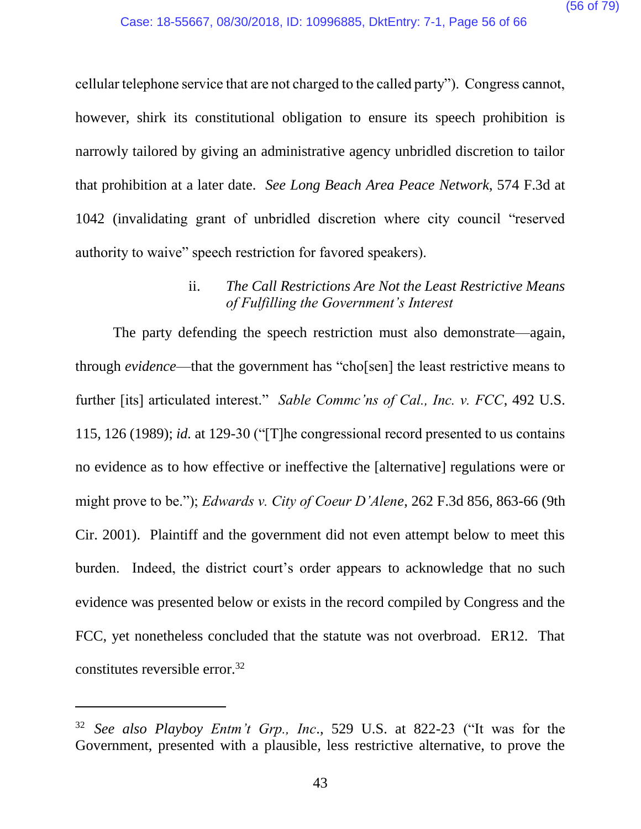cellular telephone service that are not charged to the called party"). Congress cannot, however, shirk its constitutional obligation to ensure its speech prohibition is narrowly tailored by giving an administrative agency unbridled discretion to tailor that prohibition at a later date. *See Long Beach Area Peace Network*, 574 F.3d at 1042 (invalidating grant of unbridled discretion where city council "reserved authority to waive" speech restriction for favored speakers).

## ii. *The Call Restrictions Are Not the Least Restrictive Means of Fulfilling the Government's Interest*

The party defending the speech restriction must also demonstrate—again, through *evidence*—that the government has "cho[sen] the least restrictive means to further [its] articulated interest." *Sable Commc'ns of Cal., Inc. v. FCC*, 492 U.S. 115, 126 (1989); *id.* at 129-30 ("[T]he congressional record presented to us contains no evidence as to how effective or ineffective the [alternative] regulations were or might prove to be."); *Edwards v. City of Coeur D'Alene*, 262 F.3d 856, 863-66 (9th Cir. 2001). Plaintiff and the government did not even attempt below to meet this burden. Indeed, the district court's order appears to acknowledge that no such evidence was presented below or exists in the record compiled by Congress and the FCC, yet nonetheless concluded that the statute was not overbroad. ER12. That constitutes reversible error.<sup>32</sup>

<sup>32</sup> *See also Playboy Entm't Grp., Inc*., 529 U.S. at 822-23 ("It was for the Government, presented with a plausible, less restrictive alternative, to prove the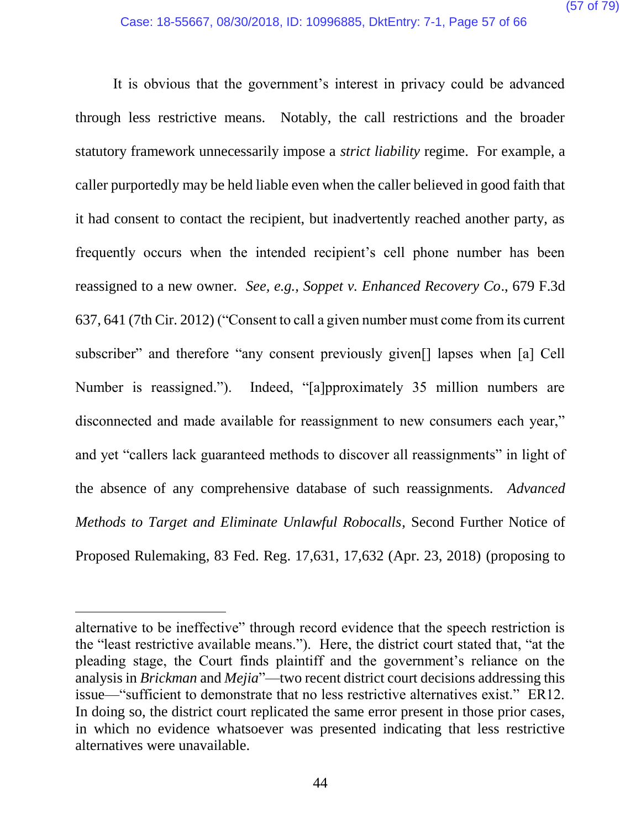It is obvious that the government's interest in privacy could be advanced through less restrictive means. Notably, the call restrictions and the broader statutory framework unnecessarily impose a *strict liability* regime. For example, a caller purportedly may be held liable even when the caller believed in good faith that it had consent to contact the recipient, but inadvertently reached another party, as frequently occurs when the intended recipient's cell phone number has been reassigned to a new owner. *See, e.g.*, *Soppet v. Enhanced Recovery Co*., 679 F.3d 637, 641 (7th Cir. 2012) ("Consent to call a given number must come from its current subscriber" and therefore "any consent previously given[] lapses when [a] Cell Number is reassigned."). Indeed, "[a]pproximately 35 million numbers are disconnected and made available for reassignment to new consumers each year," and yet "callers lack guaranteed methods to discover all reassignments" in light of the absence of any comprehensive database of such reassignments. *Advanced Methods to Target and Eliminate Unlawful Robocalls*, Second Further Notice of Proposed Rulemaking, 83 Fed. Reg. 17,631, 17,632 (Apr. 23, 2018) (proposing to

alternative to be ineffective" through record evidence that the speech restriction is the "least restrictive available means."). Here, the district court stated that, "at the pleading stage, the Court finds plaintiff and the government's reliance on the analysis in *Brickman* and *Mejia*"—two recent district court decisions addressing this issue—"sufficient to demonstrate that no less restrictive alternatives exist." ER12. In doing so, the district court replicated the same error present in those prior cases, in which no evidence whatsoever was presented indicating that less restrictive alternatives were unavailable.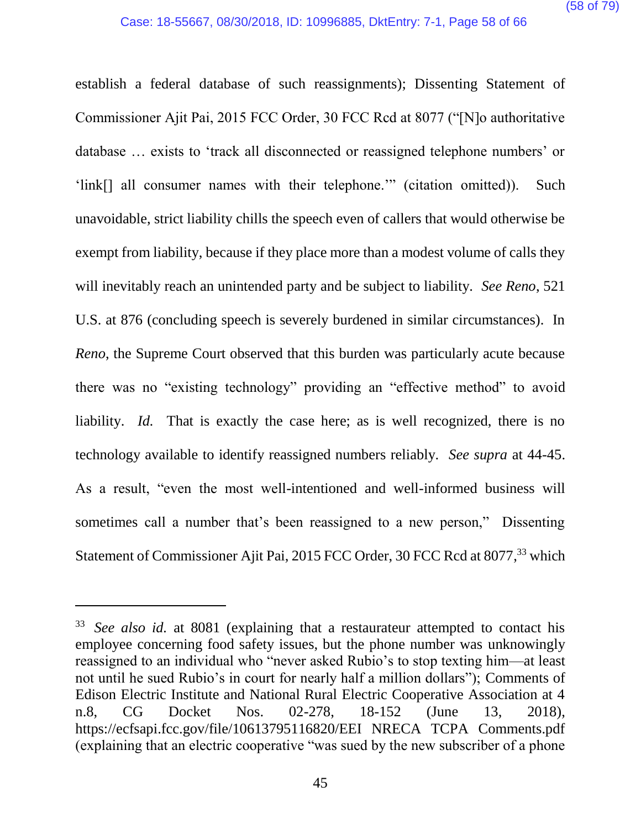establish a federal database of such reassignments); Dissenting Statement of Commissioner Ajit Pai, 2015 FCC Order, 30 FCC Rcd at 8077 ("[N]o authoritative database … exists to 'track all disconnected or reassigned telephone numbers' or 'link[] all consumer names with their telephone.'" (citation omitted)). Such unavoidable, strict liability chills the speech even of callers that would otherwise be exempt from liability, because if they place more than a modest volume of calls they will inevitably reach an unintended party and be subject to liability. *See Reno*, 521 U.S. at 876 (concluding speech is severely burdened in similar circumstances). In *Reno*, the Supreme Court observed that this burden was particularly acute because there was no "existing technology" providing an "effective method" to avoid liability. *Id.* That is exactly the case here; as is well recognized, there is no technology available to identify reassigned numbers reliably. *See supra* at 44-45. As a result, "even the most well-intentioned and well-informed business will sometimes call a number that's been reassigned to a new person," Dissenting Statement of Commissioner Ajit Pai, 2015 FCC Order, 30 FCC Rcd at 8077,<sup>33</sup> which

<sup>33</sup> *See also id.* at 8081 (explaining that a restaurateur attempted to contact his employee concerning food safety issues, but the phone number was unknowingly reassigned to an individual who "never asked Rubio's to stop texting him—at least not until he sued Rubio's in court for nearly half a million dollars"); Comments of Edison Electric Institute and National Rural Electric Cooperative Association at 4 n.8, CG Docket Nos. 02-278, 18-152 (June 13, 2018), https://ecfsapi.fcc.gov/file/10613795116820/EEI NRECA TCPA Comments.pdf (explaining that an electric cooperative "was sued by the new subscriber of a phone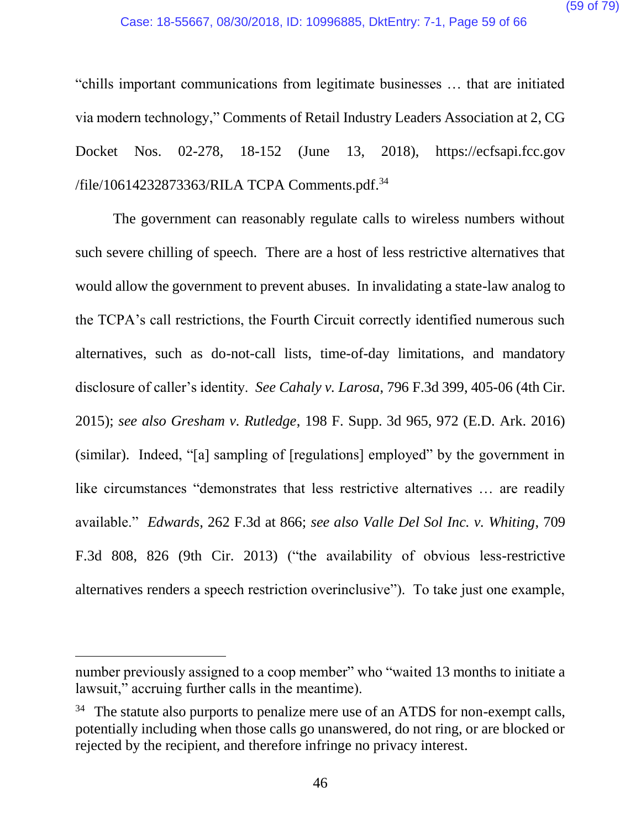"chills important communications from legitimate businesses … that are initiated via modern technology," Comments of Retail Industry Leaders Association at 2, CG Docket Nos. 02-278, 18-152 (June 13, 2018), https://ecfsapi.fcc.gov /file/10614232873363/RILA TCPA Comments.pdf. 34

The government can reasonably regulate calls to wireless numbers without such severe chilling of speech. There are a host of less restrictive alternatives that would allow the government to prevent abuses. In invalidating a state-law analog to the TCPA's call restrictions, the Fourth Circuit correctly identified numerous such alternatives, such as do-not-call lists, time-of-day limitations, and mandatory disclosure of caller's identity. *See Cahaly v. Larosa*, 796 F.3d 399, 405-06 (4th Cir. 2015); *see also Gresham v. Rutledge*, 198 F. Supp. 3d 965, 972 (E.D. Ark. 2016) (similar). Indeed, "[a] sampling of [regulations] employed" by the government in like circumstances "demonstrates that less restrictive alternatives … are readily available." *Edwards*, 262 F.3d at 866; *see also Valle Del Sol Inc. v. Whiting*, 709 F.3d 808, 826 (9th Cir. 2013) ("the availability of obvious less-restrictive alternatives renders a speech restriction overinclusive"). To take just one example,

number previously assigned to a coop member" who "waited 13 months to initiate a lawsuit," accruing further calls in the meantime).

 $34$  The statute also purports to penalize mere use of an ATDS for non-exempt calls, potentially including when those calls go unanswered, do not ring, or are blocked or rejected by the recipient, and therefore infringe no privacy interest.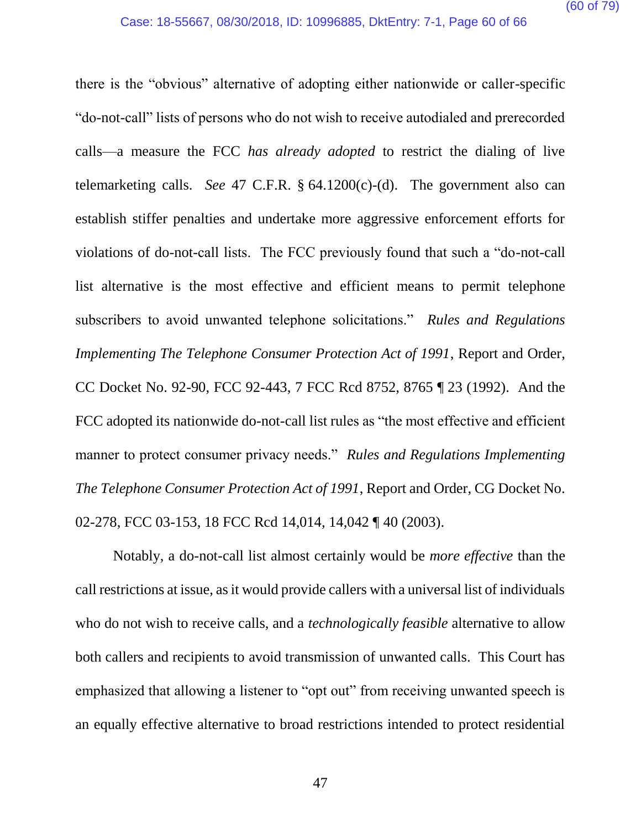there is the "obvious" alternative of adopting either nationwide or caller-specific "do-not-call" lists of persons who do not wish to receive autodialed and prerecorded calls—a measure the FCC *has already adopted* to restrict the dialing of live telemarketing calls. *See* 47 C.F.R. § 64.1200(c)-(d). The government also can establish stiffer penalties and undertake more aggressive enforcement efforts for violations of do-not-call lists. The FCC previously found that such a "do-not-call list alternative is the most effective and efficient means to permit telephone subscribers to avoid unwanted telephone solicitations." *Rules and Regulations Implementing The Telephone Consumer Protection Act of 1991*, Report and Order, CC Docket No. 92-90, FCC 92-443, 7 FCC Rcd 8752, 8765 ¶ 23 (1992). And the FCC adopted its nationwide do-not-call list rules as "the most effective and efficient manner to protect consumer privacy needs." *Rules and Regulations Implementing The Telephone Consumer Protection Act of 1991*, Report and Order, CG Docket No. 02-278, FCC 03-153, 18 FCC Rcd 14,014, 14,042 ¶ 40 (2003).

Notably, a do-not-call list almost certainly would be *more effective* than the call restrictions at issue, as it would provide callers with a universal list of individuals who do not wish to receive calls, and a *technologically feasible* alternative to allow both callers and recipients to avoid transmission of unwanted calls. This Court has emphasized that allowing a listener to "opt out" from receiving unwanted speech is an equally effective alternative to broad restrictions intended to protect residential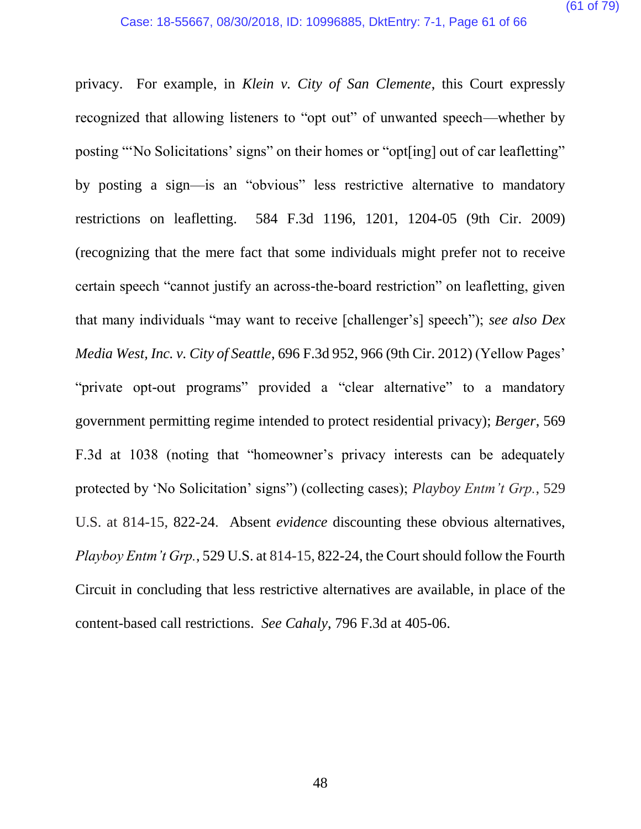privacy. For example, in *Klein v. City of San Clemente*, this Court expressly recognized that allowing listeners to "opt out" of unwanted speech—whether by posting "'No Solicitations' signs" on their homes or "opt[ing] out of car leafletting" by posting a sign—is an "obvious" less restrictive alternative to mandatory restrictions on leafletting. 584 F.3d 1196, 1201, 1204-05 (9th Cir. 2009) (recognizing that the mere fact that some individuals might prefer not to receive certain speech "cannot justify an across-the-board restriction" on leafletting, given that many individuals "may want to receive [challenger's] speech"); *see also Dex Media West, Inc. v. City of Seattle*, 696 F.3d 952, 966 (9th Cir. 2012) (Yellow Pages' "private opt-out programs" provided a "clear alternative" to a mandatory government permitting regime intended to protect residential privacy); *Berger*, 569 F.3d at 1038 (noting that "homeowner's privacy interests can be adequately protected by 'No Solicitation' signs") (collecting cases); *Playboy Entm't Grp.*, 529 U.S. at 814-15, 822-24. Absent *evidence* discounting these obvious alternatives, *Playboy Entm't Grp.*, 529 U.S. at 814-15, 822-24, the Court should follow the Fourth Circuit in concluding that less restrictive alternatives are available, in place of the content-based call restrictions. *See Cahaly*, 796 F.3d at 405-06.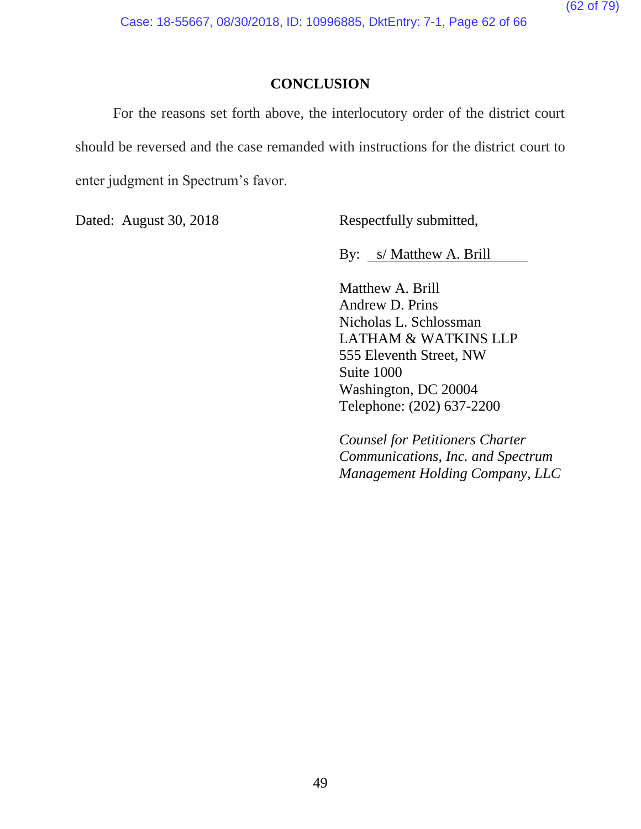# **CONCLUSION**

For the reasons set forth above, the interlocutory order of the district court should be reversed and the case remanded with instructions for the district court to enter judgment in Spectrum's favor.

Dated: August 30, 2018 Respectfully submitted,

By: s/ Matthew A. Brill

Matthew A. Brill Andrew D. Prins Nicholas L. Schlossman LATHAM & WATKINS LLP 555 Eleventh Street, NW Suite 1000 Washington, DC 20004 Telephone: (202) 637-2200

*Counsel for Petitioners Charter Communications, Inc. and Spectrum Management Holding Company, LLC*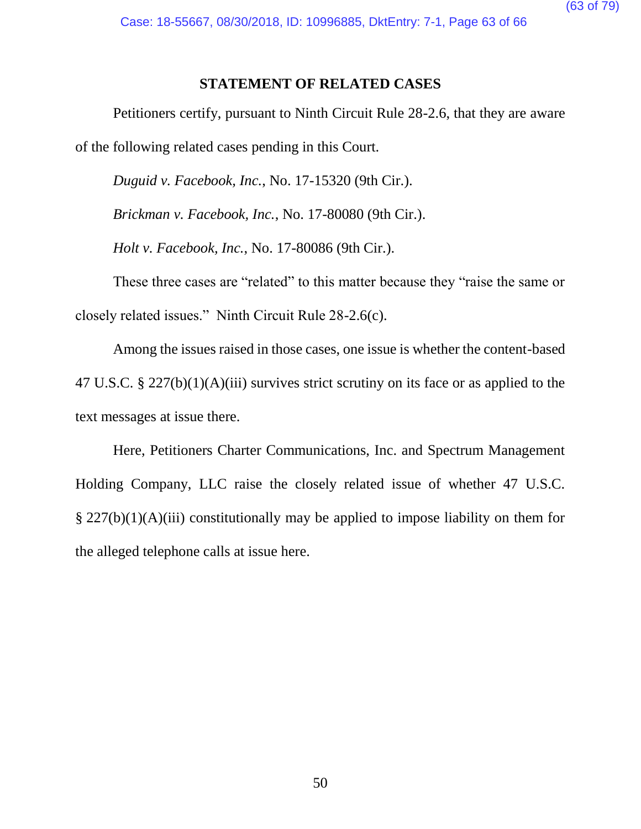## **STATEMENT OF RELATED CASES**

Petitioners certify, pursuant to Ninth Circuit Rule 28-2.6, that they are aware of the following related cases pending in this Court.

*Duguid v. Facebook, Inc.*, No. 17-15320 (9th Cir.).

*Brickman v. Facebook, Inc.*, No. 17-80080 (9th Cir.).

*Holt v. Facebook, Inc.*, No. 17-80086 (9th Cir.).

These three cases are "related" to this matter because they "raise the same or closely related issues." Ninth Circuit Rule 28-2.6(c).

Among the issues raised in those cases, one issue is whether the content-based 47 U.S.C. § 227(b)(1)(A)(iii) survives strict scrutiny on its face or as applied to the text messages at issue there.

Here, Petitioners Charter Communications, Inc. and Spectrum Management Holding Company, LLC raise the closely related issue of whether 47 U.S.C. § 227(b)(1)(A)(iii) constitutionally may be applied to impose liability on them for the alleged telephone calls at issue here.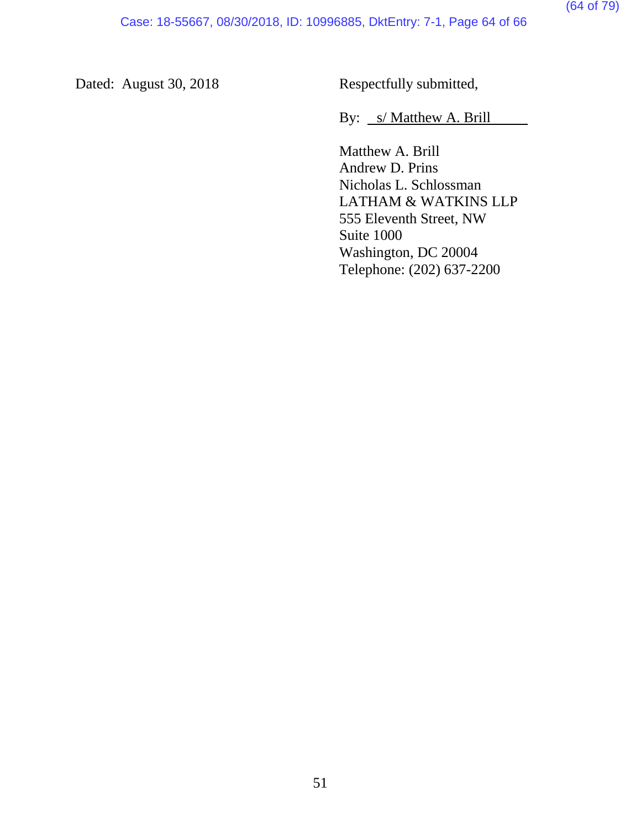Dated: August 30, 2018 Respectfully submitted,

By: *s/ Matthew A. Brill* 

Matthew A. Brill Andrew D. Prins Nicholas L. Schlossman LATHAM & WATKINS LLP 555 Eleventh Street, NW Suite 1000 Washington, DC 20004 Telephone: (202) 637-2200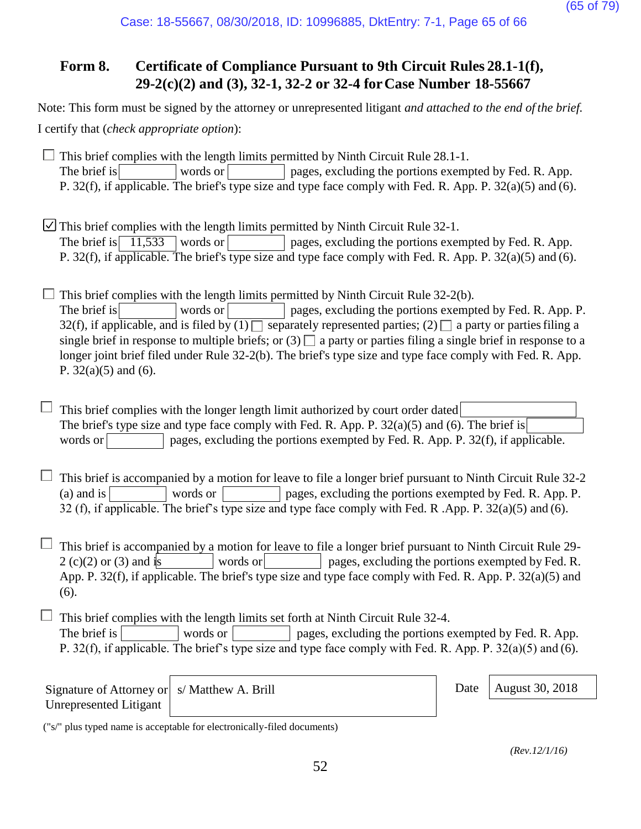# **Form 8. Certificate of Compliance Pursuant to 9th Circuit Rules 28.1-1(f), 29-2(c)(2) and (3), 32-1, 32-2 or 32-4 forCase Number 18-55667**

Note: This form must be signed by the attorney or unrepresented litigant *and attached to the end of the brief.*  I certify that (*check appropriate option*):

| This brief complies with the length limits permitted by Ninth Circuit Rule 28.1-1.<br>The brief is<br>words or<br>pages, excluding the portions exempted by Fed. R. App.<br>P. 32(f), if applicable. The brief's type size and type face comply with Fed. R. App. P. 32(a)(5) and (6).                                                                                                                                                                                                                                                                            |      |                 |  |
|-------------------------------------------------------------------------------------------------------------------------------------------------------------------------------------------------------------------------------------------------------------------------------------------------------------------------------------------------------------------------------------------------------------------------------------------------------------------------------------------------------------------------------------------------------------------|------|-----------------|--|
| ⊻<br>This brief complies with the length limits permitted by Ninth Circuit Rule 32-1.<br>The brief is $\boxed{11,533}$<br>words or<br>pages, excluding the portions exempted by Fed. R. App.<br>P. 32(f), if applicable. The brief's type size and type face comply with Fed. R. App. P. 32(a)(5) and (6).                                                                                                                                                                                                                                                        |      |                 |  |
| This brief complies with the length limits permitted by Ninth Circuit Rule 32-2(b).<br>The brief is<br>words or<br>pages, excluding the portions exempted by Fed. R. App. P.<br>32(f), if applicable, and is filed by (1) $\Box$ separately represented parties; (2) $\Box$ a party or parties filing a<br>single brief in response to multiple briefs; or $(3)$ a party or parties filing a single brief in response to a<br>longer joint brief filed under Rule 32-2(b). The brief's type size and type face comply with Fed. R. App.<br>P. $32(a)(5)$ and (6). |      |                 |  |
| This brief complies with the longer length limit authorized by court order dated<br>The brief's type size and type face comply with Fed. R. App. P. $32(a)(5)$ and (6). The brief is<br>words or<br>pages, excluding the portions exempted by Fed. R. App. P. 32(f), if applicable.                                                                                                                                                                                                                                                                               |      |                 |  |
| This brief is accompanied by a motion for leave to file a longer brief pursuant to Ninth Circuit Rule 32-2<br>$(a)$ and is<br>words or<br>pages, excluding the portions exempted by Fed. R. App. P.<br>32 (f), if applicable. The brief's type size and type face comply with Fed. R.App. P. 32(a)(5) and (6).                                                                                                                                                                                                                                                    |      |                 |  |
| This brief is accompanied by a motion for leave to file a longer brief pursuant to Ninth Circuit Rule 29-<br>$2(c)(2)$ or (3) and is<br>words or<br>pages, excluding the portions exempted by Fed. R.<br>App. P. 32(f), if applicable. The brief's type size and type face comply with Fed. R. App. P. 32(a)(5) and<br>(6).                                                                                                                                                                                                                                       |      |                 |  |
| $\Box$ This brief complies with the length limits set forth at Ninth Circuit Rule 32-4.<br>The brief is<br>words or<br>pages, excluding the portions exempted by Fed. R. App.<br>P. 32(f), if applicable. The brief's type size and type face comply with Fed. R. App. P. 32(a)(5) and (6).                                                                                                                                                                                                                                                                       |      |                 |  |
| s/ Matthew A. Brill<br>Signature of Attorney or<br><b>Unrepresented Litigant</b>                                                                                                                                                                                                                                                                                                                                                                                                                                                                                  | Date | August 30, 2018 |  |

("s/" plus typed name is acceptable for electronically-filed documents)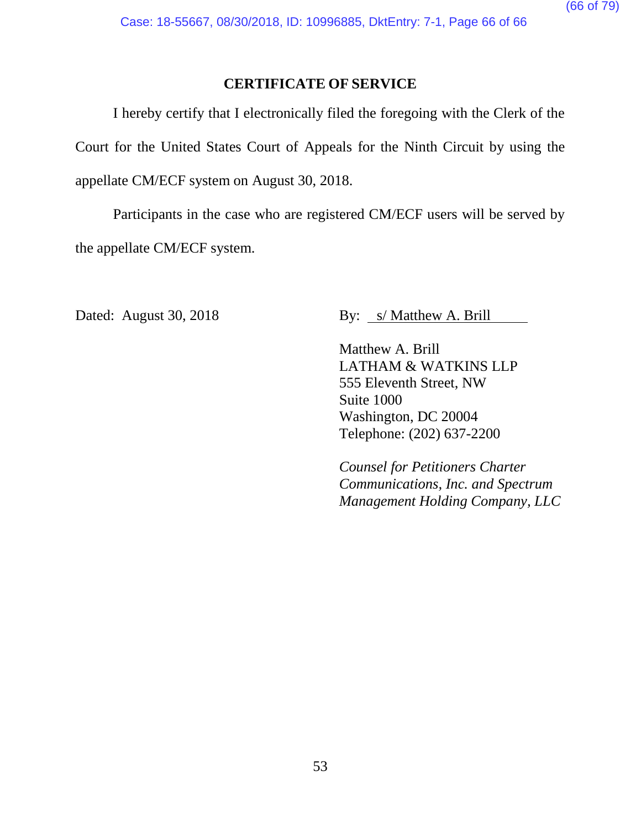# **CERTIFICATE OF SERVICE**

I hereby certify that I electronically filed the foregoing with the Clerk of the Court for the United States Court of Appeals for the Ninth Circuit by using the appellate CM/ECF system on August 30, 2018.

Participants in the case who are registered CM/ECF users will be served by the appellate CM/ECF system.

Dated: August 30, 2018 By: s/ Matthew A. Brill

Matthew A. Brill LATHAM & WATKINS LLP 555 Eleventh Street, NW Suite 1000 Washington, DC 20004 Telephone: (202) 637-2200

*Counsel for Petitioners Charter Communications, Inc. and Spectrum Management Holding Company, LLC*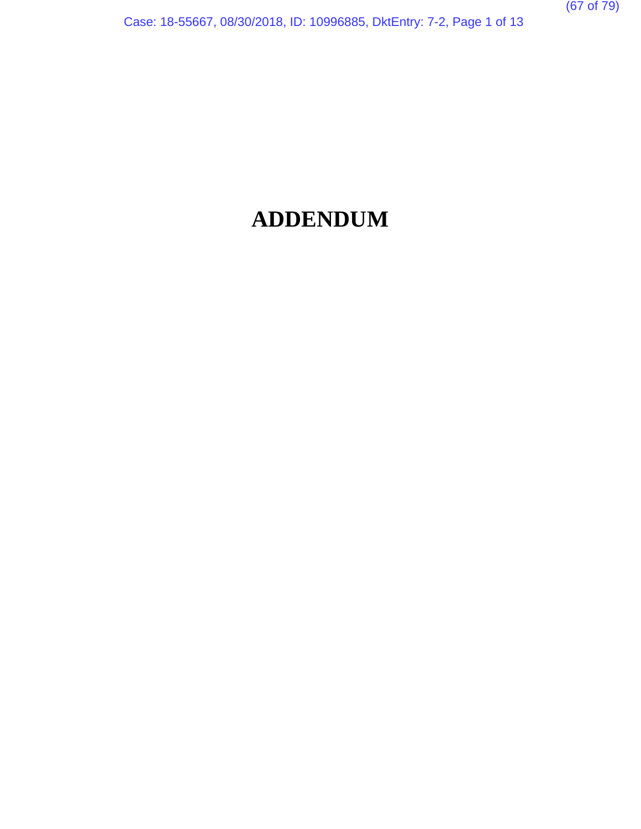Case: 18-55667, 08/30/2018, ID: 10996885, DktEntry: 7-2, Page 1 of 13

# **ADDENDUM**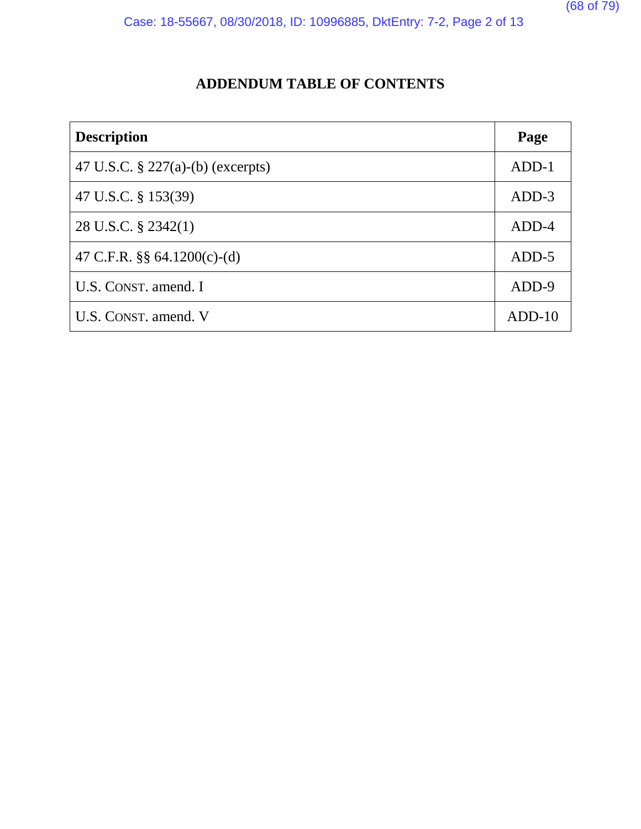Case: 18-55667, 08/30/2018, ID: 10996885, DktEntry: 7-2, Page 2 of 13

# **ADDENDUM TABLE OF CONTENTS**

| <b>Description</b>                    | Page     |
|---------------------------------------|----------|
| 47 U.S.C. $\S 227(a)$ -(b) (excerpts) | $ADD-1$  |
| 47 U.S.C. § 153(39)                   | $ADD-3$  |
| 28 U.S.C. § 2342(1)                   | ADD-4    |
| 47 C.F.R. $\S$ § 64.1200(c)-(d)       | $ADD-5$  |
| U.S. CONST. amend. I                  | $ADD-9$  |
| U.S. CONST. amend. V                  | $ADD-10$ |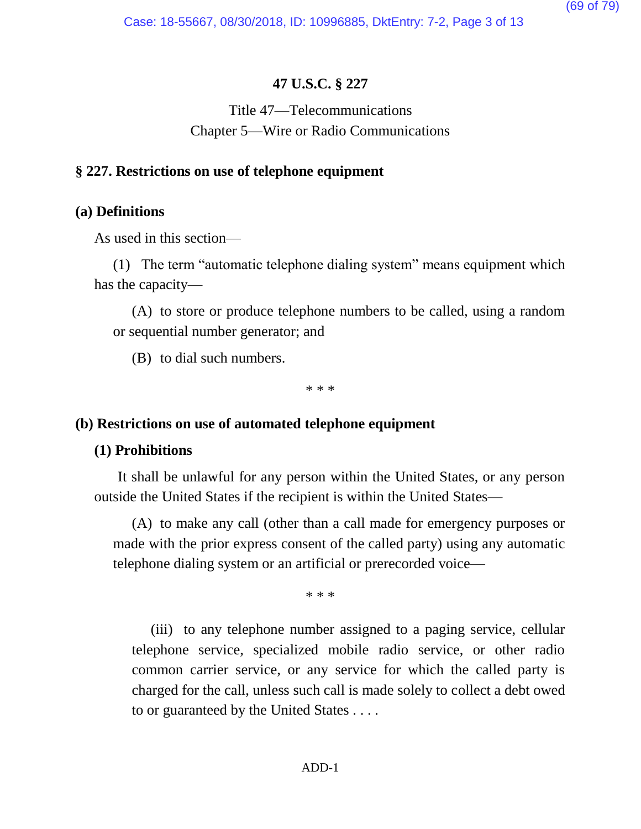# **47 U.S.C. § 227**

# Title 47—Telecommunications Chapter 5—Wire or Radio Communications

## **§ 227. Restrictions on use of telephone equipment**

### **(a) Definitions**

As used in this section—

(1) The term "automatic telephone dialing system" means equipment which has the capacity—

(A) to store or produce telephone numbers to be called, using a random or sequential number generator; and

(B) to dial such numbers.

\* \* \*

#### **(b) Restrictions on use of automated telephone equipment**

#### **(1) Prohibitions**

It shall be unlawful for any person within the United States, or any person outside the United States if the recipient is within the United States—

(A) to make any call (other than a call made for emergency purposes or made with the prior express consent of the called party) using any automatic telephone dialing system or an artificial or prerecorded voice—

\* \* \*

(iii) to any telephone number assigned to a paging service, cellular telephone service, specialized mobile radio service, or other radio common carrier service, or any service for which the called party is charged for the call, unless such call is made solely to collect a debt owed to or guaranteed by the United States . . . .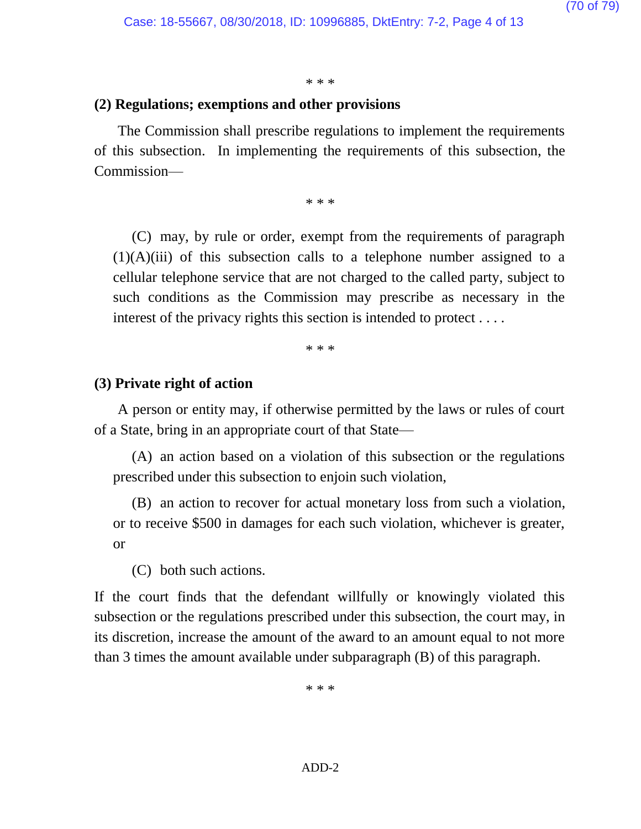\* \* \*

### **(2) Regulations; exemptions and other provisions**

The Commission shall prescribe regulations to implement the requirements of this subsection. In implementing the requirements of this subsection, the Commission—

\* \* \*

(C) may, by rule or order, exempt from the requirements of paragraph  $(1)(A)(iii)$  of this subsection calls to a telephone number assigned to a cellular telephone service that are not charged to the called party, subject to such conditions as the Commission may prescribe as necessary in the interest of the privacy rights this section is intended to protect . . . .

\* \* \*

#### **(3) Private right of action**

A person or entity may, if otherwise permitted by the laws or rules of court of a State, bring in an appropriate court of that State—

(A) an action based on a violation of this subsection or the regulations prescribed under this subsection to enjoin such violation,

(B) an action to recover for actual monetary loss from such a violation, or to receive \$500 in damages for each such violation, whichever is greater, or

(C) both such actions.

If the court finds that the defendant willfully or knowingly violated this subsection or the regulations prescribed under this subsection, the court may, in its discretion, increase the amount of the award to an amount equal to not more than 3 times the amount available under subparagraph (B) of this paragraph.

\* \* \*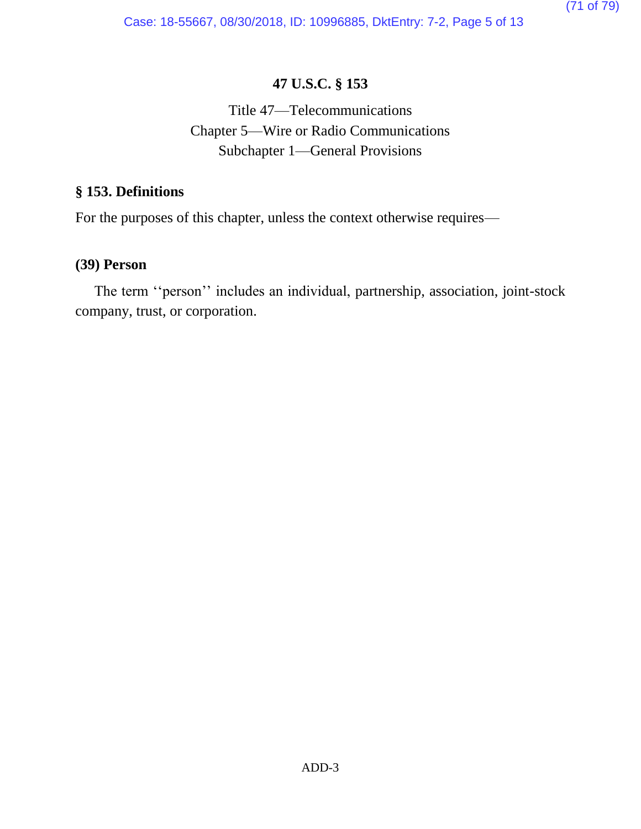(71 of 79)

Case: 18-55667, 08/30/2018, ID: 10996885, DktEntry: 7-2, Page 5 of 13

# **47 U.S.C. § 153**

Title 47—Telecommunications Chapter 5—Wire or Radio Communications Subchapter 1—General Provisions

# **§ 153. Definitions**

For the purposes of this chapter, unless the context otherwise requires—

## **(39) Person**

The term ''person'' includes an individual, partnership, association, joint-stock company, trust, or corporation.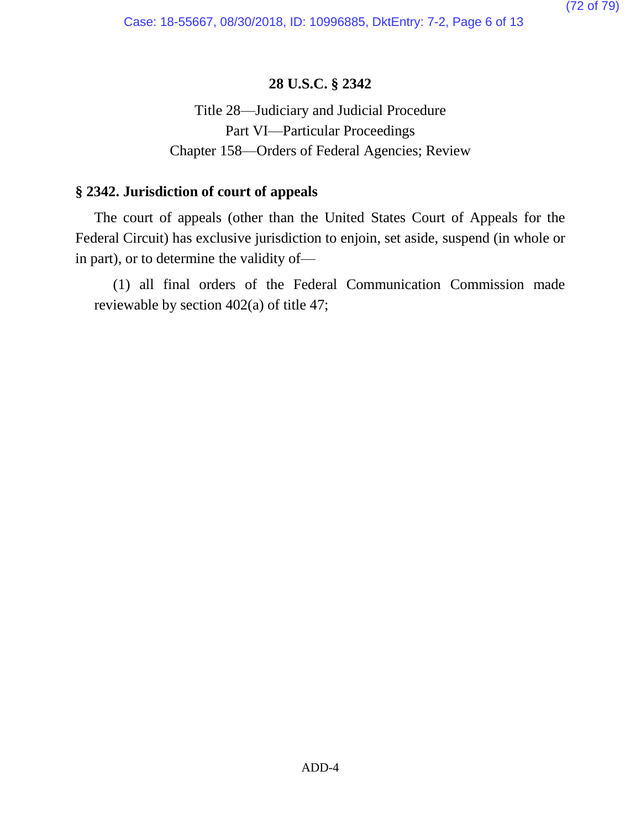# **28 U.S.C. § 2342**

Title 28—Judiciary and Judicial Procedure Part VI—Particular Proceedings Chapter 158—Orders of Federal Agencies; Review

# **§ 2342. Jurisdiction of court of appeals**

The court of appeals (other than the United States Court of Appeals for the Federal Circuit) has exclusive jurisdiction to enjoin, set aside, suspend (in whole or in part), or to determine the validity of—

(1) all final orders of the Federal Communication Commission made reviewable by section 402(a) of title 47;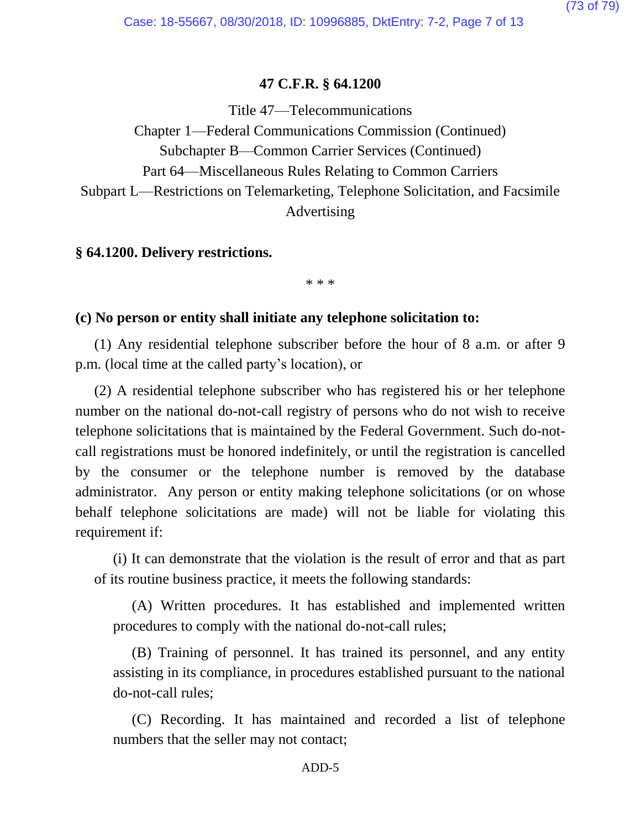(73 of 79)

## **47 C.F.R. § 64.1200**

Title 47—Telecommunications Chapter 1—Federal Communications Commission (Continued) Subchapter B—Common Carrier Services (Continued) Part 64—Miscellaneous Rules Relating to Common Carriers Subpart L—Restrictions on Telemarketing, Telephone Solicitation, and Facsimile Advertising

### **§ 64.1200. Delivery restrictions.**

\* \* \*

#### **(c) No person or entity shall initiate any telephone solicitation to:**

(1) Any residential telephone subscriber before the hour of 8 a.m. or after 9 p.m. (local time at the called party's location), or

(2) A residential telephone subscriber who has registered his or her telephone number on the national do-not-call registry of persons who do not wish to receive telephone solicitations that is maintained by the Federal Government. Such do-notcall registrations must be honored indefinitely, or until the registration is cancelled by the consumer or the telephone number is removed by the database administrator. Any person or entity making telephone solicitations (or on whose behalf telephone solicitations are made) will not be liable for violating this requirement if:

(i) It can demonstrate that the violation is the result of error and that as part of its routine business practice, it meets the following standards:

(A) Written procedures. It has established and implemented written procedures to comply with the national do-not-call rules;

(B) Training of personnel. It has trained its personnel, and any entity assisting in its compliance, in procedures established pursuant to the national do-not-call rules;

(C) Recording. It has maintained and recorded a list of telephone numbers that the seller may not contact;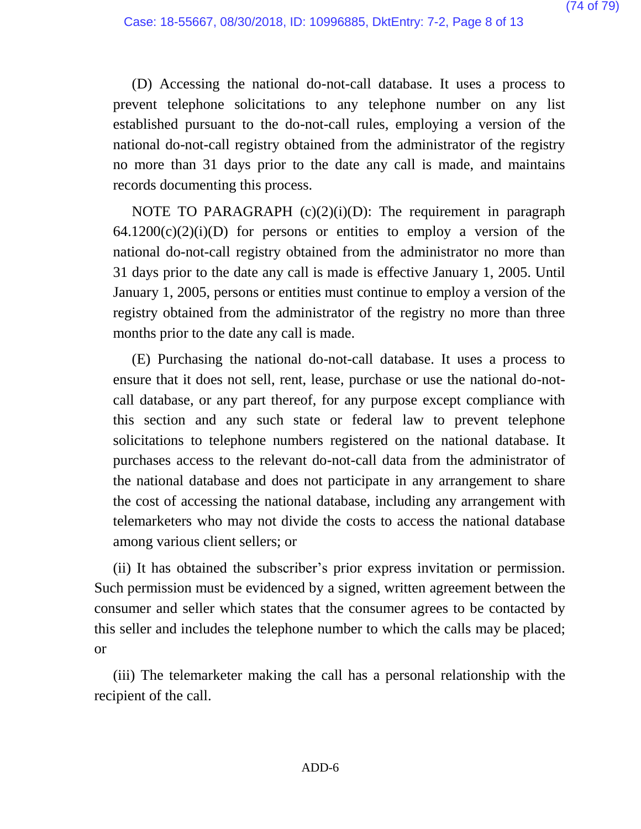(D) Accessing the national do-not-call database. It uses a process to prevent telephone solicitations to any telephone number on any list established pursuant to the do-not-call rules, employing a version of the national do-not-call registry obtained from the administrator of the registry no more than 31 days prior to the date any call is made, and maintains records documenting this process.

NOTE TO PARAGRAPH  $(c)(2)(i)(D)$ : The requirement in paragraph  $64.1200(c)(2)(i)(D)$  for persons or entities to employ a version of the national do-not-call registry obtained from the administrator no more than 31 days prior to the date any call is made is effective January 1, 2005. Until January 1, 2005, persons or entities must continue to employ a version of the registry obtained from the administrator of the registry no more than three months prior to the date any call is made.

(E) Purchasing the national do-not-call database. It uses a process to ensure that it does not sell, rent, lease, purchase or use the national do-notcall database, or any part thereof, for any purpose except compliance with this section and any such state or federal law to prevent telephone solicitations to telephone numbers registered on the national database. It purchases access to the relevant do-not-call data from the administrator of the national database and does not participate in any arrangement to share the cost of accessing the national database, including any arrangement with telemarketers who may not divide the costs to access the national database among various client sellers; or

(ii) It has obtained the subscriber's prior express invitation or permission. Such permission must be evidenced by a signed, written agreement between the consumer and seller which states that the consumer agrees to be contacted by this seller and includes the telephone number to which the calls may be placed; or

(iii) The telemarketer making the call has a personal relationship with the recipient of the call.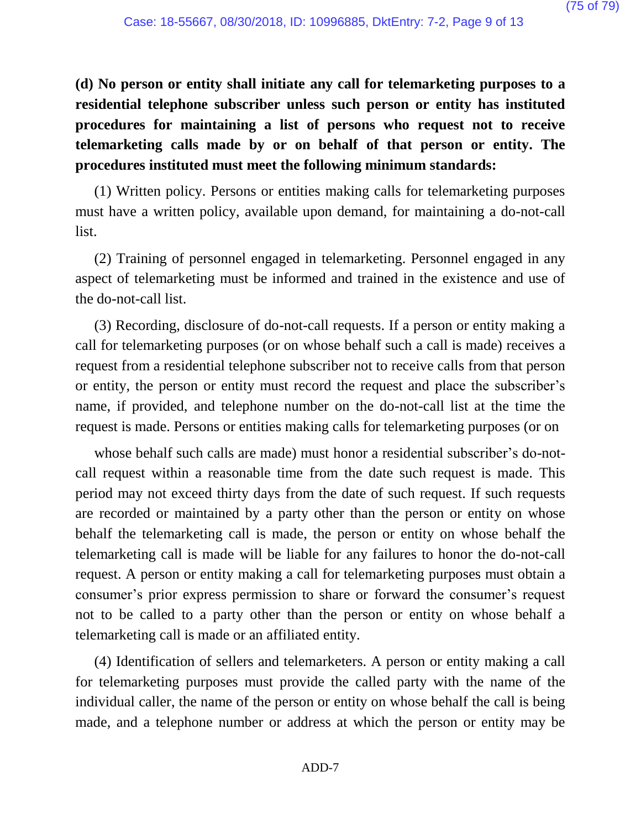**(d) No person or entity shall initiate any call for telemarketing purposes to a residential telephone subscriber unless such person or entity has instituted procedures for maintaining a list of persons who request not to receive telemarketing calls made by or on behalf of that person or entity. The procedures instituted must meet the following minimum standards:**

(1) Written policy. Persons or entities making calls for telemarketing purposes must have a written policy, available upon demand, for maintaining a do-not-call list.

(2) Training of personnel engaged in telemarketing. Personnel engaged in any aspect of telemarketing must be informed and trained in the existence and use of the do-not-call list.

(3) Recording, disclosure of do-not-call requests. If a person or entity making a call for telemarketing purposes (or on whose behalf such a call is made) receives a request from a residential telephone subscriber not to receive calls from that person or entity, the person or entity must record the request and place the subscriber's name, if provided, and telephone number on the do-not-call list at the time the request is made. Persons or entities making calls for telemarketing purposes (or on

whose behalf such calls are made) must honor a residential subscriber's do-notcall request within a reasonable time from the date such request is made. This period may not exceed thirty days from the date of such request. If such requests are recorded or maintained by a party other than the person or entity on whose behalf the telemarketing call is made, the person or entity on whose behalf the telemarketing call is made will be liable for any failures to honor the do-not-call request. A person or entity making a call for telemarketing purposes must obtain a consumer's prior express permission to share or forward the consumer's request not to be called to a party other than the person or entity on whose behalf a telemarketing call is made or an affiliated entity.

(4) Identification of sellers and telemarketers. A person or entity making a call for telemarketing purposes must provide the called party with the name of the individual caller, the name of the person or entity on whose behalf the call is being made, and a telephone number or address at which the person or entity may be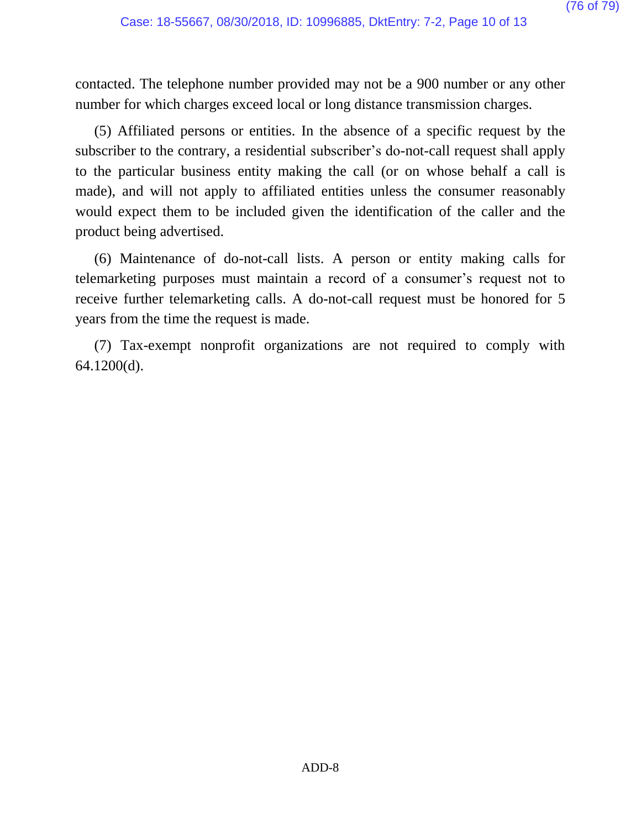contacted. The telephone number provided may not be a 900 number or any other number for which charges exceed local or long distance transmission charges.

(5) Affiliated persons or entities. In the absence of a specific request by the subscriber to the contrary, a residential subscriber's do-not-call request shall apply to the particular business entity making the call (or on whose behalf a call is made), and will not apply to affiliated entities unless the consumer reasonably would expect them to be included given the identification of the caller and the product being advertised.

(6) Maintenance of do-not-call lists. A person or entity making calls for telemarketing purposes must maintain a record of a consumer's request not to receive further telemarketing calls. A do-not-call request must be honored for 5 years from the time the request is made.

(7) Tax-exempt nonprofit organizations are not required to comply with 64.1200(d).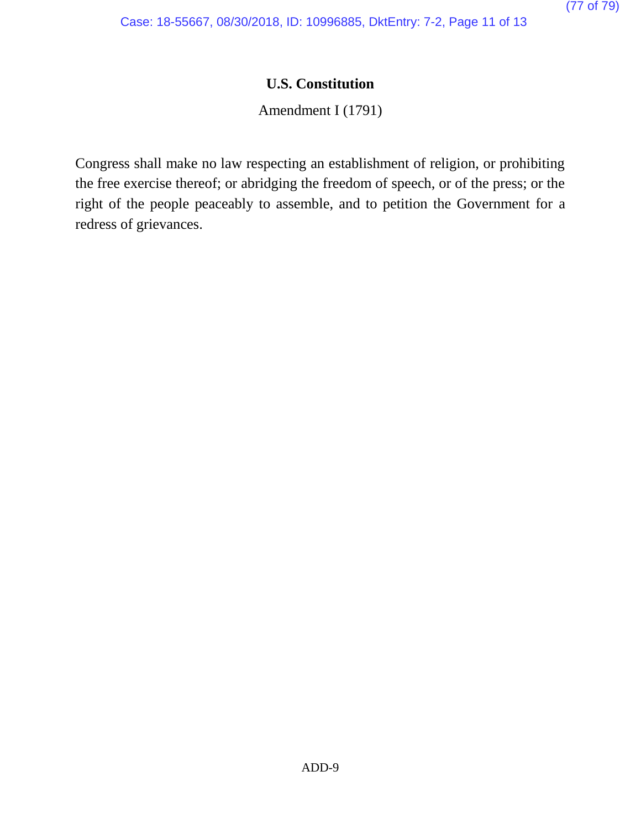# **U.S. Constitution**

Amendment I (1791)

Congress shall make no law respecting an establishment of religion, or prohibiting the free exercise thereof; or abridging the freedom of speech, or of the press; or the right of the people peaceably to assemble, and to petition the Government for a redress of grievances.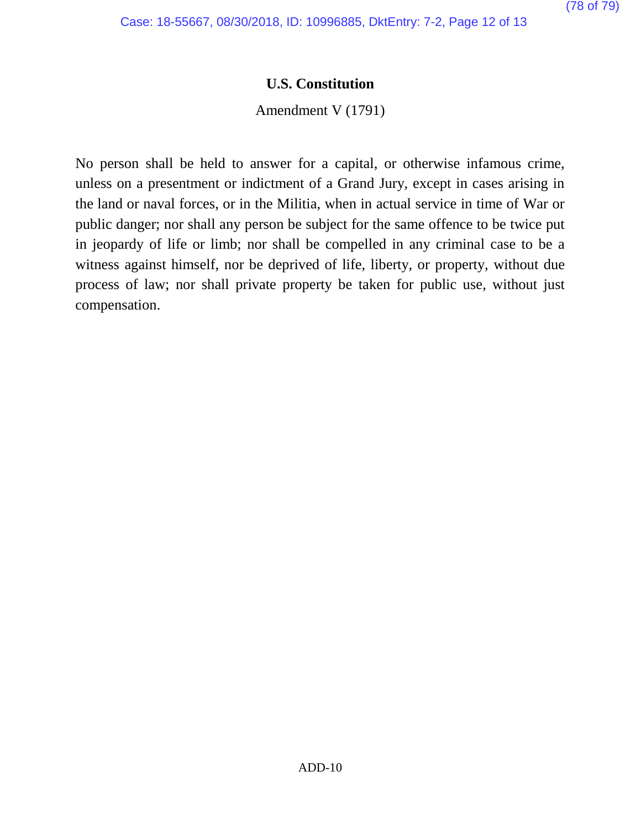## **U.S. Constitution**

Amendment V (1791)

No person shall be held to answer for a capital, or otherwise infamous crime, unless on a presentment or indictment of a Grand Jury, except in cases arising in the land or naval forces, or in the Militia, when in actual service in time of War or public danger; nor shall any person be subject for the same offence to be twice put in jeopardy of life or limb; nor shall be compelled in any criminal case to be a witness against himself, nor be deprived of life, liberty, or property, without due process of law; nor shall private property be taken for public use, without just compensation.